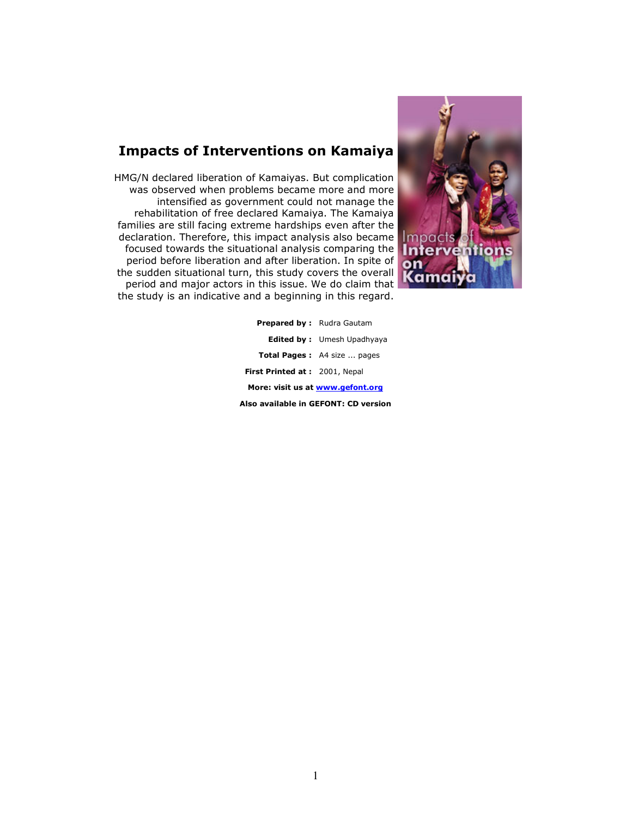# Impacts of Interventions on Kamaiya

HMG/N declared liberation of Kamaiyas. But complication was observed when problems became more and more intensified as government could not manage the rehabilitation of free declared Kamaiya. The Kamaiya families are still facing extreme hardships even after the declaration. Therefore, this impact analysis also became focused towards the situational analysis comparing the period before liberation and after liberation. In spite of the sudden situational turn, this study covers the overall period and major actors in this issue. We do claim that the study is an indicative and a beginning in this regard.



| <b>Prepared by:</b> Rudra Gautam     |                                    |  |  |  |  |
|--------------------------------------|------------------------------------|--|--|--|--|
|                                      | <b>Edited by:</b> Umesh Upadhyaya  |  |  |  |  |
|                                      | <b>Total Pages:</b> A4 size  pages |  |  |  |  |
| First Printed at: 2001, Nepal        |                                    |  |  |  |  |
| More: visit us at www.gefont.org     |                                    |  |  |  |  |
| Also available in GEFONT: CD version |                                    |  |  |  |  |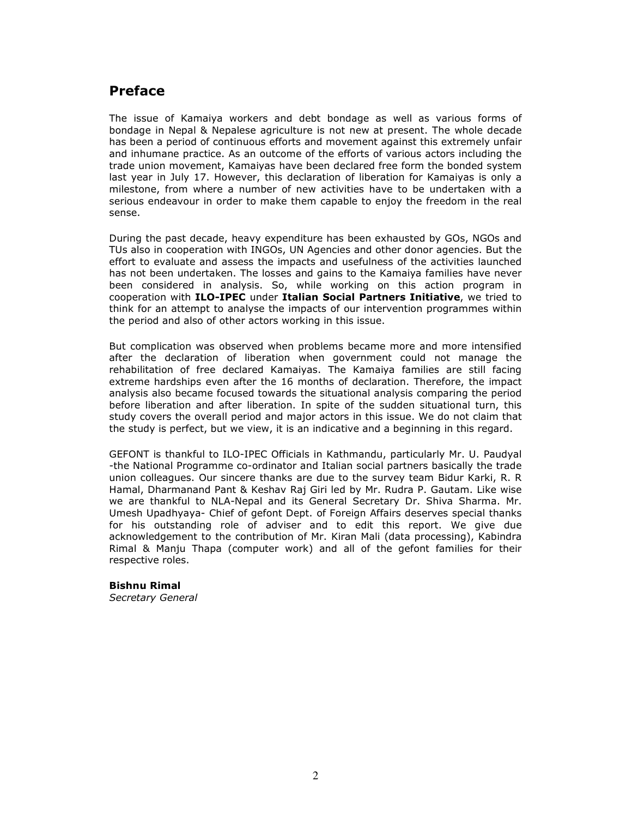# Preface

The issue of Kamaiya workers and debt bondage as well as various forms of bondage in Nepal & Nepalese agriculture is not new at present. The whole decade has been a period of continuous efforts and movement against this extremely unfair and inhumane practice. As an outcome of the efforts of various actors including the trade union movement, Kamaiyas have been declared free form the bonded system last year in July 17. However, this declaration of liberation for Kamaiyas is only a milestone, from where a number of new activities have to be undertaken with a serious endeavour in order to make them capable to enjoy the freedom in the real sense.

During the past decade, heavy expenditure has been exhausted by GOs, NGOs and TUs also in cooperation with INGOs, UN Agencies and other donor agencies. But the effort to evaluate and assess the impacts and usefulness of the activities launched has not been undertaken. The losses and gains to the Kamaiya families have never been considered in analysis. So, while working on this action program in cooperation with ILO-IPEC under Italian Social Partners Initiative, we tried to think for an attempt to analyse the impacts of our intervention programmes within the period and also of other actors working in this issue.

But complication was observed when problems became more and more intensified after the declaration of liberation when government could not manage the rehabilitation of free declared Kamaiyas. The Kamaiya families are still facing extreme hardships even after the 16 months of declaration. Therefore, the impact analysis also became focused towards the situational analysis comparing the period before liberation and after liberation. In spite of the sudden situational turn, this study covers the overall period and major actors in this issue. We do not claim that the study is perfect, but we view, it is an indicative and a beginning in this regard.

GEFONT is thankful to ILO-IPEC Officials in Kathmandu, particularly Mr. U. Paudyal -the National Programme co-ordinator and Italian social partners basically the trade union colleagues. Our sincere thanks are due to the survey team Bidur Karki, R. R Hamal, Dharmanand Pant & Keshav Raj Giri led by Mr. Rudra P. Gautam. Like wise we are thankful to NLA-Nepal and its General Secretary Dr. Shiva Sharma. Mr. Umesh Upadhyaya- Chief of gefont Dept. of Foreign Affairs deserves special thanks for his outstanding role of adviser and to edit this report. We give due acknowledgement to the contribution of Mr. Kiran Mali (data processing), Kabindra Rimal & Manju Thapa (computer work) and all of the gefont families for their respective roles.

#### Bishnu Rimal

Secretary General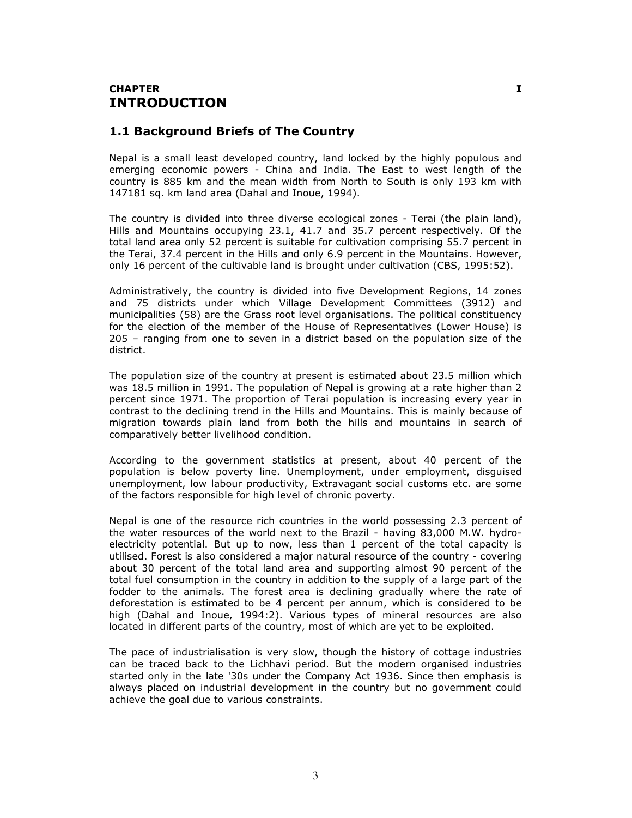### CHAPTER I INTRODUCTION

### 1.1 Background Briefs of The Country

Nepal is a small least developed country, land locked by the highly populous and emerging economic powers - China and India. The East to west length of the country is 885 km and the mean width from North to South is only 193 km with 147181 sq. km land area (Dahal and Inoue, 1994).

The country is divided into three diverse ecological zones - Terai (the plain land), Hills and Mountains occupying 23.1, 41.7 and 35.7 percent respectively. Of the total land area only 52 percent is suitable for cultivation comprising 55.7 percent in the Terai, 37.4 percent in the Hills and only 6.9 percent in the Mountains. However, only 16 percent of the cultivable land is brought under cultivation (CBS, 1995:52).

Administratively, the country is divided into five Development Regions, 14 zones and 75 districts under which Village Development Committees (3912) and municipalities (58) are the Grass root level organisations. The political constituency for the election of the member of the House of Representatives (Lower House) is 205 – ranging from one to seven in a district based on the population size of the district.

The population size of the country at present is estimated about 23.5 million which was 18.5 million in 1991. The population of Nepal is growing at a rate higher than 2 percent since 1971. The proportion of Terai population is increasing every year in contrast to the declining trend in the Hills and Mountains. This is mainly because of migration towards plain land from both the hills and mountains in search of comparatively better livelihood condition.

According to the government statistics at present, about 40 percent of the population is below poverty line. Unemployment, under employment, disguised unemployment, low labour productivity, Extravagant social customs etc. are some of the factors responsible for high level of chronic poverty.

Nepal is one of the resource rich countries in the world possessing 2.3 percent of the water resources of the world next to the Brazil - having 83,000 M.W. hydroelectricity potential. But up to now, less than 1 percent of the total capacity is utilised. Forest is also considered a major natural resource of the country - covering about 30 percent of the total land area and supporting almost 90 percent of the total fuel consumption in the country in addition to the supply of a large part of the fodder to the animals. The forest area is declining gradually where the rate of deforestation is estimated to be 4 percent per annum, which is considered to be high (Dahal and Inoue, 1994:2). Various types of mineral resources are also located in different parts of the country, most of which are yet to be exploited.

The pace of industrialisation is very slow, though the history of cottage industries can be traced back to the Lichhavi period. But the modern organised industries started only in the late '30s under the Company Act 1936. Since then emphasis is always placed on industrial development in the country but no government could achieve the goal due to various constraints.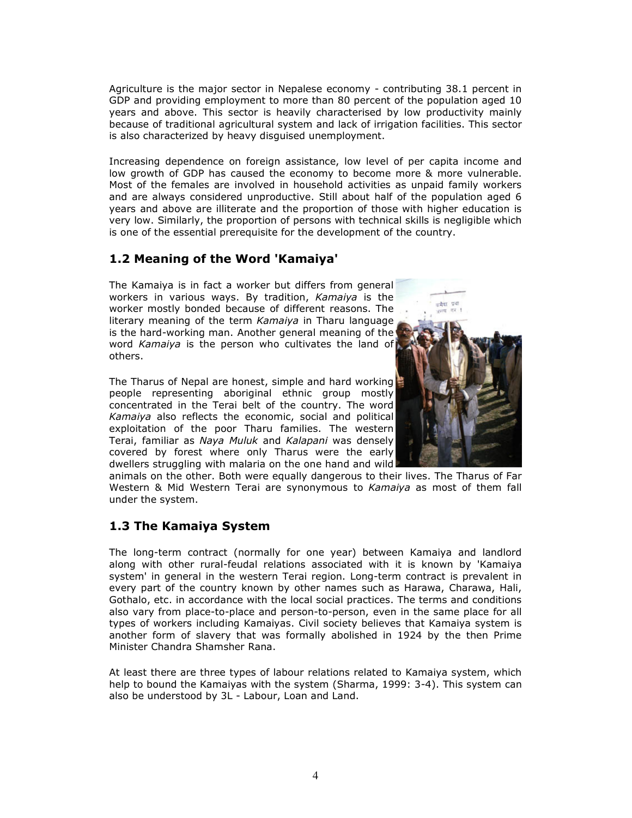Agriculture is the major sector in Nepalese economy - contributing 38.1 percent in GDP and providing employment to more than 80 percent of the population aged 10 years and above. This sector is heavily characterised by low productivity mainly because of traditional agricultural system and lack of irrigation facilities. This sector is also characterized by heavy disguised unemployment.

Increasing dependence on foreign assistance, low level of per capita income and low growth of GDP has caused the economy to become more & more vulnerable. Most of the females are involved in household activities as unpaid family workers and are always considered unproductive. Still about half of the population aged 6 years and above are illiterate and the proportion of those with higher education is very low. Similarly, the proportion of persons with technical skills is negligible which is one of the essential prerequisite for the development of the country.

### 1.2 Meaning of the Word 'Kamaiya'

The Kamaiya is in fact a worker but differs from general workers in various ways. By tradition, Kamaiya is the worker mostly bonded because of different reasons. The literary meaning of the term Kamaiya in Tharu language is the hard-working man. Another general meaning of the word Kamaiya is the person who cultivates the land of others.

The Tharus of Nepal are honest, simple and hard working people representing aboriginal ethnic group mostly concentrated in the Terai belt of the country. The word Kamaiya also reflects the economic, social and political exploitation of the poor Tharu families. The western Terai, familiar as Naya Muluk and Kalapani was densely covered by forest where only Tharus were the early dwellers struggling with malaria on the one hand and wild



animals on the other. Both were equally dangerous to their lives. The Tharus of Far Western & Mid Western Terai are synonymous to Kamaiya as most of them fall under the system.

### 1.3 The Kamaiya System

The long-term contract (normally for one year) between Kamaiya and landlord along with other rural-feudal relations associated with it is known by 'Kamaiya system' in general in the western Terai region. Long-term contract is prevalent in every part of the country known by other names such as Harawa, Charawa, Hali, Gothalo, etc. in accordance with the local social practices. The terms and conditions also vary from place-to-place and person-to-person, even in the same place for all types of workers including Kamaiyas. Civil society believes that Kamaiya system is another form of slavery that was formally abolished in 1924 by the then Prime Minister Chandra Shamsher Rana.

At least there are three types of labour relations related to Kamaiya system, which help to bound the Kamaiyas with the system (Sharma, 1999: 3-4). This system can also be understood by 3L - Labour, Loan and Land.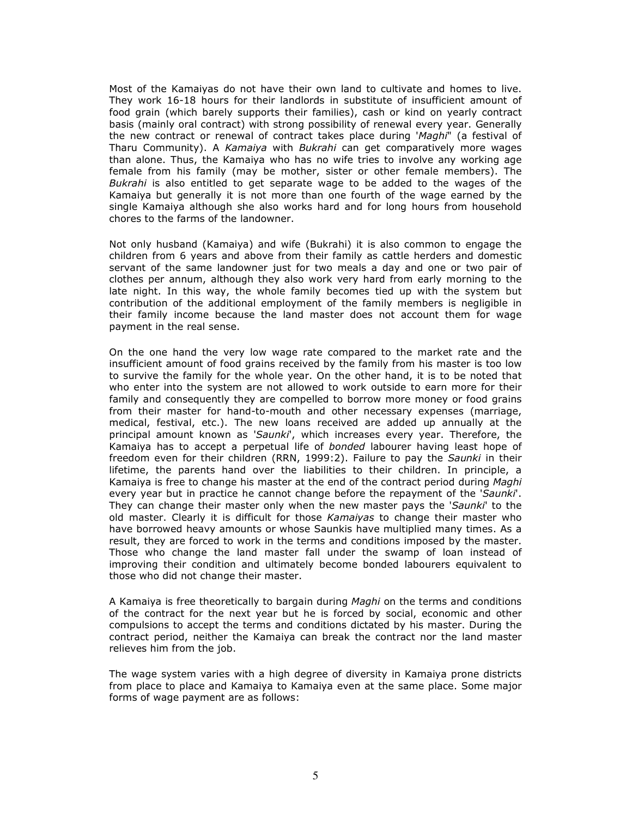Most of the Kamaiyas do not have their own land to cultivate and homes to live. They work 16-18 hours for their landlords in substitute of insufficient amount of food grain (which barely supports their families), cash or kind on yearly contract basis (mainly oral contract) with strong possibility of renewal every year. Generally the new contract or renewal of contract takes place during 'Maghi" (a festival of Tharu Community). A Kamaiya with Bukrahi can get comparatively more wages than alone. Thus, the Kamaiya who has no wife tries to involve any working age female from his family (may be mother, sister or other female members). The Bukrahi is also entitled to get separate wage to be added to the wages of the Kamaiya but generally it is not more than one fourth of the wage earned by the single Kamaiya although she also works hard and for long hours from household chores to the farms of the landowner.

Not only husband (Kamaiya) and wife (Bukrahi) it is also common to engage the children from 6 years and above from their family as cattle herders and domestic servant of the same landowner just for two meals a day and one or two pair of clothes per annum, although they also work very hard from early morning to the late night. In this way, the whole family becomes tied up with the system but contribution of the additional employment of the family members is negligible in their family income because the land master does not account them for wage payment in the real sense.

On the one hand the very low wage rate compared to the market rate and the insufficient amount of food grains received by the family from his master is too low to survive the family for the whole year. On the other hand, it is to be noted that who enter into the system are not allowed to work outside to earn more for their family and consequently they are compelled to borrow more money or food grains from their master for hand-to-mouth and other necessary expenses (marriage, medical, festival, etc.). The new loans received are added up annually at the principal amount known as 'Saunki', which increases every year. Therefore, the Kamaiya has to accept a perpetual life of bonded labourer having least hope of freedom even for their children (RRN, 1999:2). Failure to pay the Saunki in their lifetime, the parents hand over the liabilities to their children. In principle, a Kamaiya is free to change his master at the end of the contract period during Maghi every year but in practice he cannot change before the repayment of the 'Saunki'. They can change their master only when the new master pays the 'Saunki' to the old master. Clearly it is difficult for those Kamaiyas to change their master who have borrowed heavy amounts or whose Saunkis have multiplied many times. As a result, they are forced to work in the terms and conditions imposed by the master. Those who change the land master fall under the swamp of loan instead of improving their condition and ultimately become bonded labourers equivalent to those who did not change their master.

A Kamaiya is free theoretically to bargain during Maghi on the terms and conditions of the contract for the next year but he is forced by social, economic and other compulsions to accept the terms and conditions dictated by his master. During the contract period, neither the Kamaiya can break the contract nor the land master relieves him from the job.

The wage system varies with a high degree of diversity in Kamaiya prone districts from place to place and Kamaiya to Kamaiya even at the same place. Some major forms of wage payment are as follows: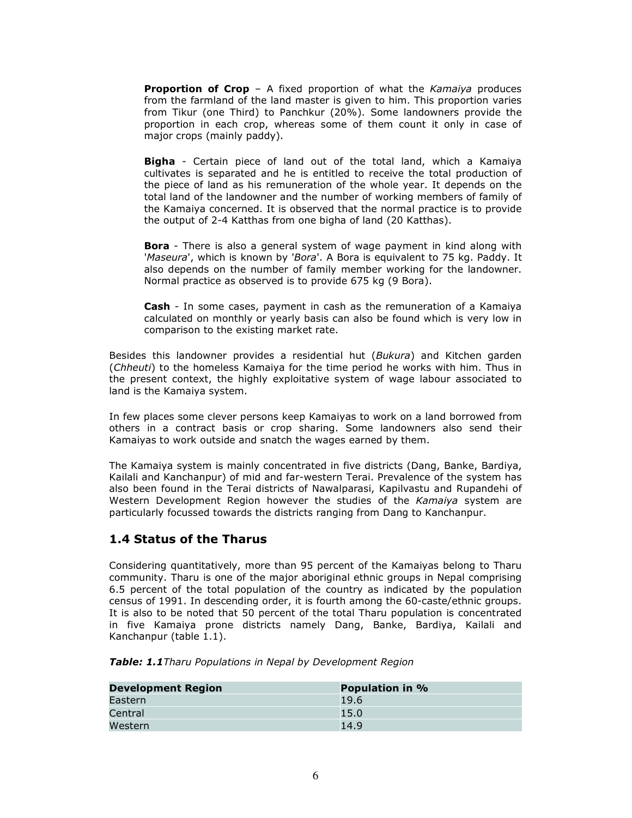**Proportion of Crop** - A fixed proportion of what the Kamaiya produces from the farmland of the land master is given to him. This proportion varies from Tikur (one Third) to Panchkur (20%). Some landowners provide the proportion in each crop, whereas some of them count it only in case of major crops (mainly paddy).

**Bigha** - Certain piece of land out of the total land, which a Kamaiya cultivates is separated and he is entitled to receive the total production of the piece of land as his remuneration of the whole year. It depends on the total land of the landowner and the number of working members of family of the Kamaiya concerned. It is observed that the normal practice is to provide the output of 2-4 Katthas from one bigha of land (20 Katthas).

**Bora** - There is also a general system of wage payment in kind along with 'Maseura', which is known by 'Bora'. A Bora is equivalent to 75 kg. Paddy. It also depends on the number of family member working for the landowner. Normal practice as observed is to provide 675 kg (9 Bora).

Cash - In some cases, payment in cash as the remuneration of a Kamaiya calculated on monthly or yearly basis can also be found which is very low in comparison to the existing market rate.

Besides this landowner provides a residential hut (Bukura) and Kitchen garden (Chheuti) to the homeless Kamaiya for the time period he works with him. Thus in the present context, the highly exploitative system of wage labour associated to land is the Kamaiya system.

In few places some clever persons keep Kamaiyas to work on a land borrowed from others in a contract basis or crop sharing. Some landowners also send their Kamaiyas to work outside and snatch the wages earned by them.

The Kamaiya system is mainly concentrated in five districts (Dang, Banke, Bardiya, Kailali and Kanchanpur) of mid and far-western Terai. Prevalence of the system has also been found in the Terai districts of Nawalparasi, Kapilvastu and Rupandehi of Western Development Region however the studies of the Kamaiya system are particularly focussed towards the districts ranging from Dang to Kanchanpur.

### 1.4 Status of the Tharus

Considering quantitatively, more than 95 percent of the Kamaiyas belong to Tharu community. Tharu is one of the major aboriginal ethnic groups in Nepal comprising 6.5 percent of the total population of the country as indicated by the population census of 1991. In descending order, it is fourth among the 60-caste/ethnic groups. It is also to be noted that 50 percent of the total Tharu population is concentrated in five Kamaiya prone districts namely Dang, Banke, Bardiya, Kailali and Kanchanpur (table 1.1).

Table: 1.1 Tharu Populations in Nepal by Development Region

| <b>Development Region</b> | <b>Population in %</b> |
|---------------------------|------------------------|
| Eastern                   | 19.6                   |
| Central                   | 15.0                   |
| Western                   | 14.9                   |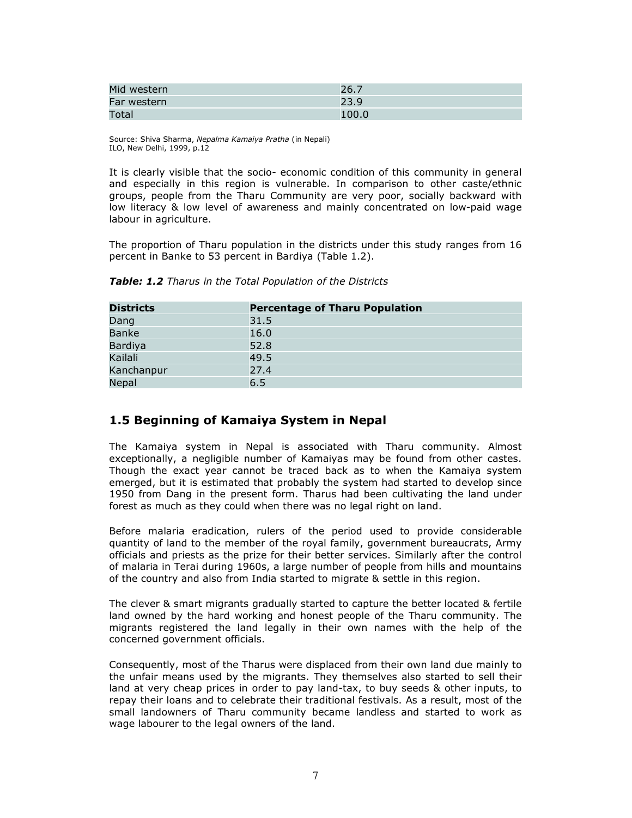| Mid western | 26.7  |
|-------------|-------|
| Far western | 23.9  |
| Total       | 100.0 |

Source: Shiva Sharma, Nepalma Kamaiya Pratha (in Nepali) ILO, New Delhi, 1999, p.12

It is clearly visible that the socio- economic condition of this community in general and especially in this region is vulnerable. In comparison to other caste/ethnic groups, people from the Tharu Community are very poor, socially backward with low literacy & low level of awareness and mainly concentrated on low-paid wage labour in agriculture.

The proportion of Tharu population in the districts under this study ranges from 16 percent in Banke to 53 percent in Bardiya (Table 1.2).

| <b>Districts</b> | <b>Percentage of Tharu Population</b> |
|------------------|---------------------------------------|
| Dang             | 31.5                                  |
| <b>Banke</b>     | 16.0                                  |
| Bardiya          | 52.8                                  |
| Kailali          | 49.5                                  |
| Kanchanpur       | 27.4                                  |
| Nepal            | 6.5                                   |

Table: 1.2 Tharus in the Total Population of the Districts

### 1.5 Beginning of Kamaiya System in Nepal

The Kamaiya system in Nepal is associated with Tharu community. Almost exceptionally, a negligible number of Kamaiyas may be found from other castes. Though the exact year cannot be traced back as to when the Kamaiya system emerged, but it is estimated that probably the system had started to develop since 1950 from Dang in the present form. Tharus had been cultivating the land under forest as much as they could when there was no legal right on land.

Before malaria eradication, rulers of the period used to provide considerable quantity of land to the member of the royal family, government bureaucrats, Army officials and priests as the prize for their better services. Similarly after the control of malaria in Terai during 1960s, a large number of people from hills and mountains of the country and also from India started to migrate & settle in this region.

The clever & smart migrants gradually started to capture the better located & fertile land owned by the hard working and honest people of the Tharu community. The migrants registered the land legally in their own names with the help of the concerned government officials.

Consequently, most of the Tharus were displaced from their own land due mainly to the unfair means used by the migrants. They themselves also started to sell their land at very cheap prices in order to pay land-tax, to buy seeds & other inputs, to repay their loans and to celebrate their traditional festivals. As a result, most of the small landowners of Tharu community became landless and started to work as wage labourer to the legal owners of the land.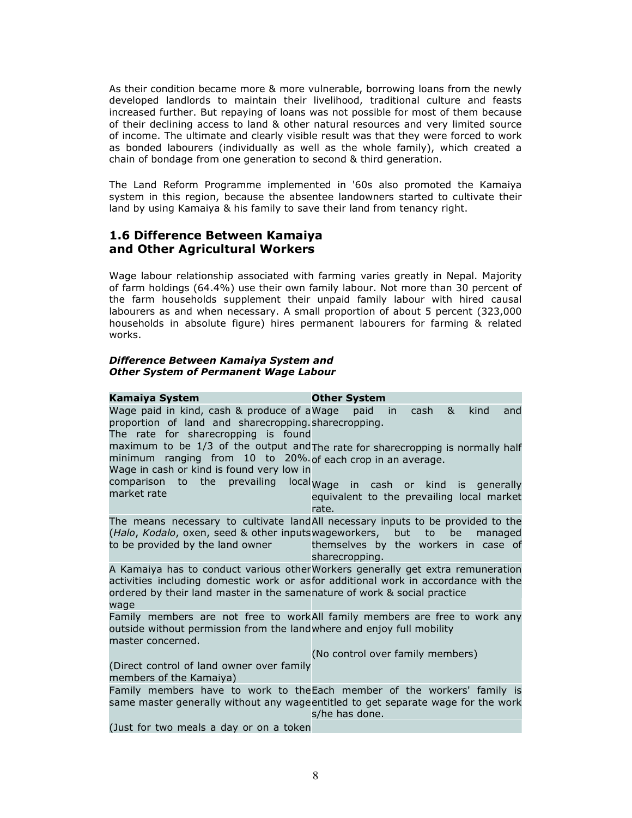As their condition became more & more vulnerable, borrowing loans from the newly developed landlords to maintain their livelihood, traditional culture and feasts increased further. But repaying of loans was not possible for most of them because of their declining access to land & other natural resources and very limited source of income. The ultimate and clearly visible result was that they were forced to work as bonded labourers (individually as well as the whole family), which created a chain of bondage from one generation to second & third generation.

The Land Reform Programme implemented in '60s also promoted the Kamaiya system in this region, because the absentee landowners started to cultivate their land by using Kamaiya & his family to save their land from tenancy right.

### 1.6 Difference Between Kamaiya and Other Agricultural Workers

Wage labour relationship associated with farming varies greatly in Nepal. Majority of farm holdings (64.4%) use their own family labour. Not more than 30 percent of the farm households supplement their unpaid family labour with hired causal labourers as and when necessary. A small proportion of about 5 percent (323,000 households in absolute figure) hires permanent labourers for farming & related works.

#### Difference Between Kamaiya System and Other System of Permanent Wage Labour

| Kamaiya System                                                                                                                            | <b>Other System</b>                                                                                                                                                            |
|-------------------------------------------------------------------------------------------------------------------------------------------|--------------------------------------------------------------------------------------------------------------------------------------------------------------------------------|
| Wage paid in kind, cash & produce of a Wage<br>proportion of land and sharecropping.sharecropping.<br>The rate for sharecropping is found | cash &<br>kind<br>paid<br>in<br>and                                                                                                                                            |
| minimum ranging from 10 to 20% of each crop in an average.<br>Wage in cash or kind is found very low in                                   | maximum to be 1/3 of the output and The rate for sharecropping is normally half                                                                                                |
| market rate                                                                                                                               | comparison to the prevailing local wage in cash or kind is generally<br>equivalent to the prevailing local market<br>rate.                                                     |
| (Halo, Kodalo, oxen, seed & other inputswageworkers, but to be<br>to be provided by the land owner<br><b>CONTRACTOR</b>                   | The means necessary to cultivate landAll necessary inputs to be provided to the<br>managed<br>themselves by the workers in case of<br>sharecropping.                           |
| ordered by their land master in the samenature of work & social practice<br>wage                                                          | A Kamaiya has to conduct various otherWorkers generally get extra remuneration<br>activities including domestic work or asfor additional work in accordance with the           |
| outside without permission from the landwhere and enjoy full mobility<br>master concerned.                                                | Family members are not free to workAll family members are free to work any                                                                                                     |
| (Direct control of land owner over family<br>members of the Kamaiya)                                                                      | (No control over family members)                                                                                                                                               |
|                                                                                                                                           | Family members have to work to the Each member of the workers' family is<br>same master generally without any wageentitled to get separate wage for the work<br>s/he has done. |
| $\int$ lust for two moole a day an an a taken                                                                                             |                                                                                                                                                                                |

(Just for two meals a day or on a token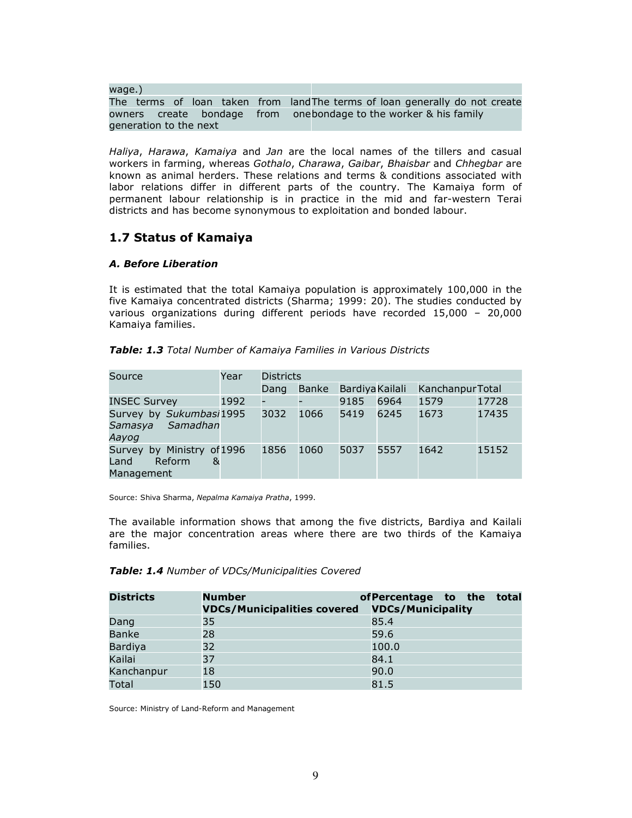wage.) The terms of loan taken from land The terms of loan generally do not create owners create bondage from onebondage\_to\_the\_worker & his\_family generation to the next

Haliya, Harawa, Kamaiya and Jan are the local names of the tillers and casual workers in farming, whereas Gothalo, Charawa, Gaibar, Bhaisbar and Chhegbar are known as animal herders. These relations and terms & conditions associated with labor relations differ in different parts of the country. The Kamaiya form of permanent labour relationship is in practice in the mid and far-western Terai districts and has become synonymous to exploitation and bonded labour.

### 1.7 Status of Kamaiya

#### A. Before Liberation

It is estimated that the total Kamaiya population is approximately 100,000 in the five Kamaiya concentrated districts (Sharma; 1999: 20). The studies conducted by various organizations during different periods have recorded 15,000 – 20,000 Kamaiya families.

| Source                                                             | Year | <b>Districts</b> |              |                        |      |                 |       |
|--------------------------------------------------------------------|------|------------------|--------------|------------------------|------|-----------------|-------|
|                                                                    |      | Dang             | <b>Banke</b> | <b>Bardiya Kailali</b> |      | KanchanpurTotal |       |
| <b>INSEC Survey</b>                                                | 1992 | -                |              | 9185                   | 6964 | 1579            | 17728 |
| Survey by Sukumbasi1995<br>Samadhan<br>Samasya<br>Aayog            |      | 3032             | 1066         | 5419                   | 6245 | 1673            | 17435 |
| by Ministry of 1996<br>Survey<br>Reform<br>Land<br>&<br>Management |      | 1856             | 1060         | 5037                   | 5557 | 1642            | 15152 |

| Table: 1.3 Total Number of Kamaiya Families in Various Districts |  |
|------------------------------------------------------------------|--|
|------------------------------------------------------------------|--|

Source: Shiva Sharma, Nepalma Kamaiya Pratha, 1999.

The available information shows that among the five districts, Bardiya and Kailali are the major concentration areas where there are two thirds of the Kamaiya families.

#### Table: 1.4 Number of VDCs/Municipalities Covered

| <b>Districts</b> | <b>Number</b><br><b>VDCs/Municipalities covered</b> | of Percentage to the<br>total<br><b>VDCs/Municipality</b> |
|------------------|-----------------------------------------------------|-----------------------------------------------------------|
| Dang             | 35                                                  | 85.4                                                      |
| <b>Banke</b>     | 28                                                  | 59.6                                                      |
| <b>Bardiya</b>   | 32                                                  | 100.0                                                     |
| Kailai           | 37                                                  | 84.1                                                      |
| Kanchanpur       | 18                                                  | 90.0                                                      |
| Total            | 150                                                 | 81.5                                                      |

Source: Ministry of Land-Reform and Management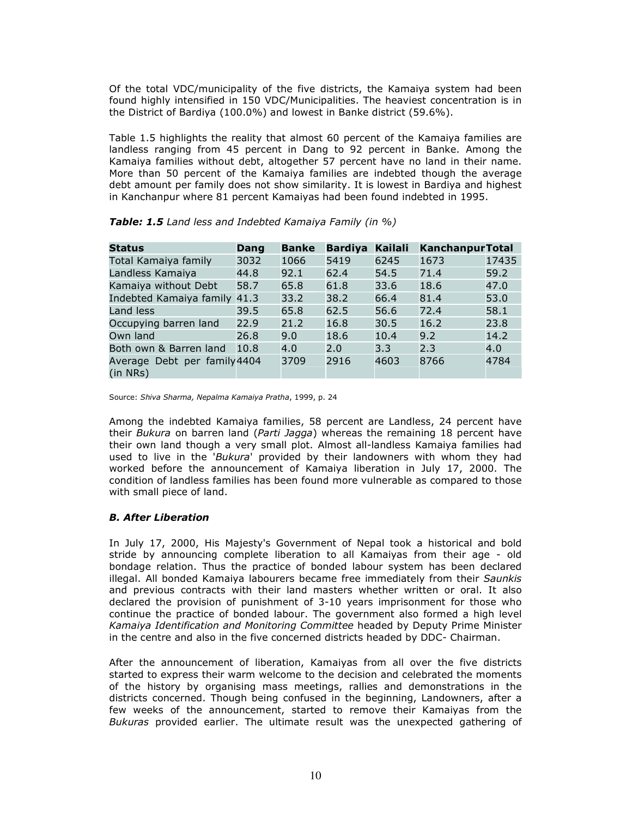Of the total VDC/municipality of the five districts, the Kamaiya system had been found highly intensified in 150 VDC/Municipalities. The heaviest concentration is in the District of Bardiya (100.0%) and lowest in Banke district (59.6%).

Table 1.5 highlights the reality that almost 60 percent of the Kamaiya families are landless ranging from 45 percent in Dang to 92 percent in Banke. Among the Kamaiya families without debt, altogether 57 percent have no land in their name. More than 50 percent of the Kamaiya families are indebted though the average debt amount per family does not show similarity. It is lowest in Bardiya and highest in Kanchanpur where 81 percent Kamaiyas had been found indebted in 1995.

| <b>Status</b>                                 | Dang | <b>Banke</b> | <b>Bardiya</b> | Kailali | <b>KanchanpurTotal</b> |       |
|-----------------------------------------------|------|--------------|----------------|---------|------------------------|-------|
| Total Kamaiya family                          | 3032 | 1066         | 5419           | 6245    | 1673                   | 17435 |
| Landless Kamaiya                              | 44.8 | 92.1         | 62.4           | 54.5    | 71.4                   | 59.2  |
| Kamaiya without Debt                          | 58.7 | 65.8         | 61.8           | 33.6    | 18.6                   | 47.0  |
| Indebted Kamaiya family 41.3                  |      | 33.2         | 38.2           | 66.4    | 81.4                   | 53.0  |
| Land less                                     | 39.5 | 65.8         | 62.5           | 56.6    | 72.4                   | 58.1  |
| Occupying barren land                         | 22.9 | 21.2         | 16.8           | 30.5    | 16.2                   | 23.8  |
| Own land                                      | 26.8 | 9.0          | 18.6           | 10.4    | 9.2                    | 14.2  |
| Both own & Barren land                        | 10.8 | 4.0          | 2.0            | 3.3     | 2.3                    | 4.0   |
| Average Debt per family 4404<br>$(in$ NRs $)$ |      | 3709         | 2916           | 4603    | 8766                   | 4784  |

Table: 1.5 Land less and Indebted Kamaiya Family (in %)

Source: Shiva Sharma, Nepalma Kamaiya Pratha, 1999, p. 24

Among the indebted Kamaiya families, 58 percent are Landless, 24 percent have their *Bukura* on barren land (*Parti Jagga*) whereas the remaining 18 percent have their own land though a very small plot. Almost all-landless Kamaiya families had used to live in the 'Bukura' provided by their landowners with whom they had worked before the announcement of Kamaiya liberation in July 17, 2000. The condition of landless families has been found more vulnerable as compared to those with small piece of land.

#### B. After Liberation

In July 17, 2000, His Majesty's Government of Nepal took a historical and bold stride by announcing complete liberation to all Kamaiyas from their age - old bondage relation. Thus the practice of bonded labour system has been declared illegal. All bonded Kamaiya labourers became free immediately from their Saunkis and previous contracts with their land masters whether written or oral. It also declared the provision of punishment of 3-10 years imprisonment for those who continue the practice of bonded labour. The government also formed a high level Kamaiya Identification and Monitoring Committee headed by Deputy Prime Minister in the centre and also in the five concerned districts headed by DDC- Chairman.

After the announcement of liberation, Kamaiyas from all over the five districts started to express their warm welcome to the decision and celebrated the moments of the history by organising mass meetings, rallies and demonstrations in the districts concerned. Though being confused in the beginning, Landowners, after a few weeks of the announcement, started to remove their Kamaiyas from the Bukuras provided earlier. The ultimate result was the unexpected gathering of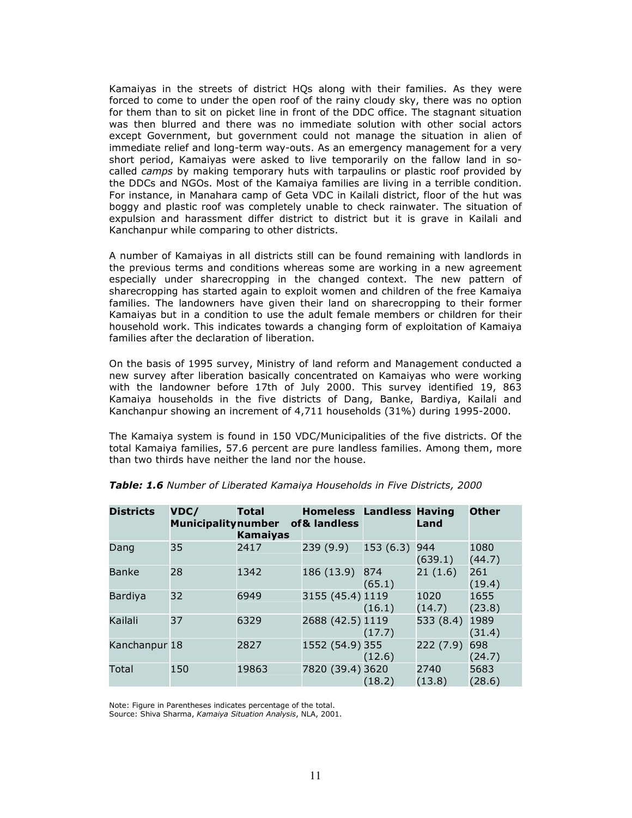Kamaiyas in the streets of district HQs along with their families. As they were forced to come to under the open roof of the rainy cloudy sky, there was no option for them than to sit on picket line in front of the DDC office. The stagnant situation was then blurred and there was no immediate solution with other social actors except Government, but government could not manage the situation in alien of immediate relief and long-term way-outs. As an emergency management for a very short period, Kamaiyas were asked to live temporarily on the fallow land in socalled *camps* by making temporary huts with tarpaulins or plastic roof provided by the DDCs and NGOs. Most of the Kamaiya families are living in a terrible condition. For instance, in Manahara camp of Geta VDC in Kailali district, floor of the hut was boggy and plastic roof was completely unable to check rainwater. The situation of expulsion and harassment differ district to district but it is grave in Kailali and Kanchanpur while comparing to other districts.

A number of Kamaiyas in all districts still can be found remaining with landlords in the previous terms and conditions whereas some are working in a new agreement especially under sharecropping in the changed context. The new pattern of sharecropping has started again to exploit women and children of the free Kamaiya families. The landowners have given their land on sharecropping to their former Kamaiyas but in a condition to use the adult female members or children for their household work. This indicates towards a changing form of exploitation of Kamaiya families after the declaration of liberation.

On the basis of 1995 survey, Ministry of land reform and Management conducted a new survey after liberation basically concentrated on Kamaiyas who were working with the landowner before 17th of July 2000. This survey identified 19, 863 Kamaiya households in the five districts of Dang, Banke, Bardiya, Kailali and Kanchanpur showing an increment of 4,711 households (31%) during 1995-2000.

The Kamaiya system is found in 150 VDC/Municipalities of the five districts. Of the total Kamaiya families, 57.6 percent are pure landless families. Among them, more than two thirds have neither the land nor the house.

| <b>Districts</b> | VDC/<br><b>Municipality number</b> | <b>Total</b><br><b>Kamaiyas</b> | <b>Homeless Landless Having</b><br>of & landless |               | Land           | <b>Other</b>   |
|------------------|------------------------------------|---------------------------------|--------------------------------------------------|---------------|----------------|----------------|
| Dang             | 35                                 | 2417                            | 239(9.9)                                         | 153(6.3)      | 944<br>(639.1) | 1080<br>(44.7) |
| <b>Banke</b>     | 28                                 | 1342                            | 186 (13.9)                                       | 874<br>(65.1) | 21(1.6)        | 261<br>(19.4)  |
| <b>Bardiya</b>   | 32                                 | 6949                            | 3155 (45.4) 1119                                 | (16.1)        | 1020<br>(14.7) | 1655<br>(23.8) |
| Kailali          | 37                                 | 6329                            | 2688 (42.5) 1119                                 | (17.7)        | 533 (8.4)      | 1989<br>(31.4) |
| Kanchanpur 18    |                                    | 2827                            | 1552 (54.9) 355                                  | (12.6)        | 222(7.9)       | 698<br>(24.7)  |
| Total            | 150                                | 19863                           | 7820 (39.4) 3620                                 | (18.2)        | 2740<br>(13.8) | 5683<br>(28.6) |

#### Table: 1.6 Number of Liberated Kamaiya Households in Five Districts, 2000

Note: Figure in Parentheses indicates percentage of the total.

Source: Shiva Sharma, Kamaiya Situation Analysis, NLA, 2001.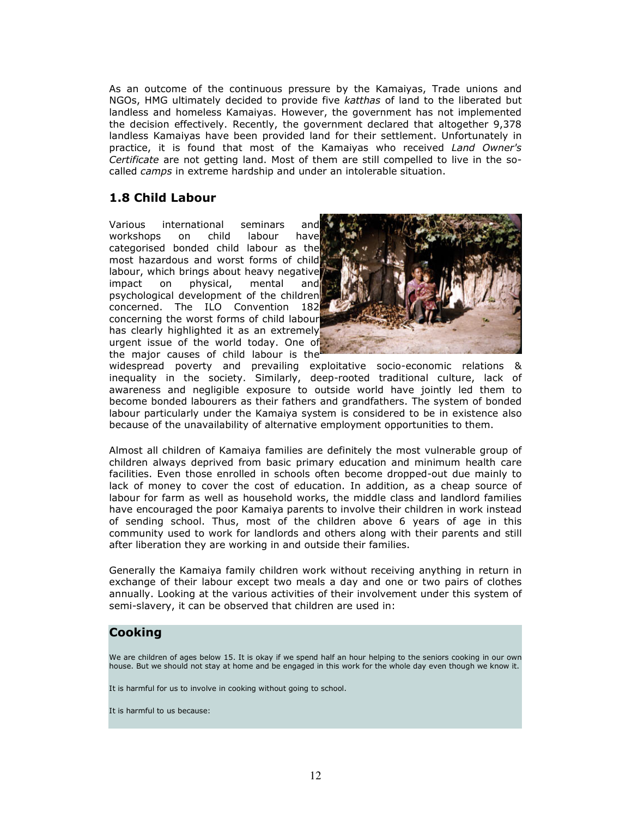As an outcome of the continuous pressure by the Kamaiyas, Trade unions and NGOs, HMG ultimately decided to provide five katthas of land to the liberated but landless and homeless Kamaiyas. However, the government has not implemented the decision effectively. Recently, the government declared that altogether 9,378 landless Kamaiyas have been provided land for their settlement. Unfortunately in practice, it is found that most of the Kamaiyas who received Land Owner's Certificate are not getting land. Most of them are still compelled to live in the socalled *camps* in extreme hardship and under an intolerable situation.

### 1.8 Child Labour

Various international seminars and workshops on child labour have categorised bonded child labour as the most hazardous and worst forms of child labour, which brings about heavy negative impact on physical, mental and psychological development of the children concerned. The ILO Convention 182 concerning the worst forms of child labour has clearly highlighted it as an extremely urgent issue of the world today. One of the major causes of child labour is the



widespread poverty and prevailing exploitative socio-economic relations & inequality in the society. Similarly, deep-rooted traditional culture, lack of awareness and negligible exposure to outside world have jointly led them to become bonded labourers as their fathers and grandfathers. The system of bonded labour particularly under the Kamaiya system is considered to be in existence also because of the unavailability of alternative employment opportunities to them.

Almost all children of Kamaiya families are definitely the most vulnerable group of children always deprived from basic primary education and minimum health care facilities. Even those enrolled in schools often become dropped-out due mainly to lack of money to cover the cost of education. In addition, as a cheap source of labour for farm as well as household works, the middle class and landlord families have encouraged the poor Kamaiya parents to involve their children in work instead of sending school. Thus, most of the children above 6 years of age in this community used to work for landlords and others along with their parents and still after liberation they are working in and outside their families.

Generally the Kamaiya family children work without receiving anything in return in exchange of their labour except two meals a day and one or two pairs of clothes annually. Looking at the various activities of their involvement under this system of semi-slavery, it can be observed that children are used in:

### Cooking

We are children of ages below 15. It is okay if we spend half an hour helping to the seniors cooking in our own house. But we should not stay at home and be engaged in this work for the whole day even though we know it.

It is harmful for us to involve in cooking without going to school.

It is harmful to us because: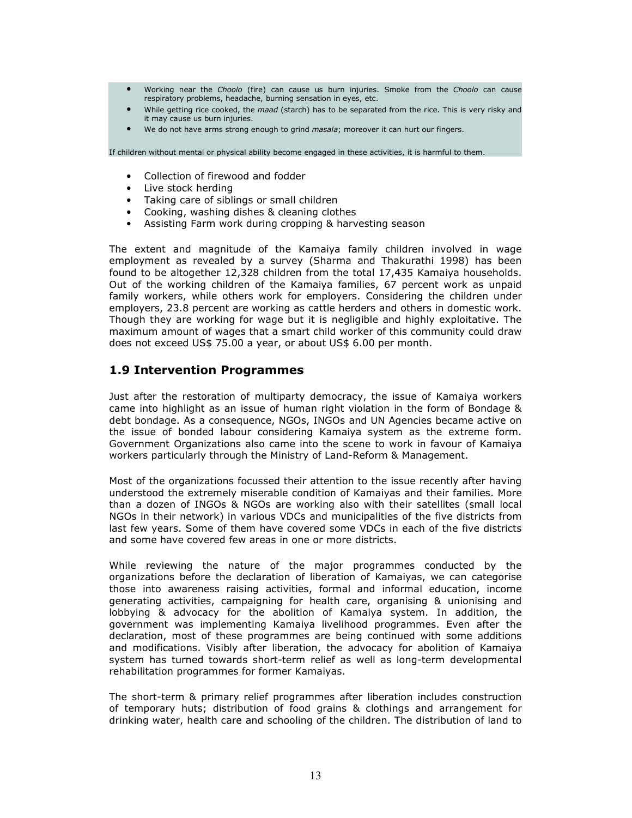- Working near the Choolo (fire) can cause us burn injuries. Smoke from the Choolo can cause respiratory problems, headache, burning sensation in eyes, etc.
- While getting rice cooked, the maad (starch) has to be separated from the rice. This is very risky and it may cause us burn injuries.
- We do not have arms strong enough to grind masala; moreover it can hurt our fingers.

If children without mental or physical ability become engaged in these activities, it is harmful to them.

- Collection of firewood and fodder
- Live stock herding
- Taking care of siblings or small children
- Cooking, washing dishes & cleaning clothes
- Assisting Farm work during cropping & harvesting season

The extent and magnitude of the Kamaiya family children involved in wage employment as revealed by a survey (Sharma and Thakurathi 1998) has been found to be altogether 12,328 children from the total 17,435 Kamaiya households. Out of the working children of the Kamaiya families, 67 percent work as unpaid family workers, while others work for employers. Considering the children under employers, 23.8 percent are working as cattle herders and others in domestic work. Though they are working for wage but it is negligible and highly exploitative. The maximum amount of wages that a smart child worker of this community could draw does not exceed US\$ 75.00 a year, or about US\$ 6.00 per month.

### 1.9 Intervention Programmes

Just after the restoration of multiparty democracy, the issue of Kamaiya workers came into highlight as an issue of human right violation in the form of Bondage & debt bondage. As a consequence, NGOs, INGOs and UN Agencies became active on the issue of bonded labour considering Kamaiya system as the extreme form. Government Organizations also came into the scene to work in favour of Kamaiya workers particularly through the Ministry of Land-Reform & Management.

Most of the organizations focussed their attention to the issue recently after having understood the extremely miserable condition of Kamaiyas and their families. More than a dozen of INGOs & NGOs are working also with their satellites (small local NGOs in their network) in various VDCs and municipalities of the five districts from last few years. Some of them have covered some VDCs in each of the five districts and some have covered few areas in one or more districts.

While reviewing the nature of the major programmes conducted by the organizations before the declaration of liberation of Kamaiyas, we can categorise those into awareness raising activities, formal and informal education, income generating activities, campaigning for health care, organising & unionising and lobbying & advocacy for the abolition of Kamaiya system. In addition, the government was implementing Kamaiya livelihood programmes. Even after the declaration, most of these programmes are being continued with some additions and modifications. Visibly after liberation, the advocacy for abolition of Kamaiya system has turned towards short-term relief as well as long-term developmental rehabilitation programmes for former Kamaiyas.

The short-term & primary relief programmes after liberation includes construction of temporary huts; distribution of food grains & clothings and arrangement for drinking water, health care and schooling of the children. The distribution of land to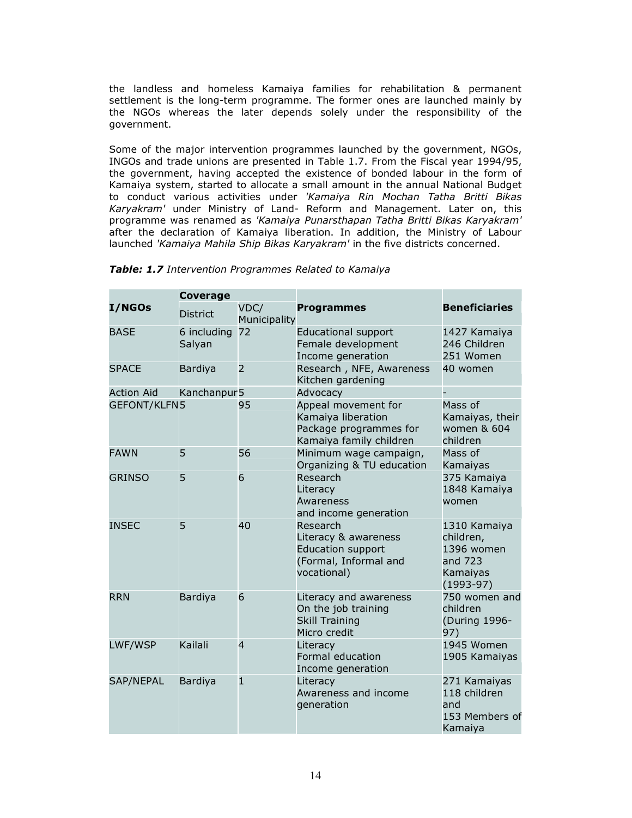the landless and homeless Kamaiya families for rehabilitation & permanent settlement is the long-term programme. The former ones are launched mainly by the NGOs whereas the later depends solely under the responsibility of the government.

Some of the major intervention programmes launched by the government, NGOs, INGOs and trade unions are presented in Table 1.7. From the Fiscal year 1994/95, the government, having accepted the existence of bonded labour in the form of Kamaiya system, started to allocate a small amount in the annual National Budget to conduct various activities under 'Kamaiya Rin Mochan Tatha Britti Bikas Karyakram' under Ministry of Land- Reform and Management. Later on, this programme was renamed as 'Kamaiya Punarsthapan Tatha Britti Bikas Karyakram' after the declaration of Kamaiya liberation. In addition, the Ministry of Labour launched 'Kamaiya Mahila Ship Bikas Karyakram' in the five districts concerned.

|                     | <b>Coverage</b>       |                      |                                                                                                      |                                                                               |  |
|---------------------|-----------------------|----------------------|------------------------------------------------------------------------------------------------------|-------------------------------------------------------------------------------|--|
| <b>I/NGOs</b>       | <b>District</b>       | VDC/<br>Municipality | <b>Programmes</b>                                                                                    | <b>Beneficiaries</b>                                                          |  |
| <b>BASE</b>         | 6 including<br>Salyan | 72                   | <b>Educational support</b><br>Female development<br>Income generation                                | 1427 Kamaiya<br>246 Children<br>251 Women                                     |  |
| <b>SPACE</b>        | Bardiya               | $\overline{2}$       | Research, NFE, Awareness<br>Kitchen gardening                                                        | 40 women                                                                      |  |
| <b>Action Aid</b>   | Kanchanpur 5          |                      | Advocacy                                                                                             |                                                                               |  |
| <b>GEFONT/KLFN5</b> |                       | 95                   | Appeal movement for<br>Kamaiya liberation<br>Package programmes for<br>Kamaiya family children       | Mass of<br>Kamaiyas, their<br>women & 604<br>children                         |  |
| <b>FAWN</b>         | 5                     | 56                   | Minimum wage campaign,<br>Organizing & TU education                                                  | Mass of<br>Kamaiyas                                                           |  |
| <b>GRINSO</b>       | 5                     | 6                    | Research<br>Literacy<br>Awareness<br>and income generation                                           | 375 Kamaiya<br>1848 Kamaiya<br>women                                          |  |
| <b>INSEC</b>        | 5                     | 40                   | Research<br>Literacy & awareness<br><b>Education support</b><br>(Formal, Informal and<br>vocational) | 1310 Kamaiya<br>children,<br>1396 women<br>and 723<br>Kamaiyas<br>$(1993-97)$ |  |
| <b>RRN</b>          | <b>Bardiya</b>        | 6                    | Literacy and awareness<br>On the job training<br><b>Skill Training</b><br>Micro credit               | 750 women and<br>children<br>(During 1996-<br>97)                             |  |
| LWF/WSP             | Kailali               | $\overline{4}$       | Literacy<br><b>Formal education</b><br>Income generation                                             | 1945 Women<br>1905 Kamaiyas                                                   |  |
| SAP/NEPAL           | <b>Bardiya</b>        | $\mathbf{1}$         | Literacy<br>Awareness and income<br>generation                                                       | 271 Kamaiyas<br>118 children<br>and<br>153 Members of<br>Kamaiya              |  |

|  | Table: 1.7 Intervention Programmes Related to Kamaiya |  |
|--|-------------------------------------------------------|--|
|  |                                                       |  |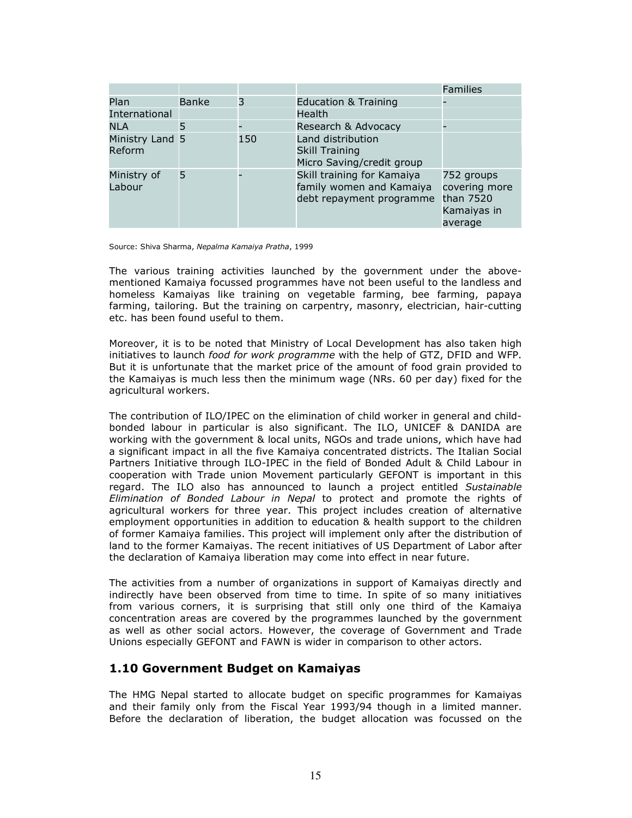|                           |              |     |                                                                                    | Families                                                           |
|---------------------------|--------------|-----|------------------------------------------------------------------------------------|--------------------------------------------------------------------|
| Plan<br>International     | <b>Banke</b> | 3   | <b>Education &amp; Training</b><br>Health                                          |                                                                    |
| NLA                       | 5            |     | Research & Advocacy                                                                |                                                                    |
| Ministry Land 5<br>Reform |              | 150 | Land distribution<br><b>Skill Training</b><br>Micro Saving/credit group            |                                                                    |
| Ministry of<br>Labour     | 5            |     | Skill training for Kamaiya<br>family women and Kamaiya<br>debt repayment programme | 752 groups<br>covering more<br>than 7520<br>Kamaiyas in<br>average |

Source: Shiva Sharma, Nepalma Kamaiya Pratha, 1999

The various training activities launched by the government under the abovementioned Kamaiya focussed programmes have not been useful to the landless and homeless Kamaiyas like training on vegetable farming, bee farming, papaya farming, tailoring. But the training on carpentry, masonry, electrician, hair-cutting etc. has been found useful to them.

Moreover, it is to be noted that Ministry of Local Development has also taken high initiatives to launch food for work programme with the help of GTZ, DFID and WFP. But it is unfortunate that the market price of the amount of food grain provided to the Kamaiyas is much less then the minimum wage (NRs. 60 per day) fixed for the agricultural workers.

The contribution of ILO/IPEC on the elimination of child worker in general and childbonded labour in particular is also significant. The ILO, UNICEF & DANIDA are working with the government & local units, NGOs and trade unions, which have had a significant impact in all the five Kamaiya concentrated districts. The Italian Social Partners Initiative through ILO-IPEC in the field of Bonded Adult & Child Labour in cooperation with Trade union Movement particularly GEFONT is important in this regard. The ILO also has announced to launch a project entitled Sustainable Elimination of Bonded Labour in Nepal to protect and promote the rights of agricultural workers for three year. This project includes creation of alternative employment opportunities in addition to education & health support to the children of former Kamaiya families. This project will implement only after the distribution of land to the former Kamaiyas. The recent initiatives of US Department of Labor after the declaration of Kamaiya liberation may come into effect in near future.

The activities from a number of organizations in support of Kamaiyas directly and indirectly have been observed from time to time. In spite of so many initiatives from various corners, it is surprising that still only one third of the Kamaiya concentration areas are covered by the programmes launched by the government as well as other social actors. However, the coverage of Government and Trade Unions especially GEFONT and FAWN is wider in comparison to other actors.

### 1.10 Government Budget on Kamaiyas

The HMG Nepal started to allocate budget on specific programmes for Kamaiyas and their family only from the Fiscal Year 1993/94 though in a limited manner. Before the declaration of liberation, the budget allocation was focussed on the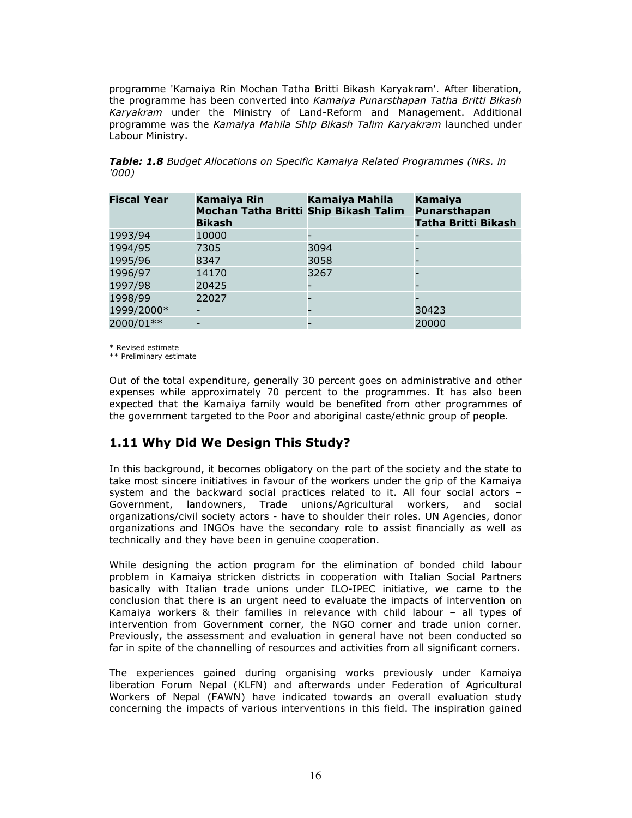programme 'Kamaiya Rin Mochan Tatha Britti Bikash Karyakram'. After liberation, the programme has been converted into Kamaiya Punarsthapan Tatha Britti Bikash Karyakram under the Ministry of Land-Reform and Management. Additional programme was the Kamaiya Mahila Ship Bikash Talim Karyakram launched under Labour Ministry.

|       |  |  |  | Table: 1.8 Budget Allocations on Specific Kamaiya Related Programmes (NRs. in |  |
|-------|--|--|--|-------------------------------------------------------------------------------|--|
| '000) |  |  |  |                                                                               |  |

| <b>Fiscal Year</b> | Kamaiya Rin<br>Mochan Tatha Britti Ship Bikash Talim<br><b>Bikash</b> | <b>Kamaiya Mahila</b> | Kamaiya<br>Punarsthapan<br><b>Tatha Britti Bikash</b> |
|--------------------|-----------------------------------------------------------------------|-----------------------|-------------------------------------------------------|
| 1993/94            | 10000                                                                 |                       |                                                       |
| 1994/95            | 7305                                                                  | 3094                  |                                                       |
| 1995/96            | 8347                                                                  | 3058                  |                                                       |
| 1996/97            | 14170                                                                 | 3267                  |                                                       |
| 1997/98            | 20425                                                                 |                       |                                                       |
| 1998/99            | 22027                                                                 |                       |                                                       |
| 1999/2000*         |                                                                       |                       | 30423                                                 |
| 2000/01**          |                                                                       |                       | 20000                                                 |

\* Revised estimate

\*\* Preliminary estimate

Out of the total expenditure, generally 30 percent goes on administrative and other expenses while approximately 70 percent to the programmes. It has also been expected that the Kamaiya family would be benefited from other programmes of the government targeted to the Poor and aboriginal caste/ethnic group of people.

### 1.11 Why Did We Design This Study?

In this background, it becomes obligatory on the part of the society and the state to take most sincere initiatives in favour of the workers under the grip of the Kamaiya system and the backward social practices related to it. All four social actors – Government, landowners, Trade unions/Agricultural workers, and social organizations/civil society actors - have to shoulder their roles. UN Agencies, donor organizations and INGOs have the secondary role to assist financially as well as technically and they have been in genuine cooperation.

While designing the action program for the elimination of bonded child labour problem in Kamaiya stricken districts in cooperation with Italian Social Partners basically with Italian trade unions under ILO-IPEC initiative, we came to the conclusion that there is an urgent need to evaluate the impacts of intervention on Kamaiya workers & their families in relevance with child labour – all types of intervention from Government corner, the NGO corner and trade union corner. Previously, the assessment and evaluation in general have not been conducted so far in spite of the channelling of resources and activities from all significant corners.

The experiences gained during organising works previously under Kamaiya liberation Forum Nepal (KLFN) and afterwards under Federation of Agricultural Workers of Nepal (FAWN) have indicated towards an overall evaluation study concerning the impacts of various interventions in this field. The inspiration gained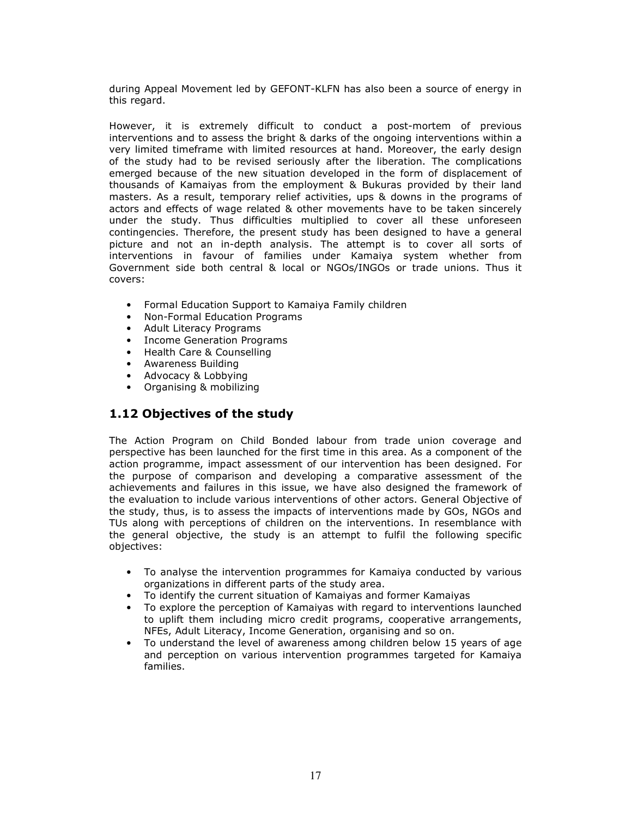during Appeal Movement led by GEFONT-KLFN has also been a source of energy in this regard.

However, it is extremely difficult to conduct a post-mortem of previous interventions and to assess the bright & darks of the ongoing interventions within a very limited timeframe with limited resources at hand. Moreover, the early design of the study had to be revised seriously after the liberation. The complications emerged because of the new situation developed in the form of displacement of thousands of Kamaiyas from the employment & Bukuras provided by their land masters. As a result, temporary relief activities, ups & downs in the programs of actors and effects of wage related & other movements have to be taken sincerely under the study. Thus difficulties multiplied to cover all these unforeseen contingencies. Therefore, the present study has been designed to have a general picture and not an in-depth analysis. The attempt is to cover all sorts of interventions in favour of families under Kamaiya system whether from Government side both central & local or NGOs/INGOs or trade unions. Thus it covers:

- Formal Education Support to Kamaiya Family children
- Non-Formal Education Programs
- Adult Literacy Programs
- Income Generation Programs
- Health Care & Counselling
- Awareness Building
- Advocacy & Lobbying
- Organising & mobilizing

### 1.12 Objectives of the study

The Action Program on Child Bonded labour from trade union coverage and perspective has been launched for the first time in this area. As a component of the action programme, impact assessment of our intervention has been designed. For the purpose of comparison and developing a comparative assessment of the achievements and failures in this issue, we have also designed the framework of the evaluation to include various interventions of other actors. General Objective of the study, thus, is to assess the impacts of interventions made by GOs, NGOs and TUs along with perceptions of children on the interventions. In resemblance with the general objective, the study is an attempt to fulfil the following specific objectives:

- To analyse the intervention programmes for Kamaiya conducted by various organizations in different parts of the study area.
- To identify the current situation of Kamaiyas and former Kamaiyas
- To explore the perception of Kamaiyas with regard to interventions launched to uplift them including micro credit programs, cooperative arrangements, NFEs, Adult Literacy, Income Generation, organising and so on.
- To understand the level of awareness among children below 15 years of age and perception on various intervention programmes targeted for Kamaiya families.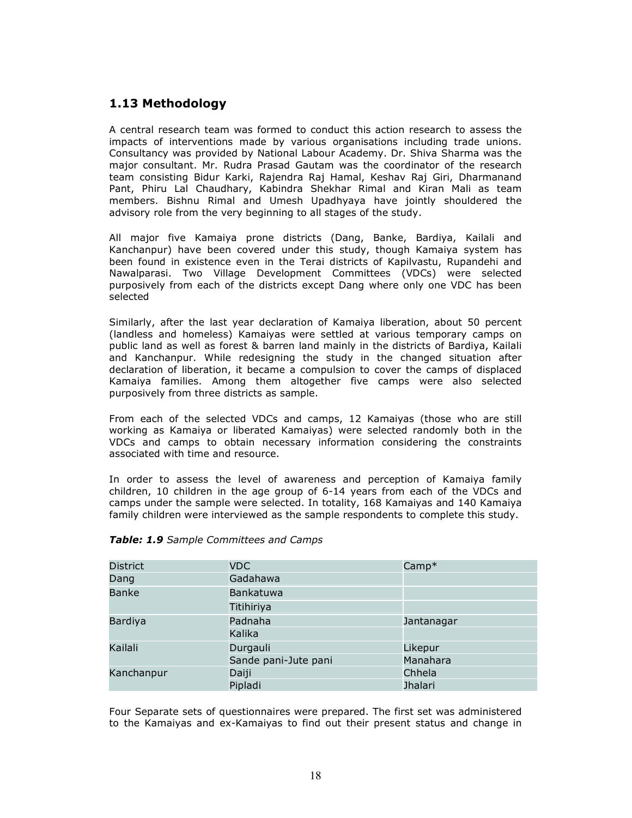### 1.13 Methodology

A central research team was formed to conduct this action research to assess the impacts of interventions made by various organisations including trade unions. Consultancy was provided by National Labour Academy. Dr. Shiva Sharma was the major consultant. Mr. Rudra Prasad Gautam was the coordinator of the research team consisting Bidur Karki, Rajendra Raj Hamal, Keshav Raj Giri, Dharmanand Pant, Phiru Lal Chaudhary, Kabindra Shekhar Rimal and Kiran Mali as team members. Bishnu Rimal and Umesh Upadhyaya have jointly shouldered the advisory role from the very beginning to all stages of the study.

All major five Kamaiya prone districts (Dang, Banke, Bardiya, Kailali and Kanchanpur) have been covered under this study, though Kamaiya system has been found in existence even in the Terai districts of Kapilvastu, Rupandehi and Nawalparasi. Two Village Development Committees (VDCs) were selected purposively from each of the districts except Dang where only one VDC has been selected

Similarly, after the last year declaration of Kamaiya liberation, about 50 percent (landless and homeless) Kamaiyas were settled at various temporary camps on public land as well as forest & barren land mainly in the districts of Bardiya, Kailali and Kanchanpur. While redesigning the study in the changed situation after declaration of liberation, it became a compulsion to cover the camps of displaced Kamaiya families. Among them altogether five camps were also selected purposively from three districts as sample.

From each of the selected VDCs and camps, 12 Kamaiyas (those who are still working as Kamaiya or liberated Kamaiyas) were selected randomly both in the VDCs and camps to obtain necessary information considering the constraints associated with time and resource.

In order to assess the level of awareness and perception of Kamaiya family children, 10 children in the age group of 6-14 years from each of the VDCs and camps under the sample were selected. In totality, 168 Kamaiyas and 140 Kamaiya family children were interviewed as the sample respondents to complete this study.

| <b>District</b> | <b>VDC</b>           | $Camp*$        |
|-----------------|----------------------|----------------|
| Dang            | Gadahawa             |                |
| <b>Banke</b>    | Bankatuwa            |                |
|                 | Titihiriya           |                |
| <b>Bardiya</b>  | Padnaha              | Jantanagar     |
|                 | Kalika               |                |
| Kailali         | Durgauli             | Likepur        |
|                 | Sande pani-Jute pani | Manahara       |
| Kanchanpur      | Daiji                | Chhela         |
|                 | Pipladi              | <b>Jhalari</b> |

#### Table: 1.9 Sample Committees and Camps

Four Separate sets of questionnaires were prepared. The first set was administered to the Kamaiyas and ex-Kamaiyas to find out their present status and change in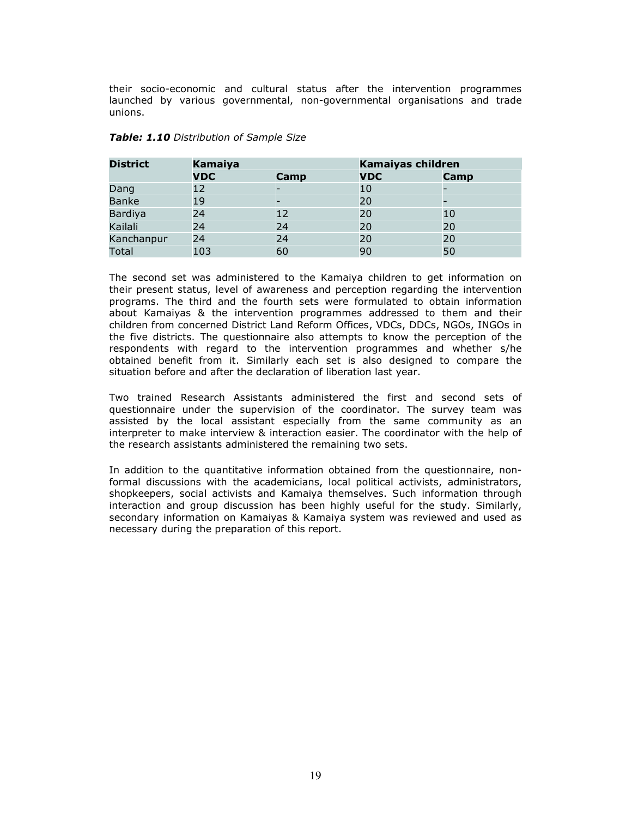their socio-economic and cultural status after the intervention programmes launched by various governmental, non-governmental organisations and trade unions.

| <b>District</b> | Kamaiya    |      | <b>Kamaiyas children</b> |      |
|-----------------|------------|------|--------------------------|------|
|                 | <b>VDC</b> | Camp | <b>VDC</b>               | Camp |
| Dang            | 12         |      | 10                       |      |
| <b>Banke</b>    | 19         |      | 20                       |      |
| Bardiya         | 24         | 12   | 20                       | 10   |
| Kailali         | 24         | 24   | 20                       | 20   |
| Kanchanpur      | 24         | 24   | 20                       | 20   |
| Total           | 103        | 60   | 90                       | 50   |

#### Table: 1.10 Distribution of Sample Size

The second set was administered to the Kamaiya children to get information on their present status, level of awareness and perception regarding the intervention programs. The third and the fourth sets were formulated to obtain information about Kamaiyas & the intervention programmes addressed to them and their children from concerned District Land Reform Offices, VDCs, DDCs, NGOs, INGOs in the five districts. The questionnaire also attempts to know the perception of the respondents with regard to the intervention programmes and whether s/he obtained benefit from it. Similarly each set is also designed to compare the situation before and after the declaration of liberation last year.

Two trained Research Assistants administered the first and second sets of questionnaire under the supervision of the coordinator. The survey team was assisted by the local assistant especially from the same community as an interpreter to make interview & interaction easier. The coordinator with the help of the research assistants administered the remaining two sets.

In addition to the quantitative information obtained from the questionnaire, nonformal discussions with the academicians, local political activists, administrators, shopkeepers, social activists and Kamaiya themselves. Such information through interaction and group discussion has been highly useful for the study. Similarly, secondary information on Kamaiyas & Kamaiya system was reviewed and used as necessary during the preparation of this report.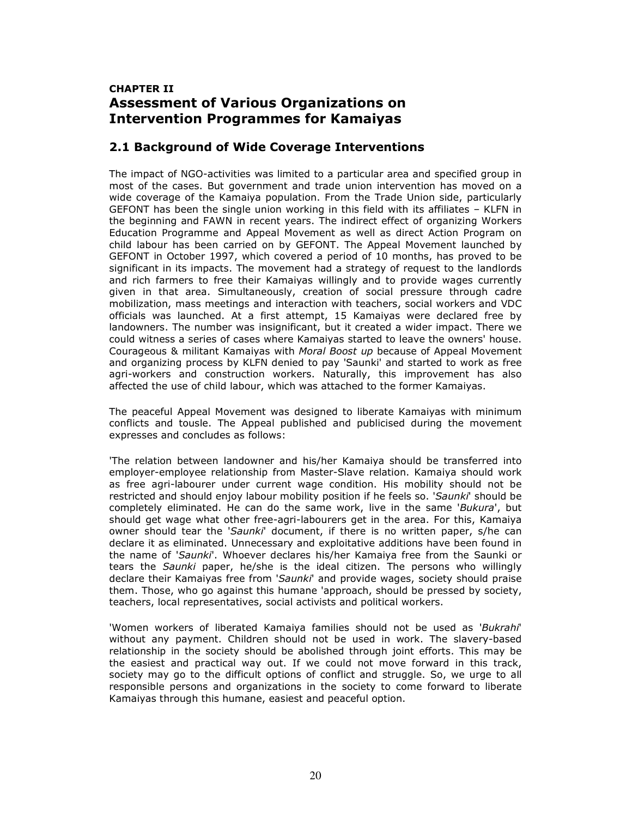### CHAPTER II Assessment of Various Organizations on Intervention Programmes for Kamaiyas

### 2.1 Background of Wide Coverage Interventions

The impact of NGO-activities was limited to a particular area and specified group in most of the cases. But government and trade union intervention has moved on a wide coverage of the Kamaiya population. From the Trade Union side, particularly GEFONT has been the single union working in this field with its affiliates – KLFN in the beginning and FAWN in recent years. The indirect effect of organizing Workers Education Programme and Appeal Movement as well as direct Action Program on child labour has been carried on by GEFONT. The Appeal Movement launched by GEFONT in October 1997, which covered a period of 10 months, has proved to be significant in its impacts. The movement had a strategy of request to the landlords and rich farmers to free their Kamaiyas willingly and to provide wages currently given in that area. Simultaneously, creation of social pressure through cadre mobilization, mass meetings and interaction with teachers, social workers and VDC officials was launched. At a first attempt, 15 Kamaiyas were declared free by landowners. The number was insignificant, but it created a wider impact. There we could witness a series of cases where Kamaiyas started to leave the owners' house. Courageous & militant Kamaiyas with Moral Boost up because of Appeal Movement and organizing process by KLFN denied to pay 'Saunki' and started to work as free agri-workers and construction workers. Naturally, this improvement has also affected the use of child labour, which was attached to the former Kamaiyas.

The peaceful Appeal Movement was designed to liberate Kamaiyas with minimum conflicts and tousle. The Appeal published and publicised during the movement expresses and concludes as follows:

'The relation between landowner and his/her Kamaiya should be transferred into employer-employee relationship from Master-Slave relation. Kamaiya should work as free agri-labourer under current wage condition. His mobility should not be restricted and should enjoy labour mobility position if he feels so. 'Saunki' should be completely eliminated. He can do the same work, live in the same 'Bukura', but should get wage what other free-agri-labourers get in the area. For this, Kamaiya owner should tear the 'Saunki' document, if there is no written paper, s/he can declare it as eliminated. Unnecessary and exploitative additions have been found in the name of 'Saunki'. Whoever declares his/her Kamaiya free from the Saunki or tears the Saunki paper, he/she is the ideal citizen. The persons who willingly declare their Kamaiyas free from 'Saunki' and provide wages, society should praise them. Those, who go against this humane 'approach, should be pressed by society, teachers, local representatives, social activists and political workers.

'Women workers of liberated Kamaiya families should not be used as 'Bukrahi' without any payment. Children should not be used in work. The slavery-based relationship in the society should be abolished through joint efforts. This may be the easiest and practical way out. If we could not move forward in this track, society may go to the difficult options of conflict and struggle. So, we urge to all responsible persons and organizations in the society to come forward to liberate Kamaiyas through this humane, easiest and peaceful option.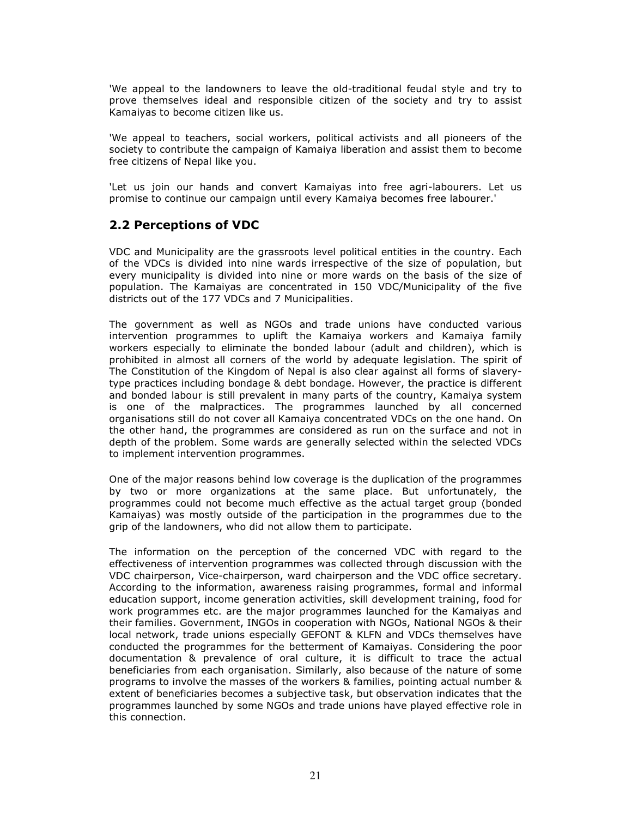'We appeal to the landowners to leave the old-traditional feudal style and try to prove themselves ideal and responsible citizen of the society and try to assist Kamaiyas to become citizen like us.

'We appeal to teachers, social workers, political activists and all pioneers of the society to contribute the campaign of Kamaiya liberation and assist them to become free citizens of Nepal like you.

'Let us join our hands and convert Kamaiyas into free agri-labourers. Let us promise to continue our campaign until every Kamaiya becomes free labourer.'

### 2.2 Perceptions of VDC

VDC and Municipality are the grassroots level political entities in the country. Each of the VDCs is divided into nine wards irrespective of the size of population, but every municipality is divided into nine or more wards on the basis of the size of population. The Kamaiyas are concentrated in 150 VDC/Municipality of the five districts out of the 177 VDCs and 7 Municipalities.

The government as well as NGOs and trade unions have conducted various intervention programmes to uplift the Kamaiya workers and Kamaiya family workers especially to eliminate the bonded labour (adult and children), which is prohibited in almost all corners of the world by adequate legislation. The spirit of The Constitution of the Kingdom of Nepal is also clear against all forms of slaverytype practices including bondage & debt bondage. However, the practice is different and bonded labour is still prevalent in many parts of the country, Kamaiya system is one of the malpractices. The programmes launched by all concerned organisations still do not cover all Kamaiya concentrated VDCs on the one hand. On the other hand, the programmes are considered as run on the surface and not in depth of the problem. Some wards are generally selected within the selected VDCs to implement intervention programmes.

One of the major reasons behind low coverage is the duplication of the programmes by two or more organizations at the same place. But unfortunately, the programmes could not become much effective as the actual target group (bonded Kamaiyas) was mostly outside of the participation in the programmes due to the grip of the landowners, who did not allow them to participate.

The information on the perception of the concerned VDC with regard to the effectiveness of intervention programmes was collected through discussion with the VDC chairperson, Vice-chairperson, ward chairperson and the VDC office secretary. According to the information, awareness raising programmes, formal and informal education support, income generation activities, skill development training, food for work programmes etc. are the major programmes launched for the Kamaiyas and their families. Government, INGOs in cooperation with NGOs, National NGOs & their local network, trade unions especially GEFONT & KLFN and VDCs themselves have conducted the programmes for the betterment of Kamaiyas. Considering the poor documentation & prevalence of oral culture, it is difficult to trace the actual beneficiaries from each organisation. Similarly, also because of the nature of some programs to involve the masses of the workers & families, pointing actual number & extent of beneficiaries becomes a subjective task, but observation indicates that the programmes launched by some NGOs and trade unions have played effective role in this connection.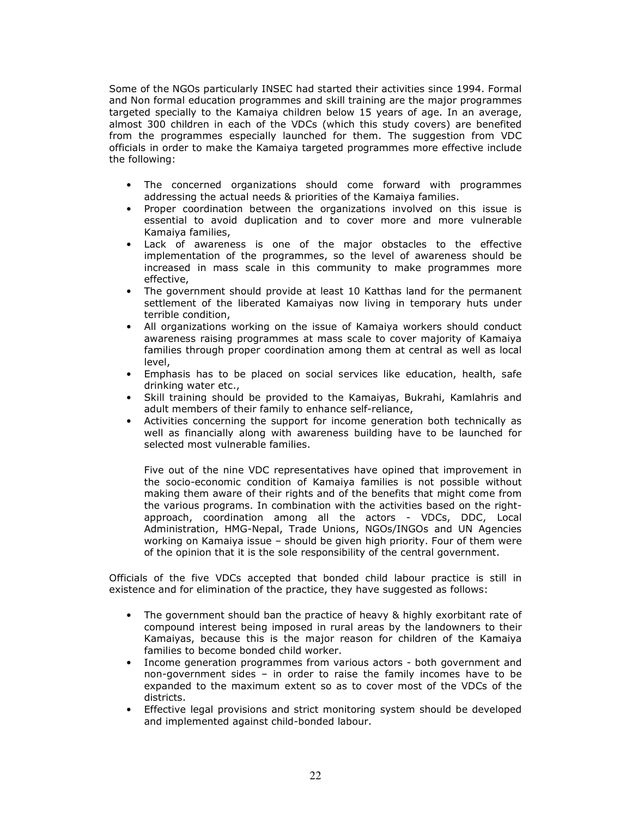Some of the NGOs particularly INSEC had started their activities since 1994. Formal and Non formal education programmes and skill training are the major programmes targeted specially to the Kamaiya children below 15 years of age. In an average, almost 300 children in each of the VDCs (which this study covers) are benefited from the programmes especially launched for them. The suggestion from VDC officials in order to make the Kamaiya targeted programmes more effective include the following:

- The concerned organizations should come forward with programmes addressing the actual needs & priorities of the Kamaiya families.
- Proper coordination between the organizations involved on this issue is essential to avoid duplication and to cover more and more vulnerable Kamaiya families,
- Lack of awareness is one of the major obstacles to the effective implementation of the programmes, so the level of awareness should be increased in mass scale in this community to make programmes more effective,
- The government should provide at least 10 Katthas land for the permanent settlement of the liberated Kamaiyas now living in temporary huts under terrible condition,
- All organizations working on the issue of Kamaiya workers should conduct awareness raising programmes at mass scale to cover majority of Kamaiya families through proper coordination among them at central as well as local level,
- Emphasis has to be placed on social services like education, health, safe drinking water etc.,
- Skill training should be provided to the Kamaiyas, Bukrahi, Kamlahris and adult members of their family to enhance self-reliance,
- Activities concerning the support for income generation both technically as well as financially along with awareness building have to be launched for selected most vulnerable families.

Five out of the nine VDC representatives have opined that improvement in the socio-economic condition of Kamaiya families is not possible without making them aware of their rights and of the benefits that might come from the various programs. In combination with the activities based on the rightapproach, coordination among all the actors - VDCs, DDC, Local Administration, HMG-Nepal, Trade Unions, NGOs/INGOs and UN Agencies working on Kamaiya issue – should be given high priority. Four of them were of the opinion that it is the sole responsibility of the central government.

Officials of the five VDCs accepted that bonded child labour practice is still in existence and for elimination of the practice, they have suggested as follows:

- The government should ban the practice of heavy & highly exorbitant rate of compound interest being imposed in rural areas by the landowners to their Kamaiyas, because this is the major reason for children of the Kamaiya families to become bonded child worker.
- Income generation programmes from various actors both government and non-government sides – in order to raise the family incomes have to be expanded to the maximum extent so as to cover most of the VDCs of the districts.
- Effective legal provisions and strict monitoring system should be developed and implemented against child-bonded labour.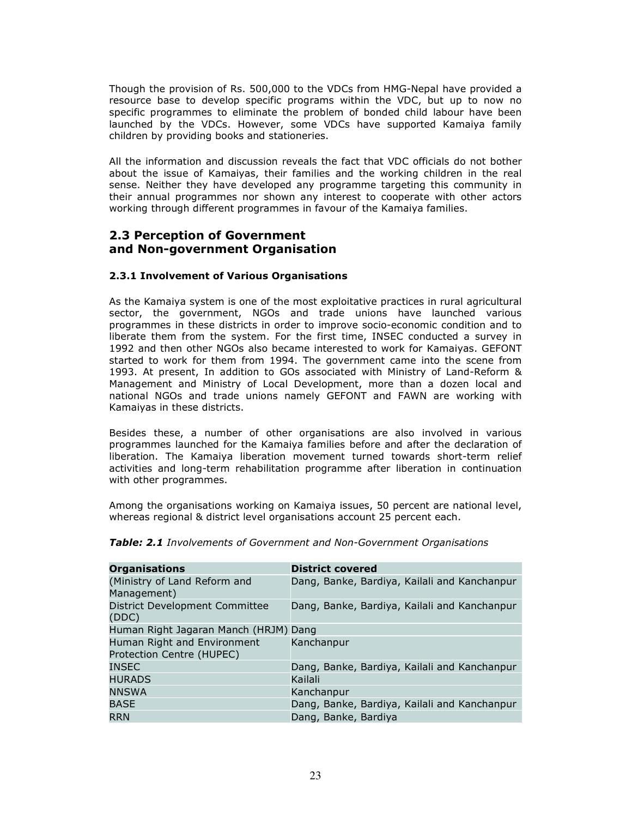Though the provision of Rs. 500,000 to the VDCs from HMG-Nepal have provided a resource base to develop specific programs within the VDC, but up to now no specific programmes to eliminate the problem of bonded child labour have been launched by the VDCs. However, some VDCs have supported Kamaiya family children by providing books and stationeries.

All the information and discussion reveals the fact that VDC officials do not bother about the issue of Kamaiyas, their families and the working children in the real sense. Neither they have developed any programme targeting this community in their annual programmes nor shown any interest to cooperate with other actors working through different programmes in favour of the Kamaiya families.

### 2.3 Perception of Government and Non-government Organisation

### 2.3.1 Involvement of Various Organisations

As the Kamaiya system is one of the most exploitative practices in rural agricultural sector, the government, NGOs and trade unions have launched various programmes in these districts in order to improve socio-economic condition and to liberate them from the system. For the first time, INSEC conducted a survey in 1992 and then other NGOs also became interested to work for Kamaiyas. GEFONT started to work for them from 1994. The government came into the scene from 1993. At present, In addition to GOs associated with Ministry of Land-Reform & Management and Ministry of Local Development, more than a dozen local and national NGOs and trade unions namely GEFONT and FAWN are working with Kamaiyas in these districts.

Besides these, a number of other organisations are also involved in various programmes launched for the Kamaiya families before and after the declaration of liberation. The Kamaiya liberation movement turned towards short-term relief activities and long-term rehabilitation programme after liberation in continuation with other programmes.

Among the organisations working on Kamaiya issues, 50 percent are national level, whereas regional & district level organisations account 25 percent each.

| <b>District covered</b>                      |
|----------------------------------------------|
| Dang, Banke, Bardiya, Kailali and Kanchanpur |
|                                              |
| Dang, Banke, Bardiya, Kailali and Kanchanpur |
|                                              |
| Human Right Jagaran Manch (HRJM) Dang        |
| Kanchanpur                                   |
|                                              |
| Dang, Banke, Bardiya, Kailali and Kanchanpur |
| Kailali                                      |
| Kanchanpur                                   |
| Dang, Banke, Bardiya, Kailali and Kanchanpur |
| Dang, Banke, Bardiya                         |
|                                              |

**Table: 2.1** Involvements of Government and Non-Government Organisations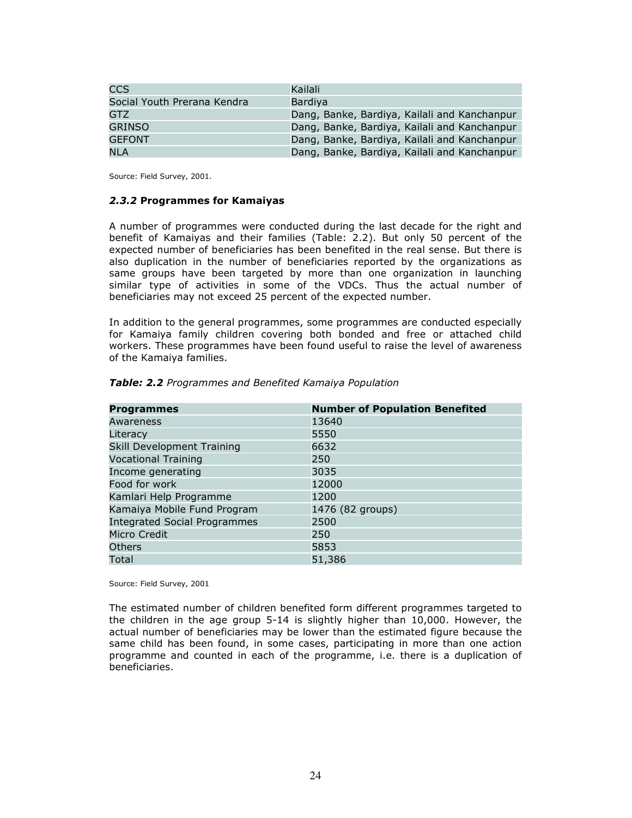| CCS                         | Kailali                                      |
|-----------------------------|----------------------------------------------|
| Social Youth Prerana Kendra | <b>Bardiva</b>                               |
| GTZ.                        | Dang, Banke, Bardiya, Kailali and Kanchanpur |
| GRINSO                      | Dang, Banke, Bardiya, Kailali and Kanchanpur |
| <b>GEFONT</b>               | Dang, Banke, Bardiya, Kailali and Kanchanpur |
| <b>NLA</b>                  | Dang, Banke, Bardiya, Kailali and Kanchanpur |

Source: Field Survey, 2001.

#### 2.3.2 Programmes for Kamaiyas

A number of programmes were conducted during the last decade for the right and benefit of Kamaiyas and their families (Table: 2.2). But only 50 percent of the expected number of beneficiaries has been benefited in the real sense. But there is also duplication in the number of beneficiaries reported by the organizations as same groups have been targeted by more than one organization in launching similar type of activities in some of the VDCs. Thus the actual number of beneficiaries may not exceed 25 percent of the expected number.

In addition to the general programmes, some programmes are conducted especially for Kamaiya family children covering both bonded and free or attached child workers. These programmes have been found useful to raise the level of awareness of the Kamaiya families.

| <b>Programmes</b>                   | <b>Number of Population Benefited</b> |
|-------------------------------------|---------------------------------------|
| Awareness                           | 13640                                 |
| Literacy                            | 5550                                  |
| Skill Development Training          | 6632                                  |
| <b>Vocational Training</b>          | 250                                   |
| Income generating                   | 3035                                  |
| Food for work                       | 12000                                 |
| Kamlari Help Programme              | 1200                                  |
| Kamaiya Mobile Fund Program         | 1476 (82 groups)                      |
| <b>Integrated Social Programmes</b> | 2500                                  |
| Micro Credit                        | 250                                   |
| <b>Others</b>                       | 5853                                  |
| Total                               | 51,386                                |

#### Table: 2.2 Programmes and Benefited Kamaiya Population

Source: Field Survey, 2001

The estimated number of children benefited form different programmes targeted to the children in the age group 5-14 is slightly higher than 10,000. However, the actual number of beneficiaries may be lower than the estimated figure because the same child has been found, in some cases, participating in more than one action programme and counted in each of the programme, i.e. there is a duplication of beneficiaries.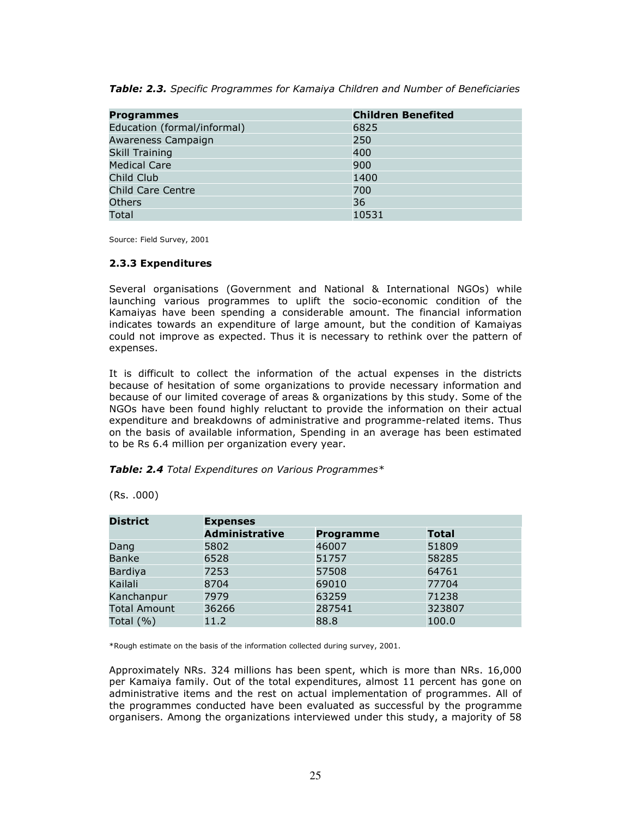| Table: 2.3. Specific Programmes for Kamaiya Children and Number of Beneficiaries |  |  |
|----------------------------------------------------------------------------------|--|--|
|----------------------------------------------------------------------------------|--|--|

| <b>Programmes</b>           | <b>Children Benefited</b> |
|-----------------------------|---------------------------|
| Education (formal/informal) | 6825                      |
| Awareness Campaign          | 250                       |
| <b>Skill Training</b>       | 400                       |
| <b>Medical Care</b>         | 900                       |
| Child Club                  | 1400                      |
| <b>Child Care Centre</b>    | 700                       |
| <b>Others</b>               | 36                        |
| Total                       | 10531                     |

Source: Field Survey, 2001

#### 2.3.3 Expenditures

Several organisations (Government and National & International NGOs) while launching various programmes to uplift the socio-economic condition of the Kamaiyas have been spending a considerable amount. The financial information indicates towards an expenditure of large amount, but the condition of Kamaiyas could not improve as expected. Thus it is necessary to rethink over the pattern of expenses.

It is difficult to collect the information of the actual expenses in the districts because of hesitation of some organizations to provide necessary information and because of our limited coverage of areas & organizations by this study. Some of the NGOs have been found highly reluctant to provide the information on their actual expenditure and breakdowns of administrative and programme-related items. Thus on the basis of available information, Spending in an average has been estimated to be Rs 6.4 million per organization every year.

#### Table: 2.4 Total Expenditures on Various Programmes\*

| <b>District</b>     | <b>Expenses</b>       |                  |              |  |  |
|---------------------|-----------------------|------------------|--------------|--|--|
|                     | <b>Administrative</b> | <b>Programme</b> | <b>Total</b> |  |  |
| Dang                | 5802                  | 46007            | 51809        |  |  |
| <b>Banke</b>        | 6528                  | 51757            | 58285        |  |  |
| <b>Bardiya</b>      | 7253                  | 57508            | 64761        |  |  |
| Kailali             | 8704                  | 69010            | 77704        |  |  |
| Kanchanpur          | 7979                  | 63259            | 71238        |  |  |
| <b>Total Amount</b> | 36266                 | 287541           | 323807       |  |  |
| Total $(% )$        | 11.2                  | 88.8             | 100.0        |  |  |

(Rs. .000)

\*Rough estimate on the basis of the information collected during survey, 2001.

Approximately NRs. 324 millions has been spent, which is more than NRs. 16,000 per Kamaiya family. Out of the total expenditures, almost 11 percent has gone on administrative items and the rest on actual implementation of programmes. All of the programmes conducted have been evaluated as successful by the programme organisers. Among the organizations interviewed under this study, a majority of 58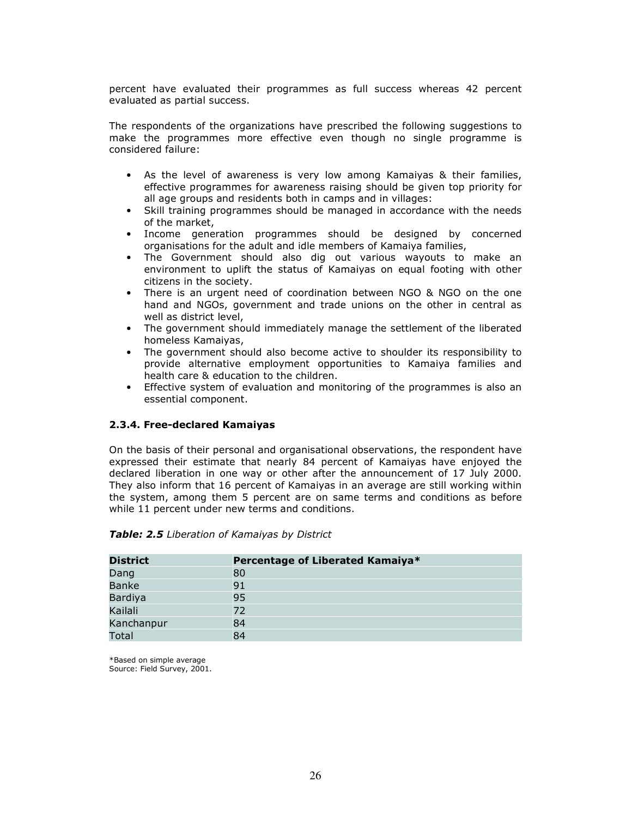percent have evaluated their programmes as full success whereas 42 percent evaluated as partial success.

The respondents of the organizations have prescribed the following suggestions to make the programmes more effective even though no single programme is considered failure:

- As the level of awareness is very low among Kamaiyas & their families, effective programmes for awareness raising should be given top priority for all age groups and residents both in camps and in villages:
- Skill training programmes should be managed in accordance with the needs of the market,
- Income generation programmes should be designed by concerned organisations for the adult and idle members of Kamaiya families,
- The Government should also dig out various wayouts to make an environment to uplift the status of Kamaiyas on equal footing with other citizens in the society.
- There is an urgent need of coordination between NGO & NGO on the one hand and NGOs, government and trade unions on the other in central as well as district level,
- The government should immediately manage the settlement of the liberated homeless Kamaiyas,
- The government should also become active to shoulder its responsibility to provide alternative employment opportunities to Kamaiya families and health care & education to the children.
- Effective system of evaluation and monitoring of the programmes is also an essential component.

#### 2.3.4. Free-declared Kamaiyas

On the basis of their personal and organisational observations, the respondent have expressed their estimate that nearly 84 percent of Kamaiyas have enjoyed the declared liberation in one way or other after the announcement of 17 July 2000. They also inform that 16 percent of Kamaiyas in an average are still working within the system, among them 5 percent are on same terms and conditions as before while 11 percent under new terms and conditions.

| <b>District</b> | Percentage of Liberated Kamaiya* |
|-----------------|----------------------------------|
| Dang            | 80                               |
| <b>Banke</b>    | 91                               |
| Bardiya         | 95                               |
| Kailali         | 72                               |
| Kanchanpur      | 84                               |
| Total           | 84                               |

#### Table: 2.5 Liberation of Kamaiyas by District

\*Based on simple average Source: Field Survey, 2001.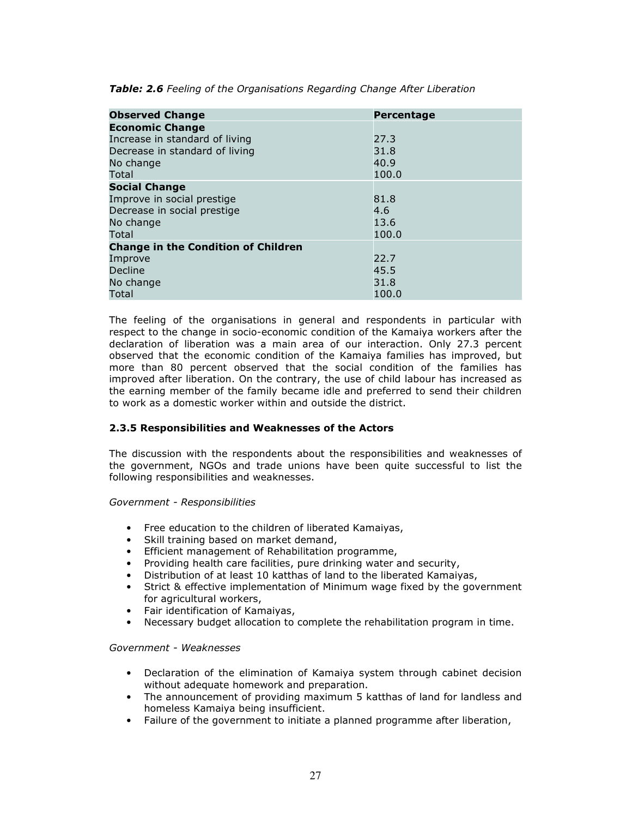| <b>Observed Change</b>                     | Percentage |
|--------------------------------------------|------------|
| <b>Economic Change</b>                     |            |
| Increase in standard of living             | 27.3       |
| Decrease in standard of living             | 31.8       |
| No change                                  | 40.9       |
| Total                                      | 100.0      |
| <b>Social Change</b>                       |            |
| Improve in social prestige                 | 81.8       |
| Decrease in social prestige                | 4.6        |
| No change                                  | 13.6       |
| Total                                      | 100.0      |
| <b>Change in the Condition of Children</b> |            |
| Improve                                    | 22.7       |
| Decline                                    | 45.5       |
| No change                                  | 31.8       |
| Total                                      | 100.0      |

Table: 2.6 Feeling of the Organisations Regarding Change After Liberation

The feeling of the organisations in general and respondents in particular with respect to the change in socio-economic condition of the Kamaiya workers after the declaration of liberation was a main area of our interaction. Only 27.3 percent observed that the economic condition of the Kamaiya families has improved, but more than 80 percent observed that the social condition of the families has improved after liberation. On the contrary, the use of child labour has increased as the earning member of the family became idle and preferred to send their children to work as a domestic worker within and outside the district.

#### 2.3.5 Responsibilities and Weaknesses of the Actors

The discussion with the respondents about the responsibilities and weaknesses of the government, NGOs and trade unions have been quite successful to list the following responsibilities and weaknesses.

Government - Responsibilities

- Free education to the children of liberated Kamaiyas,
- Skill training based on market demand,
- Efficient management of Rehabilitation programme,
- Providing health care facilities, pure drinking water and security,
- Distribution of at least 10 katthas of land to the liberated Kamaiyas,
- Strict & effective implementation of Minimum wage fixed by the government for agricultural workers,
- Fair identification of Kamaiyas,
- Necessary budget allocation to complete the rehabilitation program in time.

#### Government - Weaknesses

- Declaration of the elimination of Kamaiya system through cabinet decision without adequate homework and preparation.
- The announcement of providing maximum 5 katthas of land for landless and homeless Kamaiya being insufficient.
- Failure of the government to initiate a planned programme after liberation,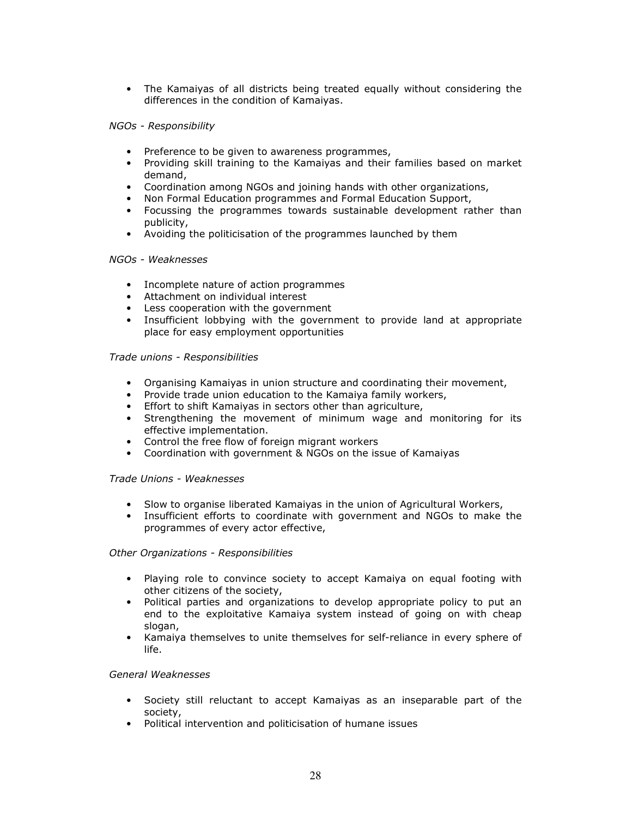• The Kamaiyas of all districts being treated equally without considering the differences in the condition of Kamaiyas.

#### NGOs - Responsibility

- Preference to be given to awareness programmes,
- Providing skill training to the Kamaiyas and their families based on market demand,
- Coordination among NGOs and joining hands with other organizations,
- Non Formal Education programmes and Formal Education Support,
- Focussing the programmes towards sustainable development rather than publicity,
- Avoiding the politicisation of the programmes launched by them

#### NGOs - Weaknesses

- Incomplete nature of action programmes
- Attachment on individual interest
- Less cooperation with the government
- Insufficient lobbying with the government to provide land at appropriate place for easy employment opportunities

#### Trade unions - Responsibilities

- Organising Kamaiyas in union structure and coordinating their movement,
- Provide trade union education to the Kamaiya family workers,
- Effort to shift Kamaiyas in sectors other than agriculture,
- Strengthening the movement of minimum wage and monitoring for its effective implementation.
- Control the free flow of foreign migrant workers
- Coordination with government & NGOs on the issue of Kamaiyas

#### Trade Unions - Weaknesses

- Slow to organise liberated Kamaiyas in the union of Agricultural Workers,
- Insufficient efforts to coordinate with government and NGOs to make the programmes of every actor effective,

#### Other Organizations - Responsibilities

- Playing role to convince society to accept Kamaiya on equal footing with other citizens of the society,
- Political parties and organizations to develop appropriate policy to put an end to the exploitative Kamaiya system instead of going on with cheap slogan,
- Kamaiya themselves to unite themselves for self-reliance in every sphere of life.

#### General Weaknesses

- Society still reluctant to accept Kamaiyas as an inseparable part of the society,
- Political intervention and politicisation of humane issues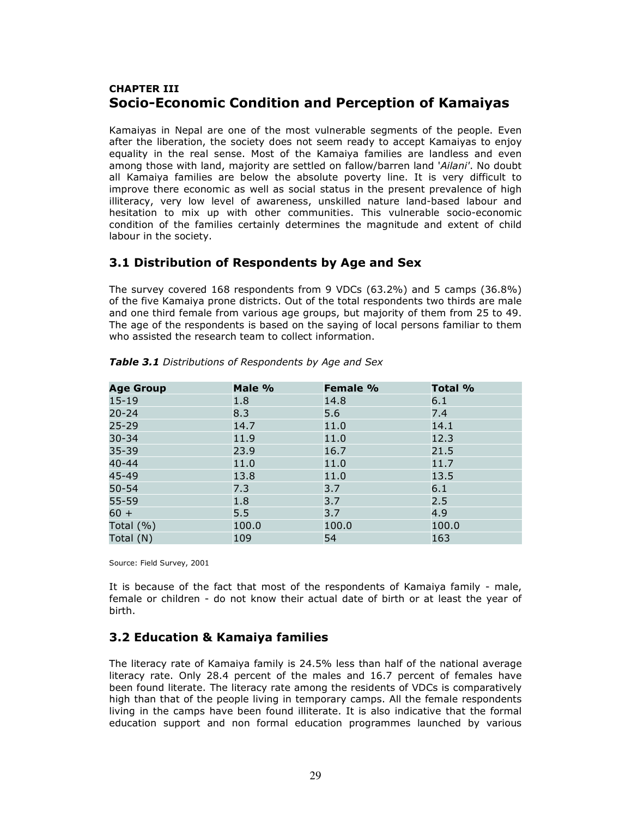### CHAPTER III Socio-Economic Condition and Perception of Kamaiyas

Kamaiyas in Nepal are one of the most vulnerable segments of the people. Even after the liberation, the society does not seem ready to accept Kamaiyas to enjoy equality in the real sense. Most of the Kamaiya families are landless and even among those with land, majority are settled on fallow/barren land 'Ailani'. No doubt all Kamaiya families are below the absolute poverty line. It is very difficult to improve there economic as well as social status in the present prevalence of high illiteracy, very low level of awareness, unskilled nature land-based labour and hesitation to mix up with other communities. This vulnerable socio-economic condition of the families certainly determines the magnitude and extent of child labour in the society.

### 3.1 Distribution of Respondents by Age and Sex

The survey covered 168 respondents from 9 VDCs (63.2%) and 5 camps (36.8%) of the five Kamaiya prone districts. Out of the total respondents two thirds are male and one third female from various age groups, but majority of them from 25 to 49. The age of the respondents is based on the saying of local persons familiar to them who assisted the research team to collect information.

| <b>Age Group</b> | Male % | Female % | Total % |
|------------------|--------|----------|---------|
| $15 - 19$        | 1.8    | 14.8     | 6.1     |
| $20 - 24$        | 8.3    | 5.6      | 7.4     |
| $25 - 29$        | 14.7   | 11.0     | 14.1    |
| $30 - 34$        | 11.9   | 11.0     | 12.3    |
| $35 - 39$        | 23.9   | 16.7     | 21.5    |
| $40 - 44$        | 11.0   | 11.0     | 11.7    |
| 45-49            | 13.8   | 11.0     | 13.5    |
| $50 - 54$        | 7.3    | 3.7      | 6.1     |
| 55-59            | 1.8    | 3.7      | 2.5     |
| $60 +$           | 5.5    | 3.7      | 4.9     |
| Total $(% )$     | 100.0  | 100.0    | 100.0   |
| Total (N)        | 109    | 54       | 163     |

Table 3.1 Distributions of Respondents by Age and Sex

Source: Field Survey, 2001

It is because of the fact that most of the respondents of Kamaiya family - male, female or children - do not know their actual date of birth or at least the year of birth.

### 3.2 Education & Kamaiya families

The literacy rate of Kamaiya family is 24.5% less than half of the national average literacy rate. Only 28.4 percent of the males and 16.7 percent of females have been found literate. The literacy rate among the residents of VDCs is comparatively high than that of the people living in temporary camps. All the female respondents living in the camps have been found illiterate. It is also indicative that the formal education support and non formal education programmes launched by various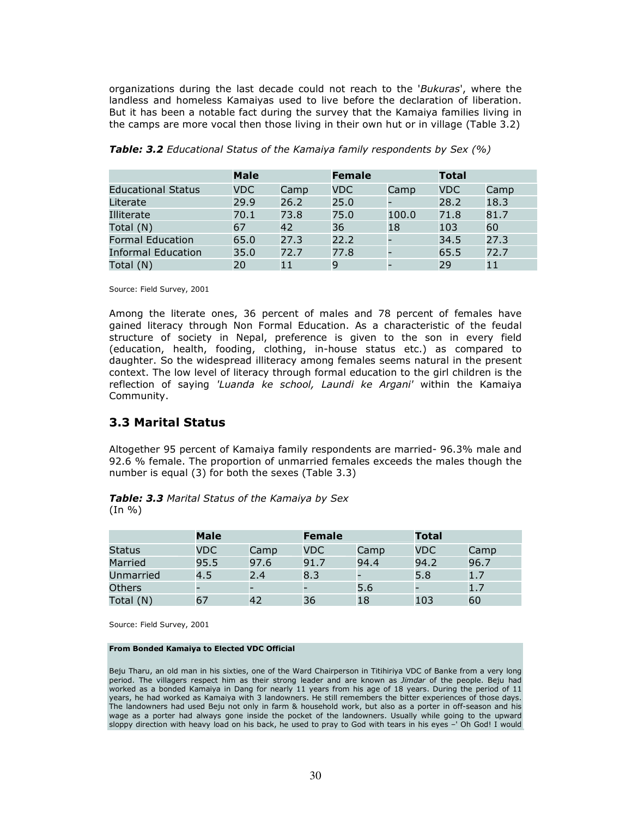organizations during the last decade could not reach to the 'Bukuras', where the landless and homeless Kamaiyas used to live before the declaration of liberation. But it has been a notable fact during the survey that the Kamaiya families living in the camps are more vocal then those living in their own hut or in village (Table 3.2)

|                           | <b>Male</b> |      | <b>Female</b> |       | <b>Total</b> |      |
|---------------------------|-------------|------|---------------|-------|--------------|------|
| <b>Educational Status</b> | VDC.        | Camp | <b>VDC</b>    | Camp  | <b>VDC</b>   | Camp |
| Literate                  | 29.9        | 26.2 | 25.0          |       | 28.2         | 18.3 |
| Illiterate                | 70.1        | 73.8 | 75.0          | 100.0 | 71.8         | 81.7 |
| Total (N)                 | 67          | 42   | 36            | 18    | 103          | 60   |
| <b>Formal Education</b>   | 65.0        | 27.3 | 22.2          |       | 34.5         | 27.3 |
| <b>Informal Education</b> | 35.0        | 72.7 | 77.8          |       | 65.5         | 72.7 |
| Total (N)                 | 20          | 11   | 9             |       | 29           | 11   |

**Table: 3.2** Educational Status of the Kamaiya family respondents by Sex (%)

Source: Field Survey, 2001

Among the literate ones, 36 percent of males and 78 percent of females have gained literacy through Non Formal Education. As a characteristic of the feudal structure of society in Nepal, preference is given to the son in every field (education, health, fooding, clothing, in-house status etc.) as compared to daughter. So the widespread illiteracy among females seems natural in the present context. The low level of literacy through formal education to the girl children is the reflection of saying 'Luanda ke school, Laundi ke Argani' within the Kamaiya Community.

### 3.3 Marital Status

Altogether 95 percent of Kamaiya family respondents are married- 96.3% male and 92.6 % female. The proportion of unmarried females exceeds the males though the number is equal (3) for both the sexes (Table 3.3)

Table: 3.3 Marital Status of the Kamaiya by Sex  $(In  $\% )$$ 

|               | <b>Male</b> |      | <b>Female</b> |      | <b>Total</b> |      |
|---------------|-------------|------|---------------|------|--------------|------|
| Status        | VDC         | Camp | <b>VDC</b>    | Camp | <b>VDC</b>   | Camp |
| Married       | 95.5        | 97.6 | 91.7          | 94.4 | 94.2         | 96.7 |
| Unmarried     | 4.5         | 2.4  | 8.3           |      | 5.8          | 1.7  |
| <b>Others</b> |             |      |               | 5.6  |              | 1.7  |
| Total (N)     | 67          | 42   | 36            | 18   | 103          | 60   |

Source: Field Survey, 2001

#### From Bonded Kamaiya to Elected VDC Official

Beju Tharu, an old man in his sixties, one of the Ward Chairperson in Titihiriya VDC of Banke from a very long period. The villagers respect him as their strong leader and are known as Jimdar of the people. Beju had worked as a bonded Kamaiya in Dang for nearly 11 years from his age of 18 years. During the period of 11 years, he had worked as Kamaiya with 3 landowners. He still remembers the bitter experiences of those days. The landowners had used Beju not only in farm & household work, but also as a porter in off-season and his wage as a porter had always gone inside the pocket of the landowners. Usually while going to the upward sloppy direction with heavy load on his back, he used to pray to God with tears in his eyes –' Oh God! I would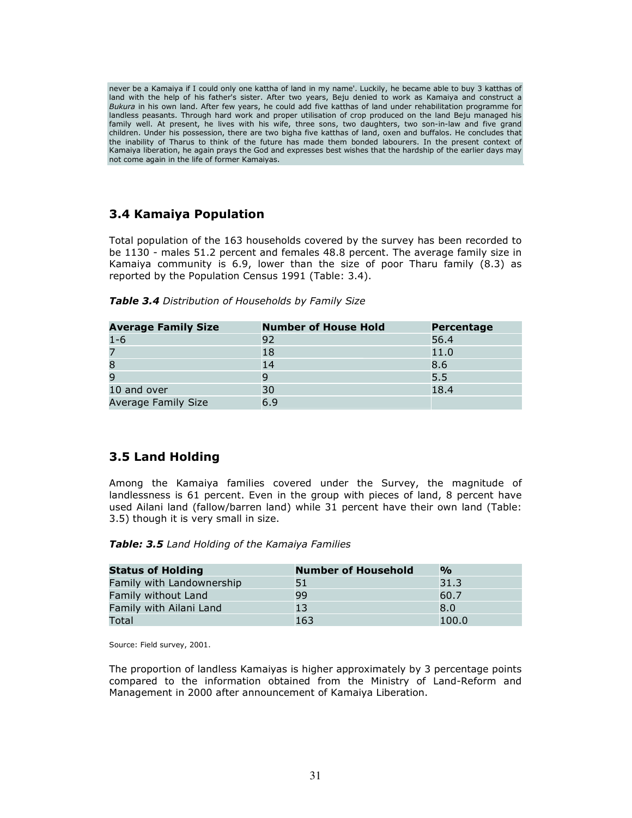never be a Kamaiya if I could only one kattha of land in my name'. Luckily, he became able to buy 3 katthas of land with the help of his father's sister. After two years, Beju denied to work as Kamaiya and construct a Bukura in his own land. After few years, he could add five katthas of land under rehabilitation programme for landless peasants. Through hard work and proper utilisation of crop produced on the land Beju managed his family well. At present, he lives with his wife, three sons, two daughters, two son-in-law and five grand children. Under his possession, there are two bigha five katthas of land, oxen and buffalos. He concludes that the inability of Tharus to think of the future has made them bonded labourers. In the present context of Kamaiya liberation, he again prays the God and expresses best wishes that the hardship of the earlier days may not come again in the life of former Kamaiyas.

### 3.4 Kamaiya Population

Total population of the 163 households covered by the survey has been recorded to be 1130 - males 51.2 percent and females 48.8 percent. The average family size in Kamaiya community is 6.9, lower than the size of poor Tharu family (8.3) as reported by the Population Census 1991 (Table: 3.4).

|  | Table 3.4 Distribution of Households by Family Size |  |  |
|--|-----------------------------------------------------|--|--|
|  |                                                     |  |  |

| <b>Average Family Size</b> | <b>Number of House Hold</b> | <b>Percentage</b> |
|----------------------------|-----------------------------|-------------------|
| $1 - 6$                    | 92                          | 56.4              |
|                            | 18                          | 11.0              |
|                            | 14                          | 8.6               |
|                            | 9                           | 5.5               |
| 10 and over                | 30                          | 18.4              |
| <b>Average Family Size</b> | 6.9                         |                   |

### 3.5 Land Holding

Among the Kamaiya families covered under the Survey, the magnitude of landlessness is 61 percent. Even in the group with pieces of land, 8 percent have used Ailani land (fallow/barren land) while 31 percent have their own land (Table: 3.5) though it is very small in size.

#### Table: 3.5 Land Holding of the Kamaiya Families

| <b>Status of Holding</b>  | <b>Number of Household</b> | $\frac{1}{2}$ |
|---------------------------|----------------------------|---------------|
| Family with Landownership | 51                         | 31.3          |
| Family without Land       | 99                         | 60.7          |
| Family with Ailani Land   | 13                         | 8.0           |
| Total                     | 163                        | 100.0         |

Source: Field survey, 2001.

The proportion of landless Kamaiyas is higher approximately by 3 percentage points compared to the information obtained from the Ministry of Land-Reform and Management in 2000 after announcement of Kamaiya Liberation.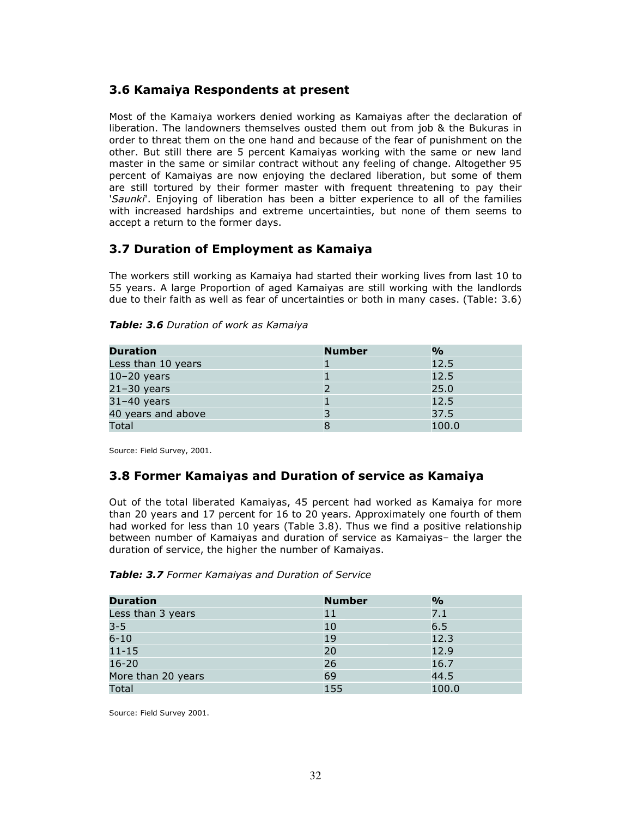### 3.6 Kamaiya Respondents at present

Most of the Kamaiya workers denied working as Kamaiyas after the declaration of liberation. The landowners themselves ousted them out from job & the Bukuras in order to threat them on the one hand and because of the fear of punishment on the other. But still there are 5 percent Kamaiyas working with the same or new land master in the same or similar contract without any feeling of change. Altogether 95 percent of Kamaiyas are now enjoying the declared liberation, but some of them are still tortured by their former master with frequent threatening to pay their 'Saunki'. Enjoying of liberation has been a bitter experience to all of the families with increased hardships and extreme uncertainties, but none of them seems to accept a return to the former days.

### 3.7 Duration of Employment as Kamaiya

The workers still working as Kamaiya had started their working lives from last 10 to 55 years. A large Proportion of aged Kamaiyas are still working with the landlords due to their faith as well as fear of uncertainties or both in many cases. (Table: 3.6)

#### Table: 3.6 Duration of work as Kamaiya

| <b>Duration</b>    | <b>Number</b> | %     |
|--------------------|---------------|-------|
| Less than 10 years |               | 12.5  |
| $10-20$ years      |               | 12.5  |
| $21-30$ years      |               | 25.0  |
| $31-40$ years      |               | 12.5  |
| 40 years and above |               | 37.5  |
| Total              |               | 100.0 |

Source: Field Survey, 2001.

### 3.8 Former Kamaiyas and Duration of service as Kamaiya

Out of the total liberated Kamaiyas, 45 percent had worked as Kamaiya for more than 20 years and 17 percent for 16 to 20 years. Approximately one fourth of them had worked for less than 10 years (Table 3.8). Thus we find a positive relationship between number of Kamaiyas and duration of service as Kamaiyas– the larger the duration of service, the higher the number of Kamaiyas.

#### Table: 3.7 Former Kamaiyas and Duration of Service

| <b>Duration</b>    | <b>Number</b> | $\frac{1}{2}$ |
|--------------------|---------------|---------------|
| Less than 3 years  | 11            | 7.1           |
| $3 - 5$            | 10            | 6.5           |
| $6 - 10$           | 19            | 12.3          |
| $11 - 15$          | 20            | 12.9          |
| $16 - 20$          | 26            | 16.7          |
| More than 20 years | 69            | 44.5          |
| Total              | 155           | 100.0         |

Source: Field Survey 2001.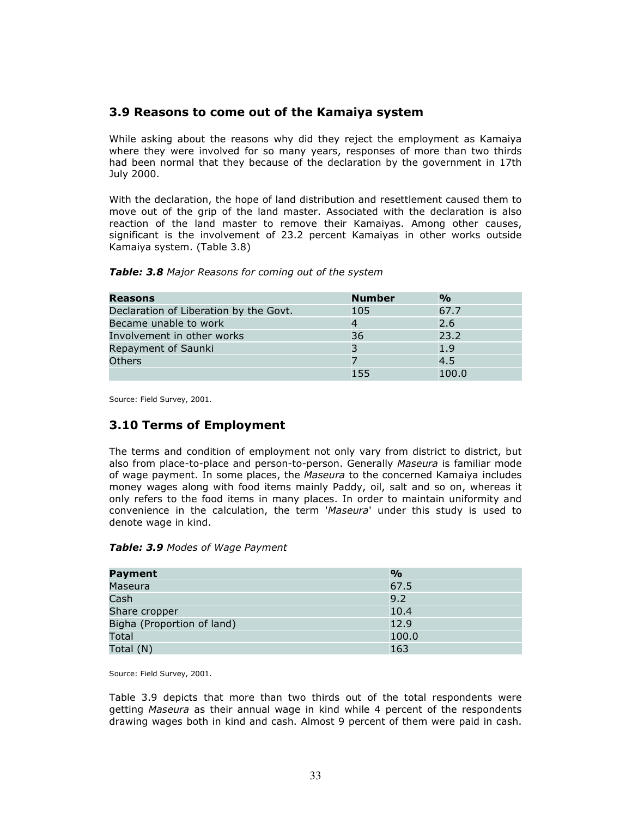### 3.9 Reasons to come out of the Kamaiya system

While asking about the reasons why did they reject the employment as Kamaiya where they were involved for so many years, responses of more than two thirds had been normal that they because of the declaration by the government in 17th July 2000.

With the declaration, the hope of land distribution and resettlement caused them to move out of the grip of the land master. Associated with the declaration is also reaction of the land master to remove their Kamaiyas. Among other causes, significant is the involvement of 23.2 percent Kamaiyas in other works outside Kamaiya system. (Table 3.8)

#### Table: 3.8 Major Reasons for coming out of the system

| Reasons                                | <b>Number</b> | $\frac{O}{O}$ |
|----------------------------------------|---------------|---------------|
| Declaration of Liberation by the Govt. | 105           | 67.7          |
| Became unable to work                  | 4             | 2.6           |
| Involvement in other works             | 36            | 23.2          |
| Repayment of Saunki                    | 3             | 1.9           |
| <b>Others</b>                          |               | 4.5           |
|                                        | 155           | 100.0         |

Source: Field Survey, 2001.

### 3.10 Terms of Employment

The terms and condition of employment not only vary from district to district, but also from place-to-place and person-to-person. Generally Maseura is familiar mode of wage payment. In some places, the Maseura to the concerned Kamaiya includes money wages along with food items mainly Paddy, oil, salt and so on, whereas it only refers to the food items in many places. In order to maintain uniformity and convenience in the calculation, the term 'Maseura' under this study is used to denote wage in kind.

| Table: 3.9 Modes of Wage Payment |  |  |  |
|----------------------------------|--|--|--|
|----------------------------------|--|--|--|

| Payment                    | $\frac{1}{2}$ |
|----------------------------|---------------|
| Maseura                    | 67.5          |
| Cash                       | 9.2           |
| Share cropper              | 10.4          |
| Bigha (Proportion of land) | 12.9          |
| Total                      | 100.0         |
| Total (N)                  | 163           |

Source: Field Survey, 2001.

Table 3.9 depicts that more than two thirds out of the total respondents were getting Maseura as their annual wage in kind while 4 percent of the respondents drawing wages both in kind and cash. Almost 9 percent of them were paid in cash.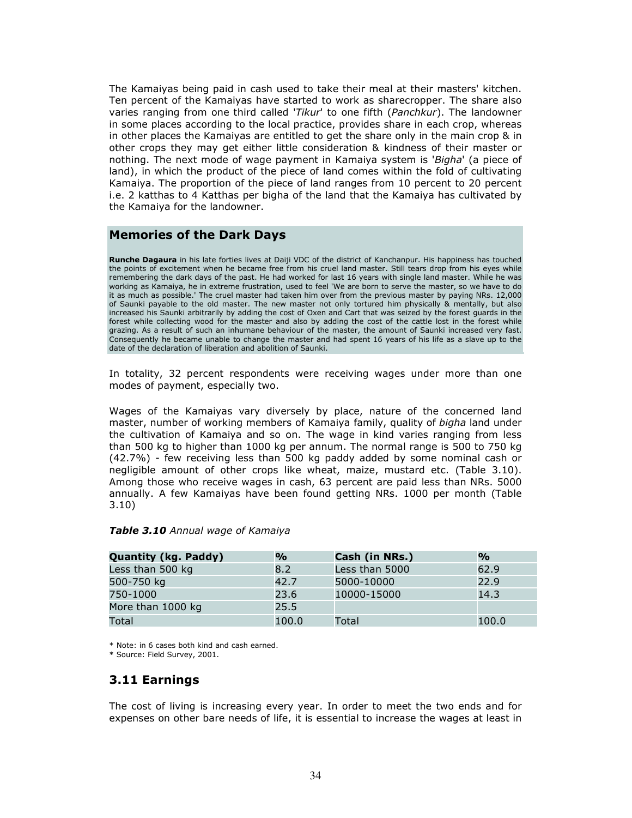The Kamaiyas being paid in cash used to take their meal at their masters' kitchen. Ten percent of the Kamaiyas have started to work as sharecropper. The share also varies ranging from one third called 'Tikur' to one fifth (Panchkur). The landowner in some places according to the local practice, provides share in each crop, whereas in other places the Kamaiyas are entitled to get the share only in the main crop & in other crops they may get either little consideration & kindness of their master or nothing. The next mode of wage payment in Kamaiya system is 'Bigha' (a piece of land), in which the product of the piece of land comes within the fold of cultivating Kamaiya. The proportion of the piece of land ranges from 10 percent to 20 percent i.e. 2 katthas to 4 Katthas per bigha of the land that the Kamaiya has cultivated by the Kamaiya for the landowner.

### Memories of the Dark Days

Runche Dagaura in his late forties lives at Daiji VDC of the district of Kanchanpur. His happiness has touched the points of excitement when he became free from his cruel land master. Still tears drop from his eyes while remembering the dark days of the past. He had worked for last 16 years with single land master. While he was working as Kamaiya, he in extreme frustration, used to feel 'We are born to serve the master, so we have to do it as much as possible.' The cruel master had taken him over from the previous master by paying NRs. 12,000 of Saunki payable to the old master. The new master not only tortured him physically & mentally, but also increased his Saunki arbitrarily by adding the cost of Oxen and Cart that was seized by the forest guards in the forest while collecting wood for the master and also by adding the cost of the cattle lost in the forest while grazing. As a result of such an inhumane behaviour of the master, the amount of Saunki increased very fast. Consequently he became unable to change the master and had spent 16 years of his life as a slave up to the date of the declaration of liberation and abolition of Saunki.

In totality, 32 percent respondents were receiving wages under more than one modes of payment, especially two.

Wages of the Kamaiyas vary diversely by place, nature of the concerned land master, number of working members of Kamaiya family, quality of bigha land under the cultivation of Kamaiya and so on. The wage in kind varies ranging from less than 500 kg to higher than 1000 kg per annum. The normal range is 500 to 750 kg (42.7%) - few receiving less than 500 kg paddy added by some nominal cash or negligible amount of other crops like wheat, maize, mustard etc. (Table 3.10). Among those who receive wages in cash, 63 percent are paid less than NRs. 5000 annually. A few Kamaiyas have been found getting NRs. 1000 per month (Table 3.10)

| <b>Quantity (kg. Paddy)</b> | %     | Cash (in NRs.) | %     |
|-----------------------------|-------|----------------|-------|
| Less than 500 kg            | 8.2   | Less than 5000 | 62.9  |
| 500-750 kg                  | 42.7  | 5000-10000     | 22.9  |
| 750-1000                    | 23.6  | 10000-15000    | 14.3  |
| More than 1000 kg           | 25.5  |                |       |
| Total                       | 100.0 | Total          | 100.0 |

#### Table 3.10 Annual wage of Kamaiya

\* Note: in 6 cases both kind and cash earned.

\* Source: Field Survey, 2001.

### 3.11 Earnings

The cost of living is increasing every year. In order to meet the two ends and for expenses on other bare needs of life, it is essential to increase the wages at least in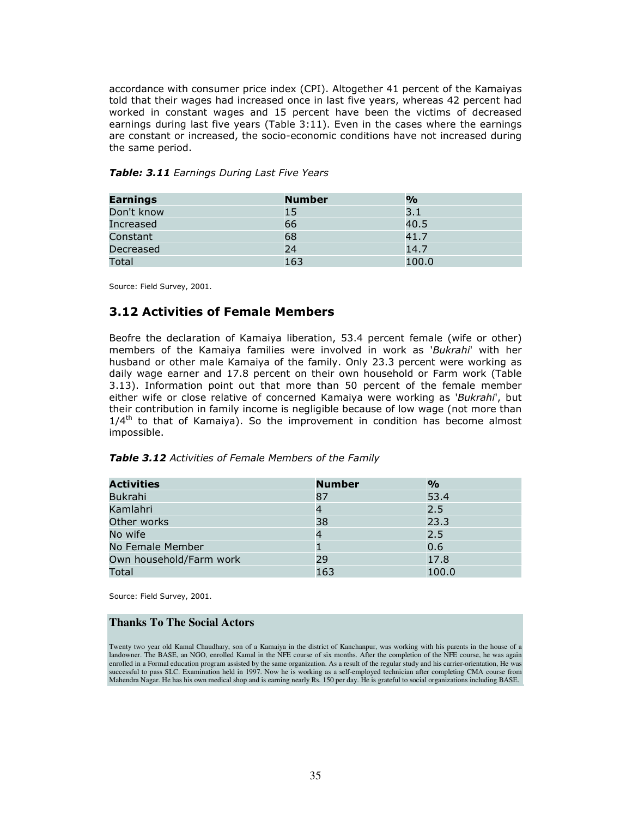accordance with consumer price index (CPI). Altogether 41 percent of the Kamaiyas told that their wages had increased once in last five years, whereas 42 percent had worked in constant wages and 15 percent have been the victims of decreased earnings during last five years (Table 3:11). Even in the cases where the earnings are constant or increased, the socio-economic conditions have not increased during the same period.

| <b>Earnings</b> | <b>Number</b> | $\frac{0}{0}$ |
|-----------------|---------------|---------------|
| Don't know      | 15            | 3.1           |
| Increased       | 66            | 40.5          |
| Constant        | 68            | 41.7          |
| Decreased       | 24            | 14.7          |
| Total           | 163           | 100.0         |

Table: 3.11 Earnings During Last Five Years

Source: Field Survey, 2001.

### 3.12 Activities of Female Members

Beofre the declaration of Kamaiya liberation, 53.4 percent female (wife or other) members of the Kamaiya families were involved in work as 'Bukrahi' with her husband or other male Kamaiya of the family. Only 23.3 percent were working as daily wage earner and 17.8 percent on their own household or Farm work (Table 3.13). Information point out that more than 50 percent of the female member either wife or close relative of concerned Kamaiya were working as 'Bukrahi', but their contribution in family income is negligible because of low wage (not more than  $1/4<sup>th</sup>$  to that of Kamaiya). So the improvement in condition has become almost impossible.

| Table 3.12 Activities of Female Members of the Family |  |  |  |  |
|-------------------------------------------------------|--|--|--|--|
|-------------------------------------------------------|--|--|--|--|

| <b>Activities</b>       | <b>Number</b> | $\frac{1}{2}$ |
|-------------------------|---------------|---------------|
| Bukrahi                 | 87            | 53.4          |
| Kamlahri                |               | 2.5           |
| Other works             | 38            | 23.3          |
| No wife                 | 4             | 2.5           |
| No Female Member        |               | 0.6           |
| Own household/Farm work | 29            | 17.8          |
| Total                   | 163           | 100.0         |

Source: Field Survey, 2001.

#### **Thanks To The Social Actors**

Twenty two year old Kamal Chaudhary, son of a Kamaiya in the district of Kanchanpur, was working with his parents in the house of a landowner. The BASE, an NGO, enrolled Kamal in the NFE course of six months. After the completion of the NFE course, he was again enrolled in a Formal education program assisted by the same organization. As a result of the regular study and his carrier-orientation, He was successful to pass SLC. Examination held in 1997. Now he is working as a self-employed technician after completing CMA course from Mahendra Nagar. He has his own medical shop and is earning nearly Rs. 150 per day. He is grateful to social organizations including BASE.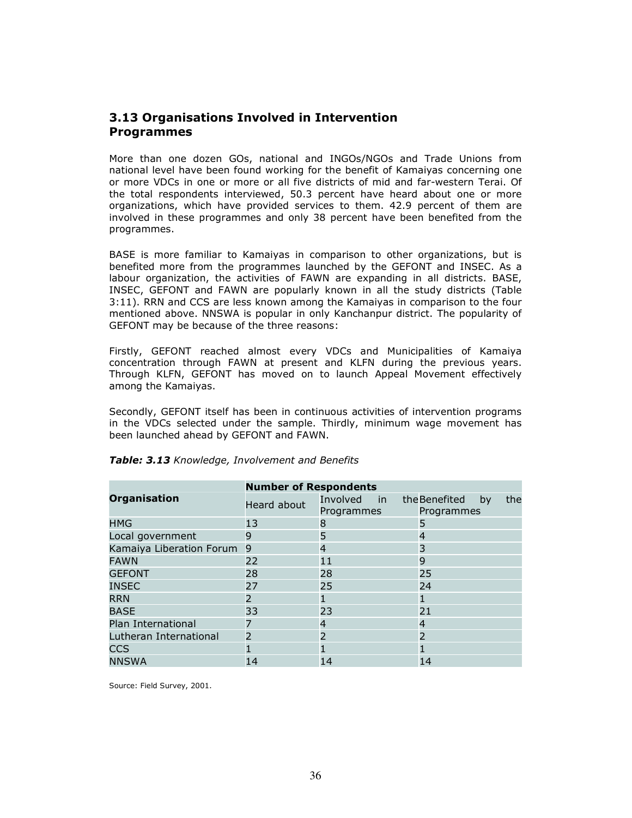### 3.13 Organisations Involved in Intervention Programmes

More than one dozen GOs, national and INGOs/NGOs and Trade Unions from national level have been found working for the benefit of Kamaiyas concerning one or more VDCs in one or more or all five districts of mid and far-western Terai. Of the total respondents interviewed, 50.3 percent have heard about one or more organizations, which have provided services to them. 42.9 percent of them are involved in these programmes and only 38 percent have been benefited from the programmes.

BASE is more familiar to Kamaiyas in comparison to other organizations, but is benefited more from the programmes launched by the GEFONT and INSEC. As a labour organization, the activities of FAWN are expanding in all districts. BASE, INSEC, GEFONT and FAWN are popularly known in all the study districts (Table 3:11). RRN and CCS are less known among the Kamaiyas in comparison to the four mentioned above. NNSWA is popular in only Kanchanpur district. The popularity of GEFONT may be because of the three reasons:

Firstly, GEFONT reached almost every VDCs and Municipalities of Kamaiya concentration through FAWN at present and KLFN during the previous years. Through KLFN, GEFONT has moved on to launch Appeal Movement effectively among the Kamaiyas.

Secondly, GEFONT itself has been in continuous activities of intervention programs in the VDCs selected under the sample. Thirdly, minimum wage movement has been launched ahead by GEFONT and FAWN.

|                          | <b>Number of Respondents</b> |                           |                                          |  |  |  |
|--------------------------|------------------------------|---------------------------|------------------------------------------|--|--|--|
| <b>Organisation</b>      | Heard about                  | Involved in<br>Programmes | the Benefited<br>the<br>by<br>Programmes |  |  |  |
| <b>HMG</b>               | 13                           | 8                         | 5                                        |  |  |  |
| Local government         | 9                            | 5                         | 4                                        |  |  |  |
| Kamaiya Liberation Forum | 9                            | 4                         | 3                                        |  |  |  |
| <b>FAWN</b>              | 22                           | 11                        | 9                                        |  |  |  |
| <b>GEFONT</b>            | 28                           | 28                        | 25                                       |  |  |  |
| <b>INSEC</b>             | 27                           | 25                        | 24                                       |  |  |  |
| <b>RRN</b>               | $\overline{\phantom{a}}$     |                           |                                          |  |  |  |
| <b>BASE</b>              | 33                           | 23                        | 21                                       |  |  |  |
| Plan International       |                              | 4                         | 4                                        |  |  |  |
| Lutheran International   | $\overline{2}$               | $\overline{\phantom{0}}$  | $\overline{2}$                           |  |  |  |
| <b>CCS</b>               |                              |                           |                                          |  |  |  |
| <b>NNSWA</b>             | 14                           | 14                        | 14                                       |  |  |  |

#### Table: 3.13 Knowledge, Involvement and Benefits

Source: Field Survey, 2001.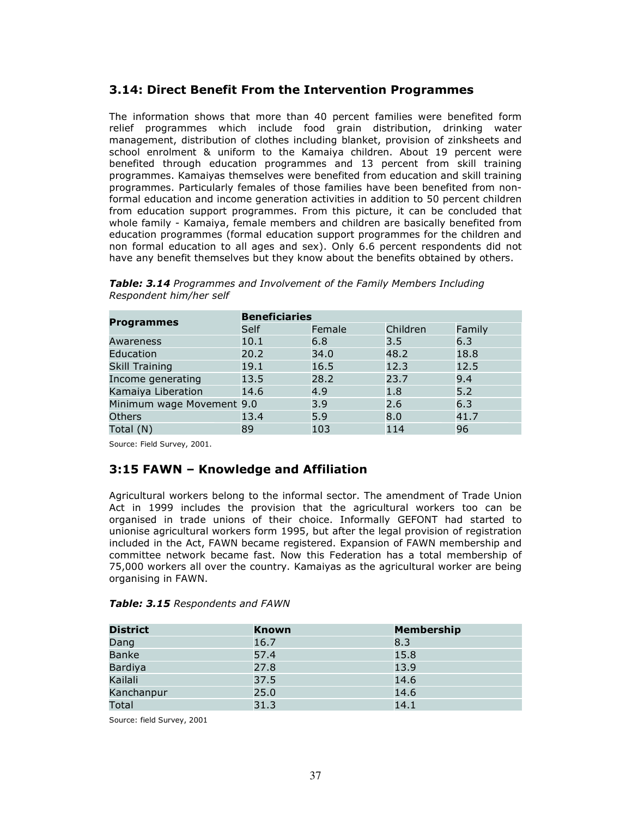### 3.14: Direct Benefit From the Intervention Programmes

The information shows that more than 40 percent families were benefited form relief programmes which include food grain distribution, drinking water management, distribution of clothes including blanket, provision of zinksheets and school enrolment & uniform to the Kamaiya children. About 19 percent were benefited through education programmes and 13 percent from skill training programmes. Kamaiyas themselves were benefited from education and skill training programmes. Particularly females of those families have been benefited from nonformal education and income generation activities in addition to 50 percent children from education support programmes. From this picture, it can be concluded that whole family - Kamaiya, female members and children are basically benefited from education programmes (formal education support programmes for the children and non formal education to all ages and sex). Only 6.6 percent respondents did not have any benefit themselves but they know about the benefits obtained by others.

| <b>Programmes</b>         | <b>Beneficiaries</b> |        |          |        |  |  |
|---------------------------|----------------------|--------|----------|--------|--|--|
|                           | Self                 | Female | Children | Family |  |  |
| Awareness                 | 10.1                 | 6.8    | 3.5      | 6.3    |  |  |
| Education                 | 20.2                 | 34.0   | 48.2     | 18.8   |  |  |
| <b>Skill Training</b>     | 19.1                 | 16.5   | 12.3     | 12.5   |  |  |
| Income generating         | 13.5                 | 28.2   | 23.7     | 9.4    |  |  |
| Kamaiya Liberation        | 14.6                 | 4.9    | 1.8      | 5.2    |  |  |
| Minimum wage Movement 9.0 |                      | 3.9    | 2.6      | 6.3    |  |  |
| <b>Others</b>             | 13.4                 | 5.9    | 8.0      | 41.7   |  |  |
| Total (N)                 | 89                   | 103    | 114      | 96     |  |  |

Table: 3.14 Programmes and Involvement of the Family Members Including Respondent him/her self

Source: Field Survey, 2001.

### 3:15 FAWN – Knowledge and Affiliation

Agricultural workers belong to the informal sector. The amendment of Trade Union Act in 1999 includes the provision that the agricultural workers too can be organised in trade unions of their choice. Informally GEFONT had started to unionise agricultural workers form 1995, but after the legal provision of registration included in the Act, FAWN became registered. Expansion of FAWN membership and committee network became fast. Now this Federation has a total membership of 75,000 workers all over the country. Kamaiyas as the agricultural worker are being organising in FAWN.

#### Table: 3.15 Respondents and FAWN

| <b>District</b> | <b>Known</b> | <b>Membership</b> |
|-----------------|--------------|-------------------|
| Dang            | 16.7         | 8.3               |
| <b>Banke</b>    | 57.4         | 15.8              |
| Bardiya         | 27.8         | 13.9              |
| Kailali         | 37.5         | 14.6              |
| Kanchanpur      | 25.0         | 14.6              |
| <b>Total</b>    | 31.3         | 14.1              |

Source: field Survey, 2001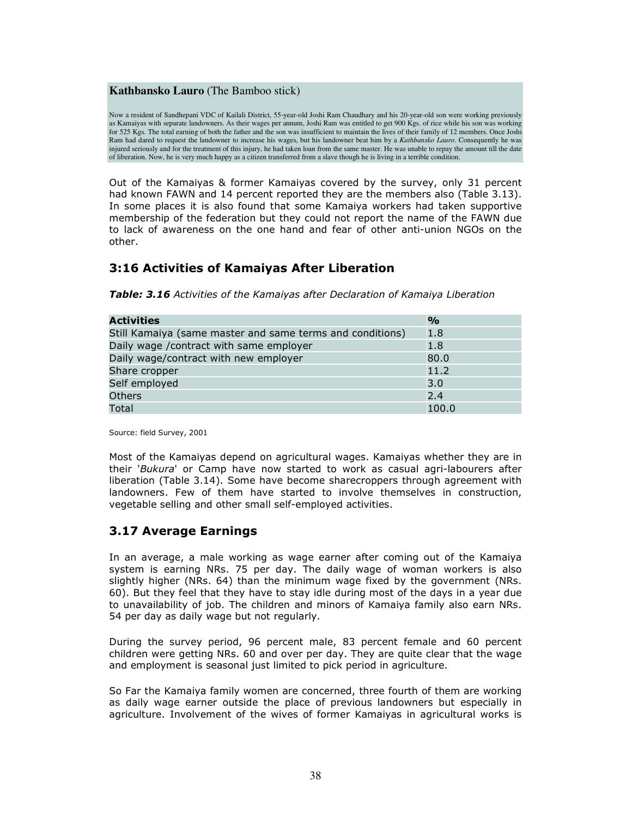#### **Kathbansko Lauro** (The Bamboo stick)

Now a resident of Sandhepani VDC of Kailali District, 55-year-old Joshi Ram Chaudhary and his 20-year-old son were working previously as Kamaiyas with separate landowners. As their wages per annum, Joshi Ram was entitled to get 900 Kgs. of rice while his son was working for 525 Kgs. The total earning of both the father and the son was insufficient to maintain the lives of their family of 12 members. Once Joshi Ram had dared to request the landowner to increase his wages, but his landowner beat him by a *Kathbansko Lauro*. Consequently he was injured seriously and for the treatment of this injury, he had taken loan from the same master. He was unable to repay the amount till the date of liberation. Now, he is very much happy as a citizen transferred from a slave though he is living in a terrible condition.

Out of the Kamaiyas & former Kamaiyas covered by the survey, only 31 percent had known FAWN and 14 percent reported they are the members also (Table 3.13). In some places it is also found that some Kamaiya workers had taken supportive membership of the federation but they could not report the name of the FAWN due to lack of awareness on the one hand and fear of other anti-union NGOs on the other.

### 3:16 Activities of Kamaiyas After Liberation

Table: 3.16 Activities of the Kamaiyas after Declaration of Kamaiya Liberation

| <b>Activities</b>                                         | $\frac{1}{2}$ |
|-----------------------------------------------------------|---------------|
| Still Kamaiya (same master and same terms and conditions) | 1.8           |
| Daily wage / contract with same employer                  | 1.8           |
| Daily wage/contract with new employer                     | 80.0          |
| Share cropper                                             | 11.2          |
| Self employed                                             | 3.0           |
| <b>Others</b>                                             | 2.4           |
| Total                                                     | 100.0         |

Source: field Survey, 2001

Most of the Kamaiyas depend on agricultural wages. Kamaiyas whether they are in their 'Bukura' or Camp have now started to work as casual agri-labourers after liberation (Table 3.14). Some have become sharecroppers through agreement with landowners. Few of them have started to involve themselves in construction, vegetable selling and other small self-employed activities.

### 3.17 Average Earnings

In an average, a male working as wage earner after coming out of the Kamaiya system is earning NRs. 75 per day. The daily wage of woman workers is also slightly higher (NRs. 64) than the minimum wage fixed by the government (NRs. 60). But they feel that they have to stay idle during most of the days in a year due to unavailability of job. The children and minors of Kamaiya family also earn NRs. 54 per day as daily wage but not regularly.

During the survey period, 96 percent male, 83 percent female and 60 percent children were getting NRs. 60 and over per day. They are quite clear that the wage and employment is seasonal just limited to pick period in agriculture.

So Far the Kamaiya family women are concerned, three fourth of them are working as daily wage earner outside the place of previous landowners but especially in agriculture. Involvement of the wives of former Kamaiyas in agricultural works is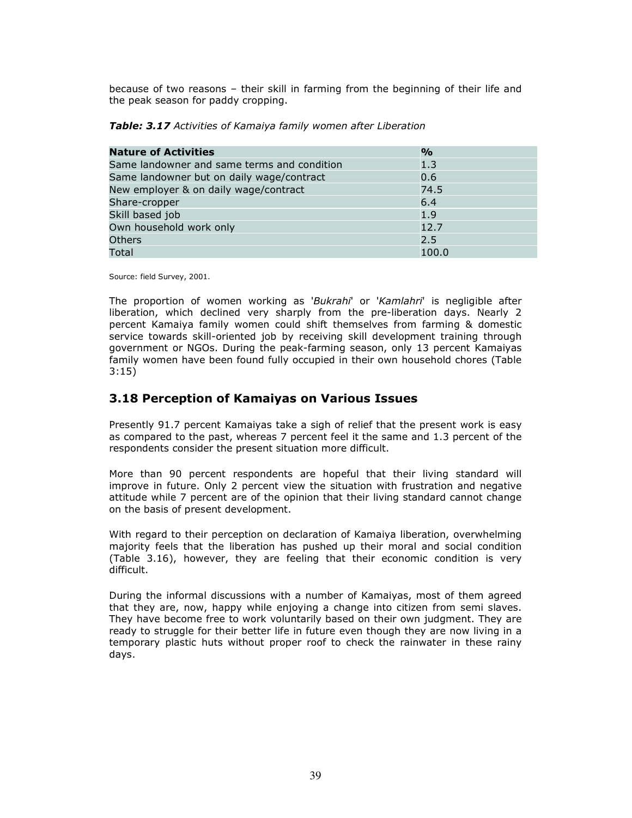because of two reasons – their skill in farming from the beginning of their life and the peak season for paddy cropping.

| <b>Nature of Activities</b>                 | $\mathbf{O}/\mathbf{O}$ |
|---------------------------------------------|-------------------------|
| Same landowner and same terms and condition | 1.3                     |
| Same landowner but on daily wage/contract   | 0.6                     |
| New employer & on daily wage/contract       | 74.5                    |
| Share-cropper                               | 6.4                     |
| Skill based job                             | 1.9                     |
| Own household work only                     | 12.7                    |
| <b>Others</b>                               | 2.5                     |
| Total                                       | 100.0                   |

Source: field Survey, 2001.

The proportion of women working as 'Bukrahi' or 'Kamlahri' is negligible after liberation, which declined very sharply from the pre-liberation days. Nearly 2 percent Kamaiya family women could shift themselves from farming & domestic service towards skill-oriented job by receiving skill development training through government or NGOs. During the peak-farming season, only 13 percent Kamaiyas family women have been found fully occupied in their own household chores (Table 3:15)

### 3.18 Perception of Kamaiyas on Various Issues

Presently 91.7 percent Kamaiyas take a sigh of relief that the present work is easy as compared to the past, whereas 7 percent feel it the same and 1.3 percent of the respondents consider the present situation more difficult.

More than 90 percent respondents are hopeful that their living standard will improve in future. Only 2 percent view the situation with frustration and negative attitude while 7 percent are of the opinion that their living standard cannot change on the basis of present development.

With regard to their perception on declaration of Kamaiya liberation, overwhelming majority feels that the liberation has pushed up their moral and social condition (Table 3.16), however, they are feeling that their economic condition is very difficult.

During the informal discussions with a number of Kamaiyas, most of them agreed that they are, now, happy while enjoying a change into citizen from semi slaves. They have become free to work voluntarily based on their own judgment. They are ready to struggle for their better life in future even though they are now living in a temporary plastic huts without proper roof to check the rainwater in these rainy days.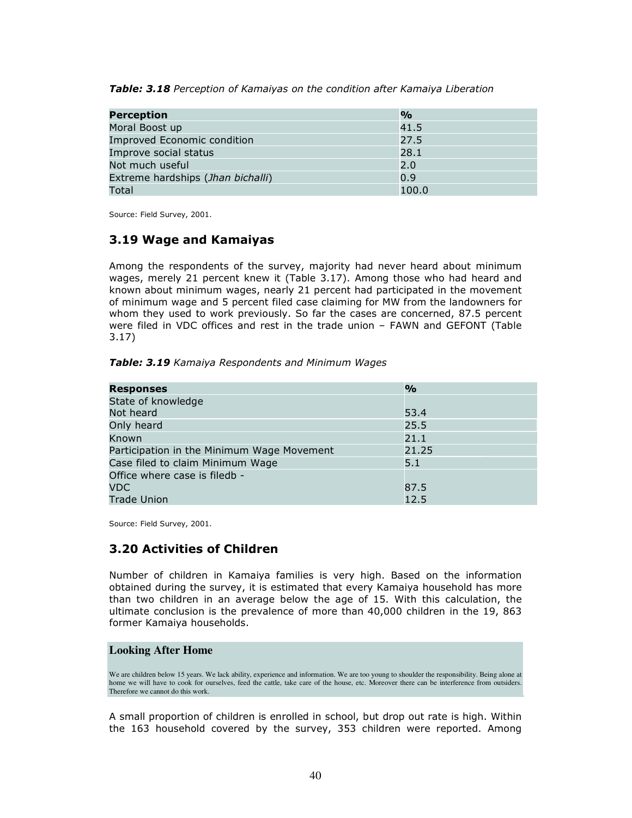| <b>Table: 3.18</b> Perception of Kamaiyas on the condition after Kamaiya Liberation |  |  |  |  |
|-------------------------------------------------------------------------------------|--|--|--|--|
|                                                                                     |  |  |  |  |

| <b>Perception</b>                  | $\frac{1}{2}$ |
|------------------------------------|---------------|
| Moral Boost up                     | 41.5          |
| <b>Improved Economic condition</b> | 27.5          |
| Improve social status              | 28.1          |
| Not much useful                    | 2.0           |
| Extreme hardships (Jhan bichalli)  | 0.9           |
| Total                              | 100.0         |

Source: Field Survey, 2001.

### 3.19 Wage and Kamaiyas

Among the respondents of the survey, majority had never heard about minimum wages, merely 21 percent knew it (Table 3.17). Among those who had heard and known about minimum wages, nearly 21 percent had participated in the movement of minimum wage and 5 percent filed case claiming for MW from the landowners for whom they used to work previously. So far the cases are concerned, 87.5 percent were filed in VDC offices and rest in the trade union – FAWN and GEFONT (Table 3.17)

Table: 3.19 Kamaiya Respondents and Minimum Wages

| <b>Responses</b>                           | $\frac{O}{O}$ |
|--------------------------------------------|---------------|
| State of knowledge                         |               |
| Not heard                                  | 53.4          |
| Only heard                                 | 25.5          |
| Known                                      | 21.1          |
| Participation in the Minimum Wage Movement | 21.25         |
| Case filed to claim Minimum Wage           | 5.1           |
| Office where case is filedb -              |               |
| <b>VDC</b>                                 | 87.5          |
| <b>Trade Union</b>                         | 12.5          |

Source: Field Survey, 2001.

### 3.20 Activities of Children

Number of children in Kamaiya families is very high. Based on the information obtained during the survey, it is estimated that every Kamaiya household has more than two children in an average below the age of 15. With this calculation, the ultimate conclusion is the prevalence of more than 40,000 children in the 19, 863 former Kamaiya households.

#### **Looking After Home**

We are children below 15 years. We lack ability, experience and information. We are too young to shoulder the responsibility. Being alone at home we will have to cook for ourselves, feed the cattle, take care of the house, etc. Moreover there can be interference from outsiders. Therefore we cannot do this work.

A small proportion of children is enrolled in school, but drop out rate is high. Within the 163 household covered by the survey, 353 children were reported. Among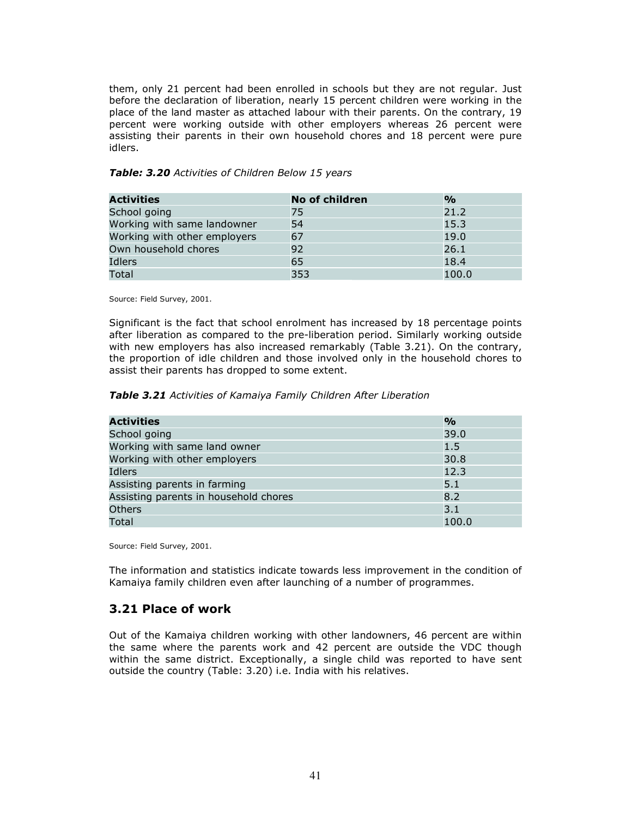them, only 21 percent had been enrolled in schools but they are not regular. Just before the declaration of liberation, nearly 15 percent children were working in the place of the land master as attached labour with their parents. On the contrary, 19 percent were working outside with other employers whereas 26 percent were assisting their parents in their own household chores and 18 percent were pure idlers.

| Activities                  | No of children | $\frac{1}{2}$ |
|-----------------------------|----------------|---------------|
| School going                | 75             | 21.2          |
| Working with same landowner | 54             | 15.3          |

Working with other employers 67 19.0 Own household chores 80 26.1 Idlers 65 18.4 Total  $\qquad \qquad \qquad 353$   $\qquad \qquad 100.0$ 

#### Table: 3.20 Activities of Children Below 15 years

Source: Field Survey, 2001.

Significant is the fact that school enrolment has increased by 18 percentage points after liberation as compared to the pre-liberation period. Similarly working outside with new employers has also increased remarkably (Table 3.21). On the contrary, the proportion of idle children and those involved only in the household chores to assist their parents has dropped to some extent.

Table 3.21 Activities of Kamaiya Family Children After Liberation

| <b>Activities</b>                     | $\frac{1}{2}$ |
|---------------------------------------|---------------|
| School going                          | 39.0          |
| Working with same land owner          | 1.5           |
| Working with other employers          | 30.8          |
| Idlers                                | 12.3          |
| Assisting parents in farming          | 5.1           |
| Assisting parents in household chores | 8.2           |
| <b>Others</b>                         | 3.1           |
| Total                                 | 100.0         |

Source: Field Survey, 2001.

The information and statistics indicate towards less improvement in the condition of Kamaiya family children even after launching of a number of programmes.

### 3.21 Place of work

Out of the Kamaiya children working with other landowners, 46 percent are within the same where the parents work and 42 percent are outside the VDC though within the same district. Exceptionally, a single child was reported to have sent outside the country (Table: 3.20) i.e. India with his relatives.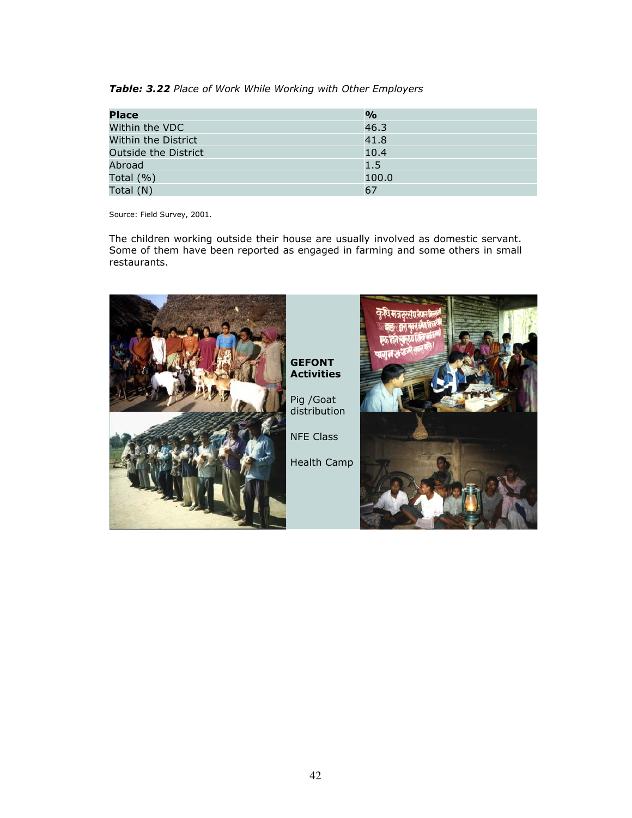Table: 3.22 Place of Work While Working with Other Employers

| <b>Place</b>         | $\frac{1}{2}$ |
|----------------------|---------------|
| Within the VDC       | 46.3          |
| Within the District  | 41.8          |
| Outside the District | 10.4          |
| Abroad               | 1.5           |
| Total $(\% )$        | 100.0         |
| Total (N)            | 67            |

Source: Field Survey, 2001.

The children working outside their house are usually involved as domestic servant. Some of them have been reported as engaged in farming and some others in small restaurants.

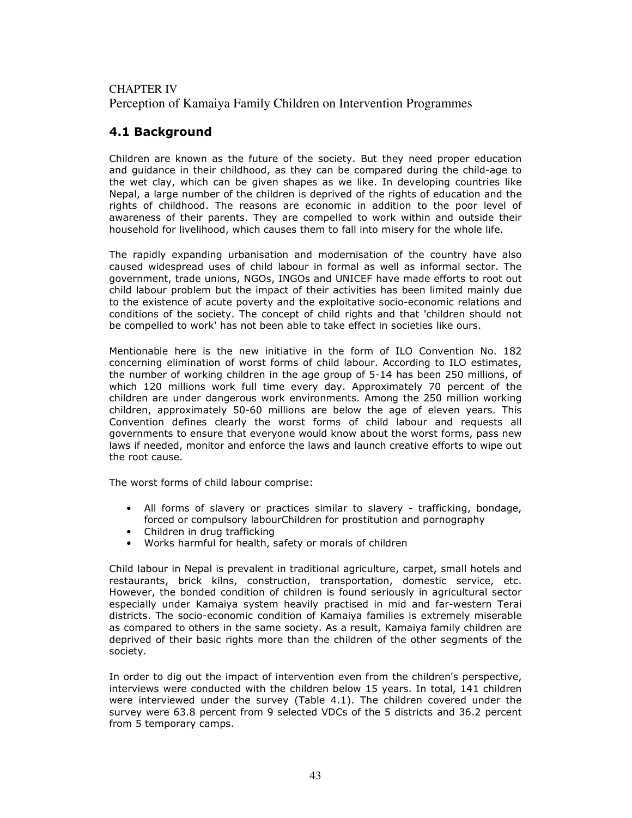### CHAPTER IV

Perception of Kamaiya Family Children on Intervention Programmes

### 4.1 Background

Children are known as the future of the society. But they need proper education and guidance in their childhood, as they can be compared during the child-age to the wet clay, which can be given shapes as we like. In developing countries like Nepal, a large number of the children is deprived of the rights of education and the rights of childhood. The reasons are economic in addition to the poor level of awareness of their parents. They are compelled to work within and outside their household for livelihood, which causes them to fall into misery for the whole life.

The rapidly expanding urbanisation and modernisation of the country have also caused widespread uses of child labour in formal as well as informal sector. The government, trade unions, NGOs, INGOs and UNICEF have made efforts to root out child labour problem but the impact of their activities has been limited mainly due to the existence of acute poverty and the exploitative socio-economic relations and conditions of the society. The concept of child rights and that 'children should not be compelled to work' has not been able to take effect in societies like ours.

Mentionable here is the new initiative in the form of ILO Convention No. 182 concerning elimination of worst forms of child labour. According to ILO estimates, the number of working children in the age group of 5-14 has been 250 millions, of which 120 millions work full time every day. Approximately 70 percent of the children are under dangerous work environments. Among the 250 million working children, approximately 50-60 millions are below the age of eleven years. This Convention defines clearly the worst forms of child labour and requests all governments to ensure that everyone would know about the worst forms, pass new laws if needed, monitor and enforce the laws and launch creative efforts to wipe out the root cause.

The worst forms of child labour comprise:

- All forms of slavery or practices similar to slavery trafficking, bondage, forced or compulsory labourChildren for prostitution and pornography
- Children in drug trafficking
- Works harmful for health, safety or morals of children

Child labour in Nepal is prevalent in traditional agriculture, carpet, small hotels and restaurants, brick kilns, construction, transportation, domestic service, etc. However, the bonded condition of children is found seriously in agricultural sector especially under Kamaiya system heavily practised in mid and far-western Terai districts. The socio-economic condition of Kamaiya families is extremely miserable as compared to others in the same society. As a result, Kamaiya family children are deprived of their basic rights more than the children of the other segments of the society.

In order to dig out the impact of intervention even from the children's perspective, interviews were conducted with the children below 15 years. In total, 141 children were interviewed under the survey (Table 4.1). The children covered under the survey were 63.8 percent from 9 selected VDCs of the 5 districts and 36.2 percent from 5 temporary camps.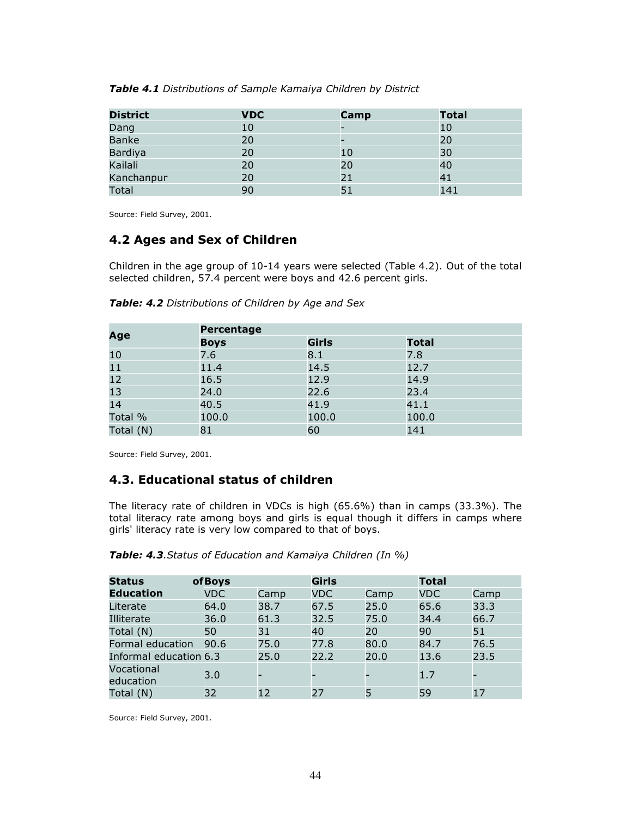| Table 4.1 Distributions of Sample Kamaiya Children by District |
|----------------------------------------------------------------|
|----------------------------------------------------------------|

| <b>District</b> | <b>VDC</b> | Camp | <b>Total</b> |
|-----------------|------------|------|--------------|
| Dang            | 10         |      | 10           |
| <b>Banke</b>    | 20         |      | 20           |
| Bardiya         | 20         | 10   | 30           |
| Kailali         | 20         | 20   | 40           |
| Kanchanpur      | 20         | 21   | 41           |
| Total           | 90         | 51   | 141          |

Source: Field Survey, 2001.

### 4.2 Ages and Sex of Children

Children in the age group of 10-14 years were selected (Table 4.2). Out of the total selected children, 57.4 percent were boys and 42.6 percent girls.

|           | Percentage  |              |              |
|-----------|-------------|--------------|--------------|
| Age       | <b>Boys</b> | <b>Girls</b> | <b>Total</b> |
| 10        | 7.6         | 8.1          | 7.8          |
| 11        | 11.4        | 14.5         | 12.7         |
| 12        | 16.5        | 12.9         | 14.9         |
| 13        | 24.0        | 22.6         | 23.4         |
| 14        | 40.5        | 41.9         | 41.1         |
| Total %   | 100.0       | 100.0        | 100.0        |
| Total (N) | 81          | 60           | 141          |

Table: 4.2 Distributions of Children by Age and Sex

Source: Field Survey, 2001.

### 4.3. Educational status of children

The literacy rate of children in VDCs is high (65.6%) than in camps (33.3%). The total literacy rate among boys and girls is equal though it differs in camps where girls' literacy rate is very low compared to that of boys.

| <b>Status</b>           | ofBoys     |      | <b>Girls</b> |      | <b>Total</b> |      |
|-------------------------|------------|------|--------------|------|--------------|------|
| <b>Education</b>        | <b>VDC</b> | Camp | <b>VDC</b>   | Camp | <b>VDC</b>   | Camp |
| Literate                | 64.0       | 38.7 | 67.5         | 25.0 | 65.6         | 33.3 |
| Illiterate              | 36.0       | 61.3 | 32.5         | 75.0 | 34.4         | 66.7 |
| Total (N)               | 50         | 31   | 40           | 20   | 90           | 51   |
| Formal education        | 90.6       | 75.0 | 77.8         | 80.0 | 84.7         | 76.5 |
| Informal education 6.3  |            | 25.0 | 22.2         | 20.0 | 13.6         | 23.5 |
| Vocational<br>education | 3.0        |      |              |      | 1.7          |      |
| Total (N)               | 32         | 12   | 27           | 5    | 59           | 17   |

| Table: 4.3. Status of Education and Kamaiya Children (In %) |  |  |  |  |  |
|-------------------------------------------------------------|--|--|--|--|--|
|-------------------------------------------------------------|--|--|--|--|--|

Source: Field Survey, 2001.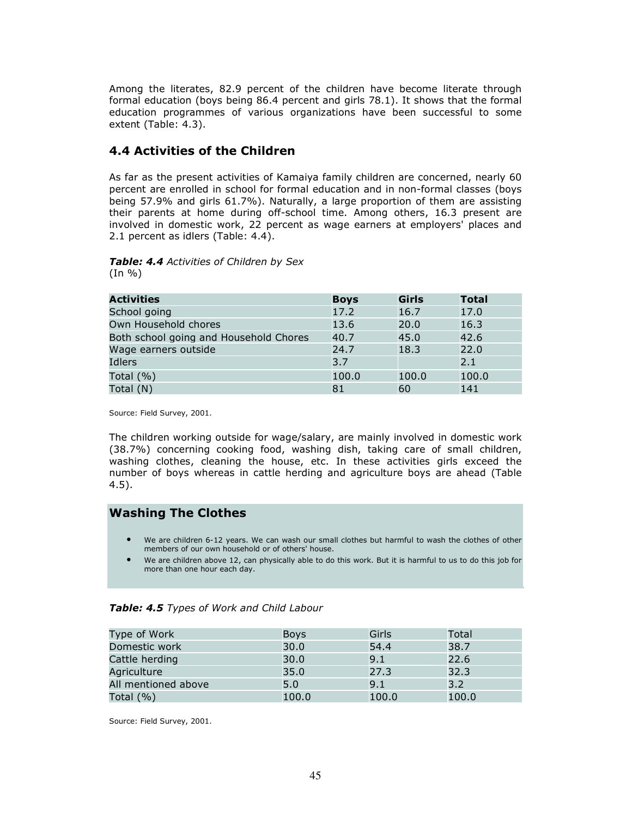Among the literates, 82.9 percent of the children have become literate through formal education (boys being 86.4 percent and girls 78.1). It shows that the formal education programmes of various organizations have been successful to some extent (Table: 4.3).

### 4.4 Activities of the Children

As far as the present activities of Kamaiya family children are concerned, nearly 60 percent are enrolled in school for formal education and in non-formal classes (boys being 57.9% and girls 61.7%). Naturally, a large proportion of them are assisting their parents at home during off-school time. Among others, 16.3 present are involved in domestic work, 22 percent as wage earners at employers' places and 2.1 percent as idlers (Table: 4.4).

#### Table: 4.4 Activities of Children by Sex  $(In \% )$

| <b>Activities</b>                      | <b>Boys</b> | <b>Girls</b> | <b>Total</b> |
|----------------------------------------|-------------|--------------|--------------|
| School going                           | 17.2        | 16.7         | 17.0         |
| Own Household chores                   | 13.6        | 20.0         | 16.3         |
| Both school going and Household Chores | 40.7        | 45.0         | 42.6         |
| Wage earners outside                   | 24.7        | 18.3         | 22.0         |
| Idlers                                 | 3.7         |              | 2.1          |
| Total $(% )$                           | 100.0       | 100.0        | 100.0        |
| Total (N)                              | 81          | 60           | 141          |

Source: Field Survey, 2001.

The children working outside for wage/salary, are mainly involved in domestic work (38.7%) concerning cooking food, washing dish, taking care of small children, washing clothes, cleaning the house, etc. In these activities girls exceed the number of boys whereas in cattle herding and agriculture boys are ahead (Table 4.5).

#### Washing The Clothes

- We are children 6-12 years. We can wash our small clothes but harmful to wash the clothes of other members of our own household or of others' house.
- We are children above 12, can physically able to do this work. But it is harmful to us to do this job for more than one hour each day.

#### Table: 4.5 Types of Work and Child Labour

| Type of Work        | <b>Boys</b> | Girls | Total |
|---------------------|-------------|-------|-------|
| Domestic work       | 30.0        | 54.4  | 38.7  |
| Cattle herding      | 30.0        | 9.1   | 22.6  |
| Agriculture         | 35.0        | 27.3  | 32.3  |
| All mentioned above | 5.0         | 9.1   | 3.2   |
| Total $(\% )$       | 100.0       | 100.0 | 100.0 |

Source: Field Survey, 2001.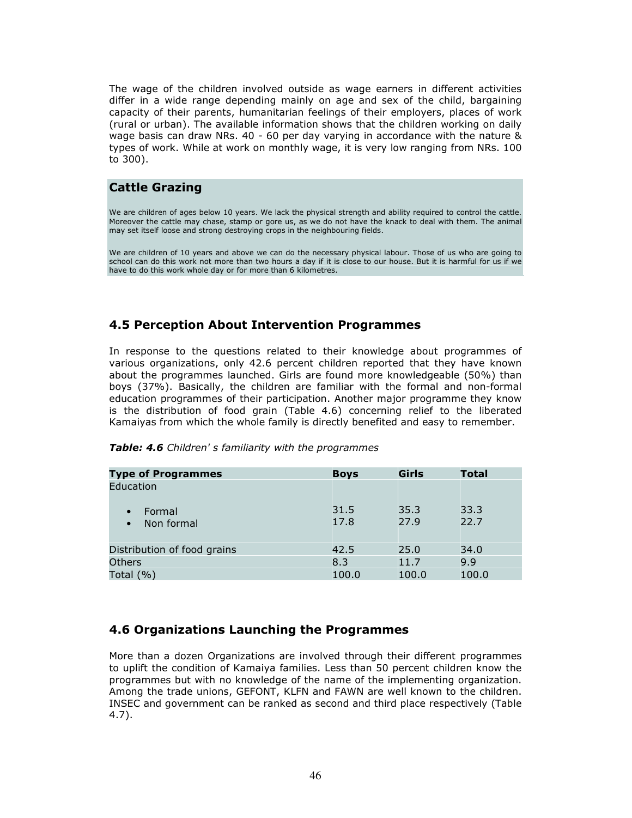The wage of the children involved outside as wage earners in different activities differ in a wide range depending mainly on age and sex of the child, bargaining capacity of their parents, humanitarian feelings of their employers, places of work (rural or urban). The available information shows that the children working on daily wage basis can draw NRs. 40 - 60 per day varying in accordance with the nature & types of work. While at work on monthly wage, it is very low ranging from NRs. 100 to 300).

### Cattle Grazing

We are children of ages below 10 years. We lack the physical strength and ability required to control the cattle. Moreover the cattle may chase, stamp or gore us, as we do not have the knack to deal with them. The animal may set itself loose and strong destroying crops in the neighbouring fields.

We are children of 10 years and above we can do the necessary physical labour. Those of us who are going to school can do this work not more than two hours a day if it is close to our house. But it is harmful for us if we have to do this work whole day or for more than 6 kilometres.

### 4.5 Perception About Intervention Programmes

In response to the questions related to their knowledge about programmes of various organizations, only 42.6 percent children reported that they have known about the programmes launched. Girls are found more knowledgeable (50%) than boys (37%). Basically, the children are familiar with the formal and non-formal education programmes of their participation. Another major programme they know is the distribution of food grain (Table 4.6) concerning relief to the liberated Kamaiyas from which the whole family is directly benefited and easy to remember.

| <b>Type of Programmes</b>         | <b>Boys</b>  | <b>Girls</b> | <b>Total</b> |
|-----------------------------------|--------------|--------------|--------------|
| Education                         |              |              |              |
| Formal<br>Non formal<br>$\bullet$ | 31.5<br>17.8 | 35.3<br>27.9 | 33.3<br>22.7 |
| Distribution of food grains       | 42.5         | 25.0         | 34.0         |
| <b>Others</b>                     | 8.3          | 11.7         | 9.9          |
| Total $(\% )$                     | 100.0        | 100.0        | 100.0        |

#### Table: 4.6 Children's familiarity with the programmes

### 4.6 Organizations Launching the Programmes

More than a dozen Organizations are involved through their different programmes to uplift the condition of Kamaiya families. Less than 50 percent children know the programmes but with no knowledge of the name of the implementing organization. Among the trade unions, GEFONT, KLFN and FAWN are well known to the children. INSEC and government can be ranked as second and third place respectively (Table 4.7).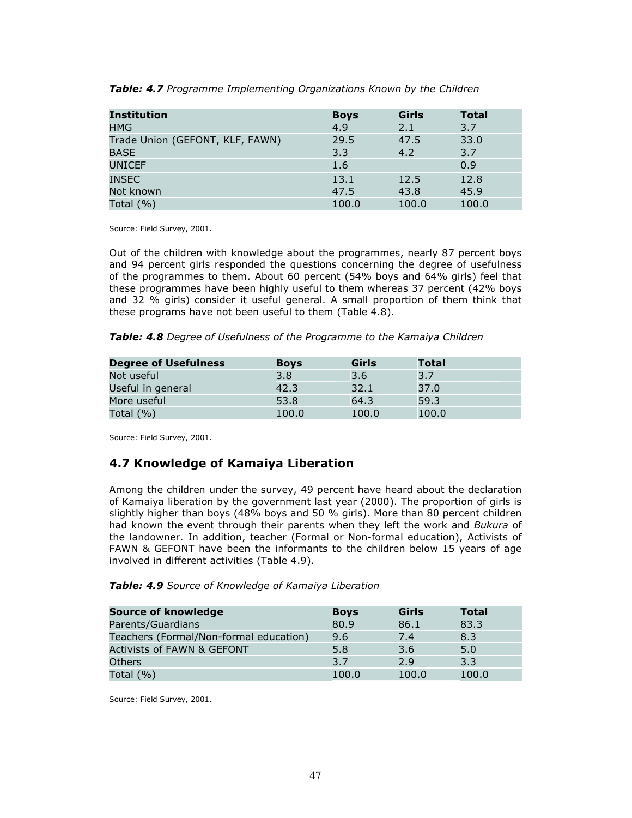| <b>Institution</b>              | <b>Boys</b> | <b>Girls</b> | <b>Total</b> |
|---------------------------------|-------------|--------------|--------------|
| <b>HMG</b>                      | 4.9         | 2.1          | 3.7          |
| Trade Union (GEFONT, KLF, FAWN) | 29.5        | 47.5         | 33.0         |
| <b>BASE</b>                     | 3.3         | 4.2          | 3.7          |
| <b>UNICEF</b>                   | 1.6         |              | 0.9          |
| <b>INSEC</b>                    | 13.1        | 12.5         | 12.8         |
| Not known                       | 47.5        | 43.8         | 45.9         |
| Total $(%)$                     | 100.0       | 100.0        | 100.0        |

Table: 4.7 Programme Implementing Organizations Known by the Children

Source: Field Survey, 2001.

Out of the children with knowledge about the programmes, nearly 87 percent boys and 94 percent girls responded the questions concerning the degree of usefulness of the programmes to them. About 60 percent (54% boys and 64% girls) feel that these programmes have been highly useful to them whereas 37 percent (42% boys and 32 % girls) consider it useful general. A small proportion of them think that these programs have not been useful to them (Table 4.8).

Table: 4.8 Degree of Usefulness of the Programme to the Kamaiya Children

| <b>Degree of Usefulness</b> | <b>Boys</b> | Girls | <b>Total</b> |
|-----------------------------|-------------|-------|--------------|
| Not useful                  | 3.8         | 3.6   | 3.7          |
| Useful in general           | 42.3        | 32.1  | 37.0         |
| More useful                 | 53.8        | 64.3  | 59.3         |
| Total $(\% )$               | 100.0       | 100.0 | 100.0        |

Source: Field Survey, 2001.

### 4.7 Knowledge of Kamaiya Liberation

Among the children under the survey, 49 percent have heard about the declaration of Kamaiya liberation by the government last year (2000). The proportion of girls is slightly higher than boys (48% boys and 50 % girls). More than 80 percent children had known the event through their parents when they left the work and Bukura of the landowner. In addition, teacher (Formal or Non-formal education), Activists of FAWN & GEFONT have been the informants to the children below 15 years of age involved in different activities (Table 4.9).

|  |  | Table: 4.9 Source of Knowledge of Kamaiya Liberation |  |  |
|--|--|------------------------------------------------------|--|--|
|--|--|------------------------------------------------------|--|--|

| <b>Source of knowledge</b>             | <b>Boys</b> | Girls | <b>Total</b> |
|----------------------------------------|-------------|-------|--------------|
| Parents/Guardians                      | 80.9        | 86.1  | 83.3         |
| Teachers (Formal/Non-formal education) | 9.6         | 7.4   | 8.3          |
| <b>Activists of FAWN &amp; GEFONT</b>  | 5.8         | 3.6   | 5.0          |
| Others                                 | 3.7         | 2.9   | 3.3          |
| Total $(\%)$                           | 100.0       | 100.0 | 100.0        |

Source: Field Survey, 2001.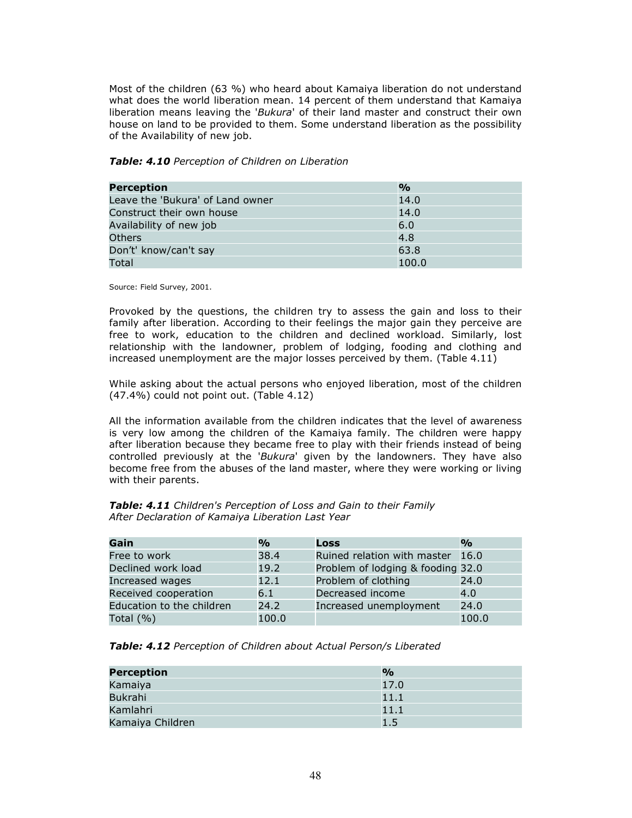Most of the children (63 %) who heard about Kamaiya liberation do not understand what does the world liberation mean. 14 percent of them understand that Kamaiya liberation means leaving the 'Bukura' of their land master and construct their own house on land to be provided to them. Some understand liberation as the possibility of the Availability of new job.

#### Table: 4.10 Perception of Children on Liberation

| <b>Perception</b>                | $\frac{1}{2}$ |
|----------------------------------|---------------|
| Leave the 'Bukura' of Land owner | 14.0          |
| Construct their own house        | 14.0          |
| Availability of new job          | 6.0           |
| Others                           | 4.8           |
| Don't' know/can't say            | 63.8          |
| Total                            | 100.0         |

Source: Field Survey, 2001.

Provoked by the questions, the children try to assess the gain and loss to their family after liberation. According to their feelings the major gain they perceive are free to work, education to the children and declined workload. Similarly, lost relationship with the landowner, problem of lodging, fooding and clothing and increased unemployment are the major losses perceived by them. (Table 4.11)

While asking about the actual persons who enjoyed liberation, most of the children (47.4%) could not point out. (Table 4.12)

All the information available from the children indicates that the level of awareness is very low among the children of the Kamaiya family. The children were happy after liberation because they became free to play with their friends instead of being controlled previously at the 'Bukura' given by the landowners. They have also become free from the abuses of the land master, where they were working or living with their parents.

| Gain                      | $\mathbf{O}/\mathbf{O}$ | <b>Loss</b>                       | $\frac{0}{0}$ |
|---------------------------|-------------------------|-----------------------------------|---------------|
| Free to work              | 38.4                    | Ruined relation with master 16.0  |               |
| Declined work load        | 19.2                    | Problem of lodging & fooding 32.0 |               |
| Increased wages           | 12.1                    | Problem of clothing               | 24.0          |
| Received cooperation      | 6.1                     | Decreased income                  | 4.0           |
| Education to the children | 24.2                    | Increased unemployment            | 24.0          |
| Total $(\% )$             | 100.0                   |                                   | 100.0         |

Table: 4.11 Children's Perception of Loss and Gain to their Family After Declaration of Kamaiya Liberation Last Year

Table: 4.12 Perception of Children about Actual Person/s Liberated

| <b>Perception</b> | $\frac{0}{0}$ |
|-------------------|---------------|
| Kamaiya           | 17.0          |
| Bukrahi           | 11.1          |
| Kamlahri          | 11.1          |
| Kamaiya Children  | 1.5           |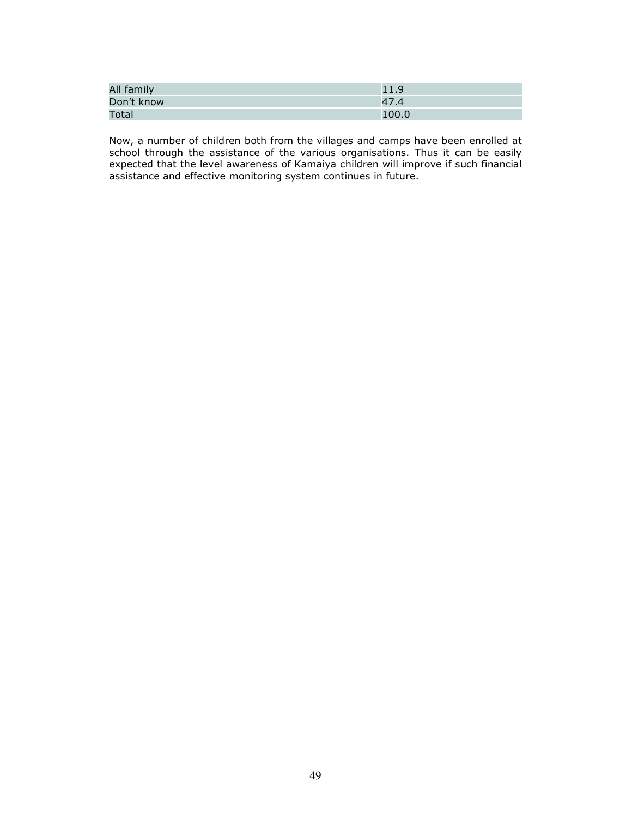| All family | 11.9  |
|------------|-------|
| Don't know | 47.4  |
| Total      | 100.0 |

Now, a number of children both from the villages and camps have been enrolled at school through the assistance of the various organisations. Thus it can be easily expected that the level awareness of Kamaiya children will improve if such financial assistance and effective monitoring system continues in future.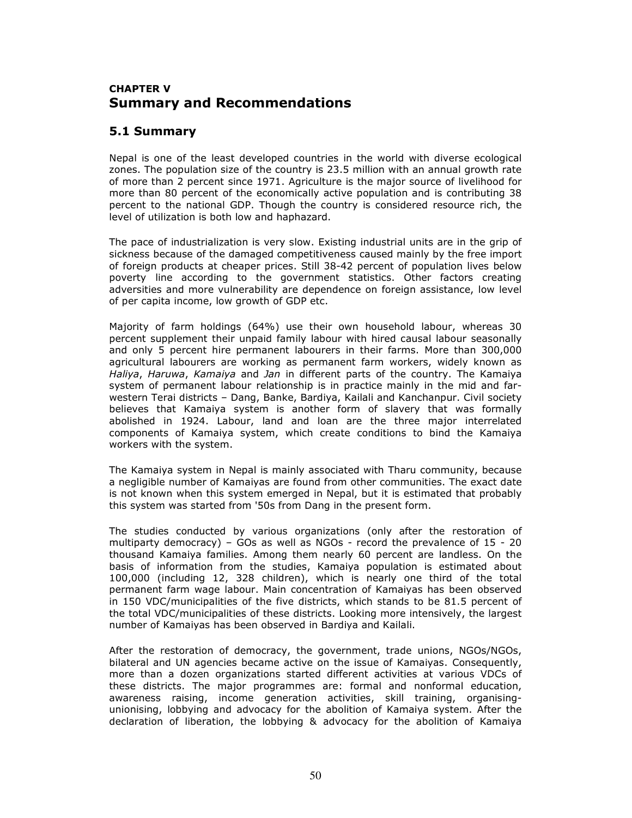### CHAPTER V Summary and Recommendations

### 5.1 Summary

Nepal is one of the least developed countries in the world with diverse ecological zones. The population size of the country is 23.5 million with an annual growth rate of more than 2 percent since 1971. Agriculture is the major source of livelihood for more than 80 percent of the economically active population and is contributing 38 percent to the national GDP. Though the country is considered resource rich, the level of utilization is both low and haphazard.

The pace of industrialization is very slow. Existing industrial units are in the grip of sickness because of the damaged competitiveness caused mainly by the free import of foreign products at cheaper prices. Still 38-42 percent of population lives below poverty line according to the government statistics. Other factors creating adversities and more vulnerability are dependence on foreign assistance, low level of per capita income, low growth of GDP etc.

Majority of farm holdings (64%) use their own household labour, whereas 30 percent supplement their unpaid family labour with hired causal labour seasonally and only 5 percent hire permanent labourers in their farms. More than 300,000 agricultural labourers are working as permanent farm workers, widely known as Haliya, Haruwa, Kamaiya and Jan in different parts of the country. The Kamaiya system of permanent labour relationship is in practice mainly in the mid and farwestern Terai districts – Dang, Banke, Bardiya, Kailali and Kanchanpur. Civil society believes that Kamaiya system is another form of slavery that was formally abolished in 1924. Labour, land and loan are the three major interrelated components of Kamaiya system, which create conditions to bind the Kamaiya workers with the system.

The Kamaiya system in Nepal is mainly associated with Tharu community, because a negligible number of Kamaiyas are found from other communities. The exact date is not known when this system emerged in Nepal, but it is estimated that probably this system was started from '50s from Dang in the present form.

The studies conducted by various organizations (only after the restoration of multiparty democracy) – GOs as well as NGOs - record the prevalence of 15 - 20 thousand Kamaiya families. Among them nearly 60 percent are landless. On the basis of information from the studies, Kamaiya population is estimated about 100,000 (including 12, 328 children), which is nearly one third of the total permanent farm wage labour. Main concentration of Kamaiyas has been observed in 150 VDC/municipalities of the five districts, which stands to be 81.5 percent of the total VDC/municipalities of these districts. Looking more intensively, the largest number of Kamaiyas has been observed in Bardiya and Kailali.

After the restoration of democracy, the government, trade unions, NGOs/NGOs, bilateral and UN agencies became active on the issue of Kamaiyas. Consequently, more than a dozen organizations started different activities at various VDCs of these districts. The major programmes are: formal and nonformal education, awareness raising, income generation activities, skill training, organisingunionising, lobbying and advocacy for the abolition of Kamaiya system. After the declaration of liberation, the lobbying & advocacy for the abolition of Kamaiya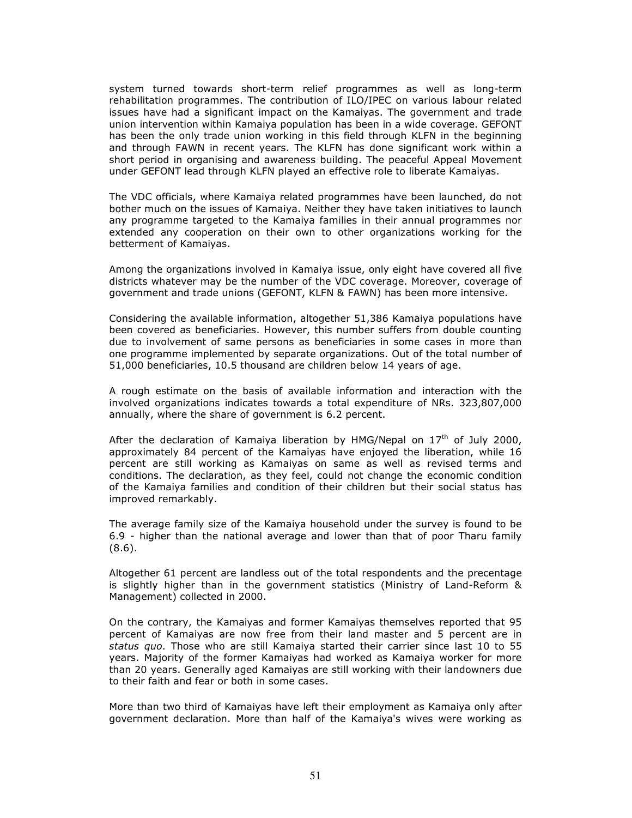system turned towards short-term relief programmes as well as long-term rehabilitation programmes. The contribution of ILO/IPEC on various labour related issues have had a significant impact on the Kamaiyas. The government and trade union intervention within Kamaiya population has been in a wide coverage. GEFONT has been the only trade union working in this field through KLFN in the beginning and through FAWN in recent years. The KLFN has done significant work within a short period in organising and awareness building. The peaceful Appeal Movement under GEFONT lead through KLFN played an effective role to liberate Kamaiyas.

The VDC officials, where Kamaiya related programmes have been launched, do not bother much on the issues of Kamaiya. Neither they have taken initiatives to launch any programme targeted to the Kamaiya families in their annual programmes nor extended any cooperation on their own to other organizations working for the betterment of Kamaiyas.

Among the organizations involved in Kamaiya issue, only eight have covered all five districts whatever may be the number of the VDC coverage. Moreover, coverage of government and trade unions (GEFONT, KLFN & FAWN) has been more intensive.

Considering the available information, altogether 51,386 Kamaiya populations have been covered as beneficiaries. However, this number suffers from double counting due to involvement of same persons as beneficiaries in some cases in more than one programme implemented by separate organizations. Out of the total number of 51,000 beneficiaries, 10.5 thousand are children below 14 years of age.

A rough estimate on the basis of available information and interaction with the involved organizations indicates towards a total expenditure of NRs. 323,807,000 annually, where the share of government is 6.2 percent.

After the declaration of Kamaiya liberation by HMG/Nepal on  $17<sup>th</sup>$  of July 2000, approximately 84 percent of the Kamaiyas have enjoyed the liberation, while 16 percent are still working as Kamaiyas on same as well as revised terms and conditions. The declaration, as they feel, could not change the economic condition of the Kamaiya families and condition of their children but their social status has improved remarkably.

The average family size of the Kamaiya household under the survey is found to be 6.9 - higher than the national average and lower than that of poor Tharu family (8.6).

Altogether 61 percent are landless out of the total respondents and the precentage is slightly higher than in the government statistics (Ministry of Land-Reform & Management) collected in 2000.

On the contrary, the Kamaiyas and former Kamaiyas themselves reported that 95 percent of Kamaiyas are now free from their land master and 5 percent are in status quo. Those who are still Kamaiya started their carrier since last 10 to 55 years. Majority of the former Kamaiyas had worked as Kamaiya worker for more than 20 years. Generally aged Kamaiyas are still working with their landowners due to their faith and fear or both in some cases.

More than two third of Kamaiyas have left their employment as Kamaiya only after government declaration. More than half of the Kamaiya's wives were working as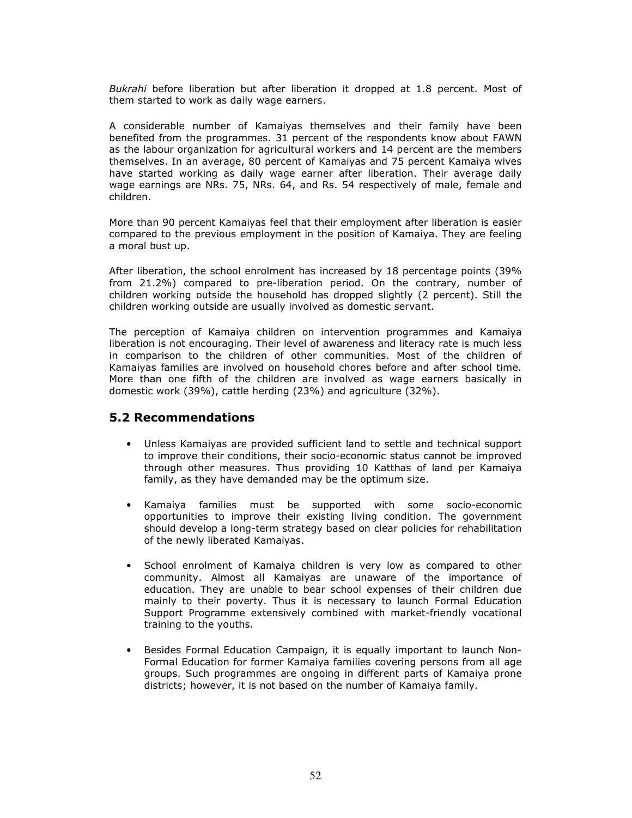Bukrahi before liberation but after liberation it dropped at 1.8 percent. Most of them started to work as daily wage earners.

A considerable number of Kamaiyas themselves and their family have been benefited from the programmes. 31 percent of the respondents know about FAWN as the labour organization for agricultural workers and 14 percent are the members themselves. In an average, 80 percent of Kamaiyas and 75 percent Kamaiya wives have started working as daily wage earner after liberation. Their average daily wage earnings are NRs. 75, NRs. 64, and Rs. 54 respectively of male, female and children.

More than 90 percent Kamaiyas feel that their employment after liberation is easier compared to the previous employment in the position of Kamaiya. They are feeling a moral bust up.

After liberation, the school enrolment has increased by 18 percentage points (39% from 21.2%) compared to pre-liberation period. On the contrary, number of children working outside the household has dropped slightly (2 percent). Still the children working outside are usually involved as domestic servant.

The perception of Kamaiya children on intervention programmes and Kamaiya liberation is not encouraging. Their level of awareness and literacy rate is much less in comparison to the children of other communities. Most of the children of Kamaiyas families are involved on household chores before and after school time. More than one fifth of the children are involved as wage earners basically in domestic work (39%), cattle herding (23%) and agriculture (32%).

### 5.2 Recommendations

- Unless Kamaiyas are provided sufficient land to settle and technical support to improve their conditions, their socio-economic status cannot be improved through other measures. Thus providing 10 Katthas of land per Kamaiya family, as they have demanded may be the optimum size.
- Kamaiya families must be supported with some socio-economic opportunities to improve their existing living condition. The government should develop a long-term strategy based on clear policies for rehabilitation of the newly liberated Kamaiyas.
- School enrolment of Kamaiya children is very low as compared to other community. Almost all Kamaiyas are unaware of the importance of education. They are unable to bear school expenses of their children due mainly to their poverty. Thus it is necessary to launch Formal Education Support Programme extensively combined with market-friendly vocational training to the youths.
- Besides Formal Education Campaign, it is equally important to launch Non-Formal Education for former Kamaiya families covering persons from all age groups. Such programmes are ongoing in different parts of Kamaiya prone districts; however, it is not based on the number of Kamaiya family.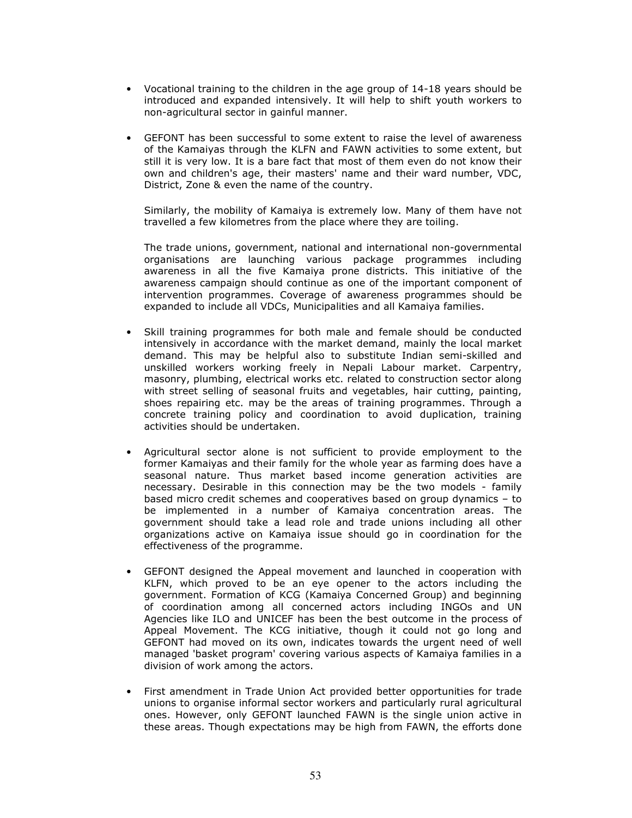- Vocational training to the children in the age group of 14-18 years should be introduced and expanded intensively. It will help to shift youth workers to non-agricultural sector in gainful manner.
- GEFONT has been successful to some extent to raise the level of awareness of the Kamaiyas through the KLFN and FAWN activities to some extent, but still it is very low. It is a bare fact that most of them even do not know their own and children's age, their masters' name and their ward number, VDC, District, Zone & even the name of the country.

Similarly, the mobility of Kamaiya is extremely low. Many of them have not travelled a few kilometres from the place where they are toiling.

The trade unions, government, national and international non-governmental organisations are launching various package programmes including awareness in all the five Kamaiya prone districts. This initiative of the awareness campaign should continue as one of the important component of intervention programmes. Coverage of awareness programmes should be expanded to include all VDCs, Municipalities and all Kamaiya families.

- Skill training programmes for both male and female should be conducted intensively in accordance with the market demand, mainly the local market demand. This may be helpful also to substitute Indian semi-skilled and unskilled workers working freely in Nepali Labour market. Carpentry, masonry, plumbing, electrical works etc. related to construction sector along with street selling of seasonal fruits and vegetables, hair cutting, painting, shoes repairing etc. may be the areas of training programmes. Through a concrete training policy and coordination to avoid duplication, training activities should be undertaken.
- Agricultural sector alone is not sufficient to provide employment to the former Kamaiyas and their family for the whole year as farming does have a seasonal nature. Thus market based income generation activities are necessary. Desirable in this connection may be the two models - family based micro credit schemes and cooperatives based on group dynamics – to be implemented in a number of Kamaiya concentration areas. The government should take a lead role and trade unions including all other organizations active on Kamaiya issue should go in coordination for the effectiveness of the programme.
- GEFONT designed the Appeal movement and launched in cooperation with KLFN, which proved to be an eye opener to the actors including the government. Formation of KCG (Kamaiya Concerned Group) and beginning of coordination among all concerned actors including INGOs and UN Agencies like ILO and UNICEF has been the best outcome in the process of Appeal Movement. The KCG initiative, though it could not go long and GEFONT had moved on its own, indicates towards the urgent need of well managed 'basket program' covering various aspects of Kamaiya families in a division of work among the actors.
- First amendment in Trade Union Act provided better opportunities for trade unions to organise informal sector workers and particularly rural agricultural ones. However, only GEFONT launched FAWN is the single union active in these areas. Though expectations may be high from FAWN, the efforts done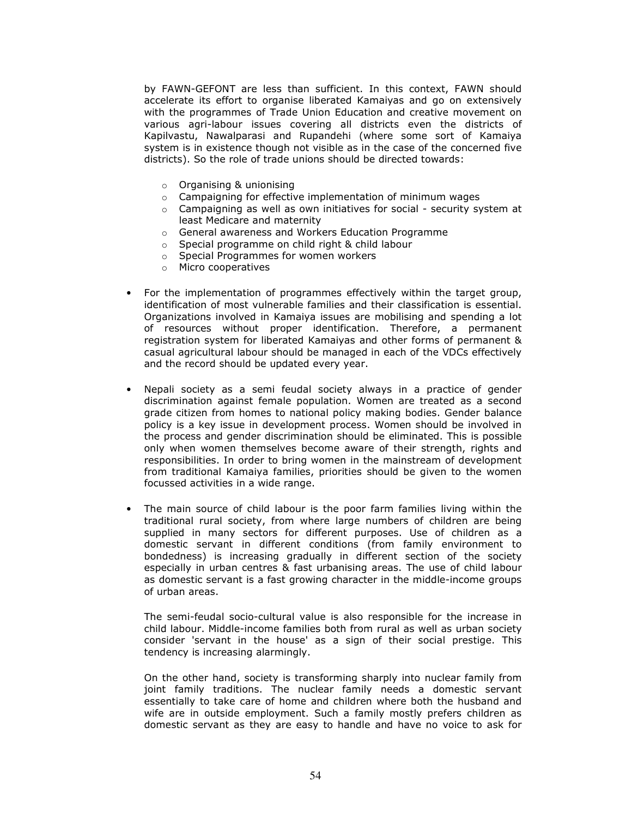by FAWN-GEFONT are less than sufficient. In this context, FAWN should accelerate its effort to organise liberated Kamaiyas and go on extensively with the programmes of Trade Union Education and creative movement on various agri-labour issues covering all districts even the districts of Kapilvastu, Nawalparasi and Rupandehi (where some sort of Kamaiya system is in existence though not visible as in the case of the concerned five districts). So the role of trade unions should be directed towards:

- o Organising & unionising
- $\circ$  Campaigning for effective implementation of minimum wages
- $\circ$  Campaigning as well as own initiatives for social security system at least Medicare and maternity
- o General awareness and Workers Education Programme
- o Special programme on child right & child labour
- o Special Programmes for women workers
- o Micro cooperatives
- For the implementation of programmes effectively within the target group, identification of most vulnerable families and their classification is essential. Organizations involved in Kamaiya issues are mobilising and spending a lot of resources without proper identification. Therefore, a permanent registration system for liberated Kamaiyas and other forms of permanent & casual agricultural labour should be managed in each of the VDCs effectively and the record should be updated every year.
- Nepali society as a semi feudal society always in a practice of gender discrimination against female population. Women are treated as a second grade citizen from homes to national policy making bodies. Gender balance policy is a key issue in development process. Women should be involved in the process and gender discrimination should be eliminated. This is possible only when women themselves become aware of their strength, rights and responsibilities. In order to bring women in the mainstream of development from traditional Kamaiya families, priorities should be given to the women focussed activities in a wide range.
- The main source of child labour is the poor farm families living within the traditional rural society, from where large numbers of children are being supplied in many sectors for different purposes. Use of children as a domestic servant in different conditions (from family environment to bondedness) is increasing gradually in different section of the society especially in urban centres & fast urbanising areas. The use of child labour as domestic servant is a fast growing character in the middle-income groups of urban areas.

The semi-feudal socio-cultural value is also responsible for the increase in child labour. Middle-income families both from rural as well as urban society consider 'servant in the house' as a sign of their social prestige. This tendency is increasing alarmingly.

On the other hand, society is transforming sharply into nuclear family from joint family traditions. The nuclear family needs a domestic servant essentially to take care of home and children where both the husband and wife are in outside employment. Such a family mostly prefers children as domestic servant as they are easy to handle and have no voice to ask for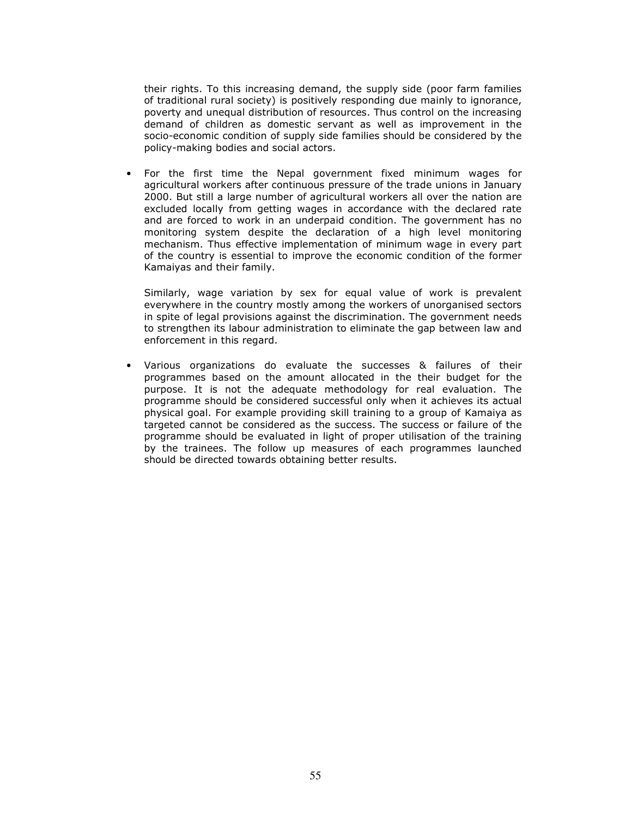their rights. To this increasing demand, the supply side (poor farm families of traditional rural society) is positively responding due mainly to ignorance, poverty and unequal distribution of resources. Thus control on the increasing demand of children as domestic servant as well as improvement in the socio-economic condition of supply side families should be considered by the policy-making bodies and social actors.

• For the first time the Nepal government fixed minimum wages for agricultural workers after continuous pressure of the trade unions in January 2000. But still a large number of agricultural workers all over the nation are excluded locally from getting wages in accordance with the declared rate and are forced to work in an underpaid condition. The government has no monitoring system despite the declaration of a high level monitoring mechanism. Thus effective implementation of minimum wage in every part of the country is essential to improve the economic condition of the former Kamaiyas and their family.

Similarly, wage variation by sex for equal value of work is prevalent everywhere in the country mostly among the workers of unorganised sectors in spite of legal provisions against the discrimination. The government needs to strengthen its labour administration to eliminate the gap between law and enforcement in this regard.

• Various organizations do evaluate the successes & failures of their programmes based on the amount allocated in the their budget for the purpose. It is not the adequate methodology for real evaluation. The programme should be considered successful only when it achieves its actual physical goal. For example providing skill training to a group of Kamaiya as targeted cannot be considered as the success. The success or failure of the programme should be evaluated in light of proper utilisation of the training by the trainees. The follow up measures of each programmes launched should be directed towards obtaining better results.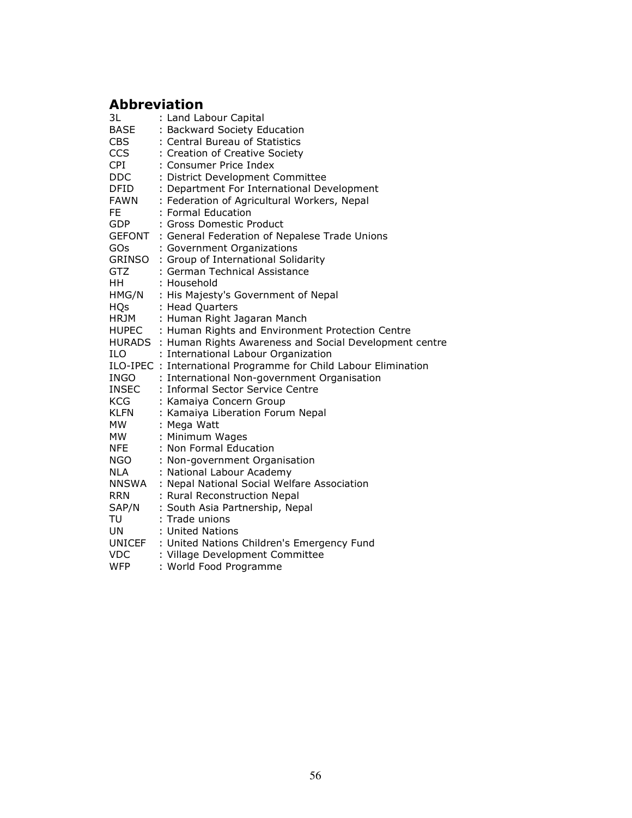# Abbreviation

| 3L            | : Land Labour Capital                                           |
|---------------|-----------------------------------------------------------------|
| <b>BASE</b>   | : Backward Society Education                                    |
| <b>CBS</b>    | : Central Bureau of Statistics                                  |
| CCS           | : Creation of Creative Society                                  |
| <b>CPI</b>    | : Consumer Price Index                                          |
| <b>DDC</b>    | : District Development Committee                                |
| DFID          | : Department For International Development                      |
| FAWN          | : Federation of Agricultural Workers, Nepal                     |
| FE.           | : Formal Education                                              |
| GDP           | : Gross Domestic Product                                        |
| <b>GEFONT</b> | : General Federation of Nepalese Trade Unions                   |
| GOs           | : Government Organizations                                      |
| GRINSO        | : Group of International Solidarity                             |
| <b>GTZ</b>    | : German Technical Assistance                                   |
| HH -          | : Household                                                     |
| HMG/N         | : His Majesty's Government of Nepal                             |
| <b>HQs</b>    | : Head Quarters                                                 |
| HRJM          | : Human Right Jagaran Manch                                     |
|               | HUPEC : Human Rights and Environment Protection Centre          |
|               | HURADS : Human Rights Awareness and Social Development centre   |
| <b>ILO</b>    | : International Labour Organization                             |
|               | ILO-IPEC : International Programme for Child Labour Elimination |
|               | INGO : International Non-government Organisation                |
| INSEC<br>KCG  | : Informal Sector Service Centre                                |
|               | : Kamaiya Concern Group                                         |
| <b>KLFN</b>   | : Kamaiya Liberation Forum Nepal                                |
| <b>MW</b>     | : Mega Watt                                                     |
| <b>MW</b>     | : Minimum Wages                                                 |
| <b>NFE</b>    | : Non Formal Education                                          |
| NGO <b>NG</b> | : Non-government Organisation                                   |
| NLA           | : National Labour Academy                                       |
| NNSWA         | : Nepal National Social Welfare Association                     |
| <b>RRN</b>    | : Rural Reconstruction Nepal                                    |
| SAP/N         | : South Asia Partnership, Nepal                                 |
| TU            | : Trade unions                                                  |
| <b>UN</b>     | : United Nations                                                |
|               | UNICEF : United Nations Children's Emergency Fund               |
| <b>VDC</b>    | : Village Development Committee                                 |
| <b>WFP</b>    | : World Food Programme                                          |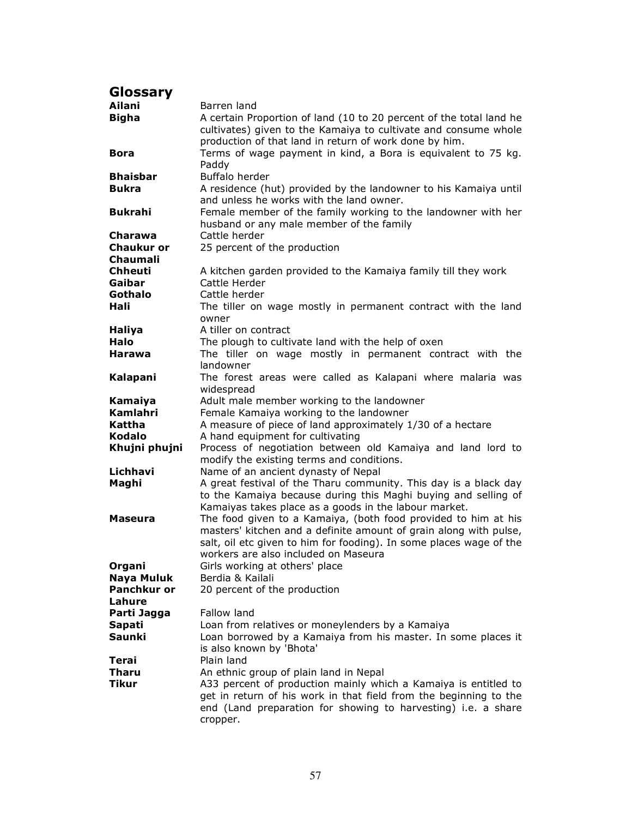| <b>Glossary</b>    |                                                                     |
|--------------------|---------------------------------------------------------------------|
| Ailani             | Barren land                                                         |
| <b>Bigha</b>       | A certain Proportion of land (10 to 20 percent of the total land he |
|                    | cultivates) given to the Kamaiya to cultivate and consume whole     |
|                    | production of that land in return of work done by him.              |
| <b>Bora</b>        | Terms of wage payment in kind, a Bora is equivalent to 75 kg.       |
|                    | Paddy                                                               |
| <b>Bhaisbar</b>    | Buffalo herder                                                      |
| <b>Bukra</b>       | A residence (hut) provided by the landowner to his Kamaiya until    |
|                    | and unless he works with the land owner.                            |
| <b>Bukrahi</b>     | Female member of the family working to the landowner with her       |
|                    | husband or any male member of the family                            |
| Charawa            | Cattle herder                                                       |
| <b>Chaukur or</b>  | 25 percent of the production                                        |
| <b>Chaumali</b>    |                                                                     |
| <b>Chheuti</b>     | A kitchen garden provided to the Kamaiya family till they work      |
| Gaibar             | Cattle Herder                                                       |
| Gothalo            | Cattle herder                                                       |
| Hali               | The tiller on wage mostly in permanent contract with the land       |
|                    | owner                                                               |
| <b>Haliya</b>      | A tiller on contract                                                |
| Halo               | The plough to cultivate land with the help of oxen                  |
| Harawa             | The tiller on wage mostly in permanent contract with the            |
|                    | landowner                                                           |
| Kalapani           | The forest areas were called as Kalapani where malaria was          |
|                    | widespread                                                          |
| Kamaiya            | Adult male member working to the landowner                          |
| Kamlahri           | Female Kamaiya working to the landowner                             |
| Kattha             | A measure of piece of land approximately 1/30 of a hectare          |
| <b>Kodalo</b>      | A hand equipment for cultivating                                    |
| Khujni phujni      | Process of negotiation between old Kamaiya and land lord to         |
|                    | modify the existing terms and conditions.                           |
| Lichhavi           | Name of an ancient dynasty of Nepal                                 |
| Maghi              | A great festival of the Tharu community. This day is a black day    |
|                    | to the Kamaiya because during this Maghi buying and selling of      |
|                    | Kamaiyas takes place as a goods in the labour market.               |
| Maseura            | The food given to a Kamaiya, (both food provided to him at his      |
|                    | masters' kitchen and a definite amount of grain along with pulse,   |
|                    | salt, oil etc given to him for fooding). In some places wage of the |
|                    | workers are also included on Maseura                                |
| Organi             | Girls working at others' place                                      |
| Naya Muluk         | Berdia & Kailali                                                    |
| <b>Panchkur or</b> | 20 percent of the production                                        |
| Lahure             |                                                                     |
| Parti Jagga        | Fallow land                                                         |
| Sapati             | Loan from relatives or moneylenders by a Kamaiya                    |
| <b>Saunki</b>      | Loan borrowed by a Kamaiya from his master. In some places it       |
|                    | is also known by 'Bhota'                                            |
| Terai              | Plain land                                                          |
| Tharu              | An ethnic group of plain land in Nepal                              |
| Tikur              | A33 percent of production mainly which a Kamaiya is entitled to     |
|                    | get in return of his work in that field from the beginning to the   |
|                    | end (Land preparation for showing to harvesting) i.e. a share       |
|                    | cropper.                                                            |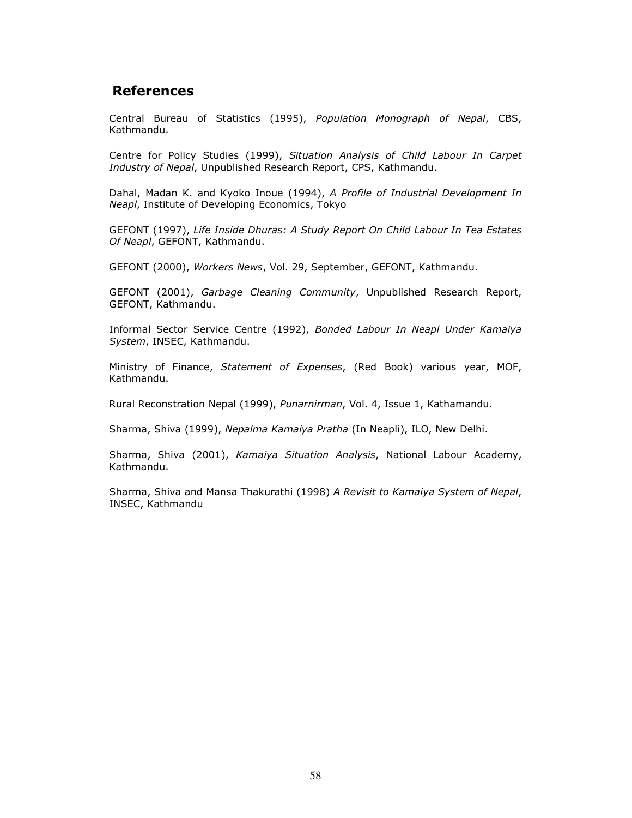## References

Central Bureau of Statistics (1995), Population Monograph of Nepal, CBS, Kathmandu.

Centre for Policy Studies (1999), Situation Analysis of Child Labour In Carpet Industry of Nepal, Unpublished Research Report, CPS, Kathmandu.

Dahal, Madan K. and Kyoko Inoue (1994), A Profile of Industrial Development In Neapl, Institute of Developing Economics, Tokyo

GEFONT (1997), Life Inside Dhuras: A Study Report On Child Labour In Tea Estates Of Neapl, GEFONT, Kathmandu.

GEFONT (2000), Workers News, Vol. 29, September, GEFONT, Kathmandu.

GEFONT (2001), Garbage Cleaning Community, Unpublished Research Report, GEFONT, Kathmandu.

Informal Sector Service Centre (1992), Bonded Labour In Neapl Under Kamaiya System, INSEC, Kathmandu.

Ministry of Finance, Statement of Expenses, (Red Book) various year, MOF, Kathmandu.

Rural Reconstration Nepal (1999), Punarnirman, Vol. 4, Issue 1, Kathamandu.

Sharma, Shiva (1999), Nepalma Kamaiya Pratha (In Neapli), ILO, New Delhi.

Sharma, Shiva (2001), Kamaiya Situation Analysis, National Labour Academy, Kathmandu.

Sharma, Shiva and Mansa Thakurathi (1998) A Revisit to Kamaiya System of Nepal, INSEC, Kathmandu